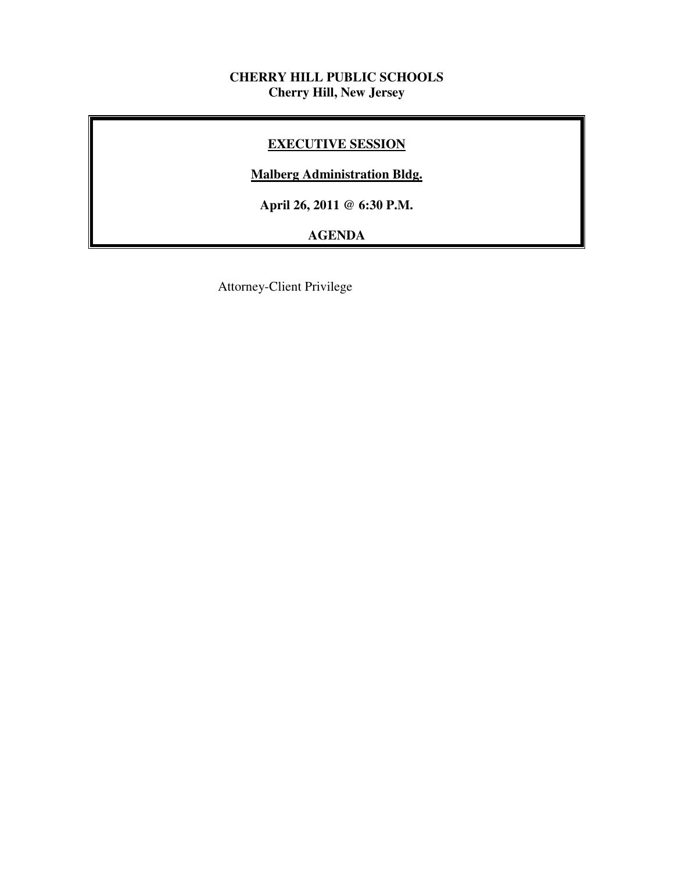### **CHERRY HILL PUBLIC SCHOOLS Cherry Hill, New Jersey**

# **EXECUTIVE SESSION**

# **Malberg Administration Bldg.**

 **April 26, 2011 @ 6:30 P.M.** 

# **AGENDA**

Attorney-Client Privilege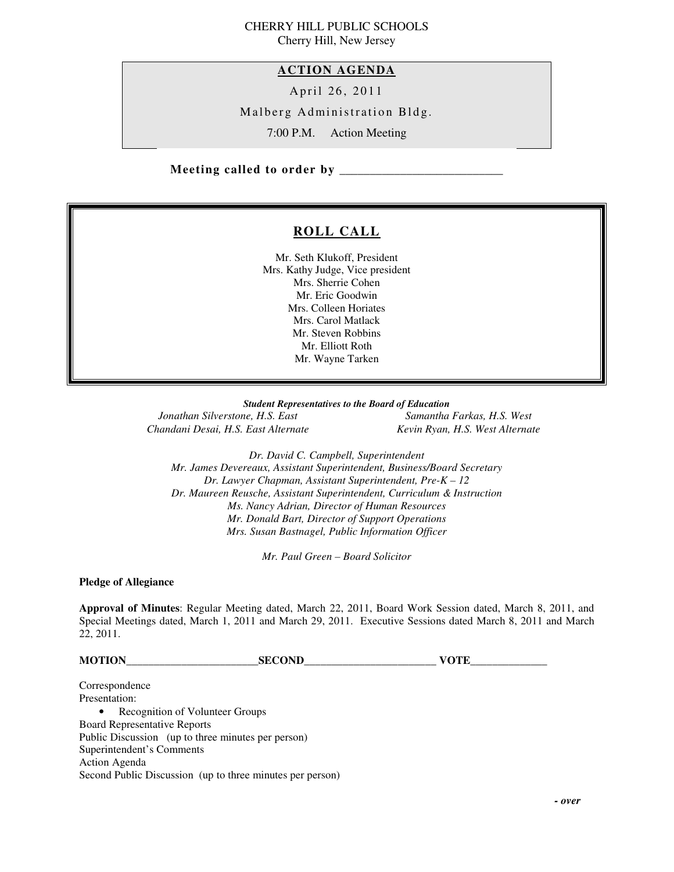#### CHERRY HILL PUBLIC SCHOOLS Cherry Hill, New Jersey

 **ACTION AGENDA** 

April 26, 2011

Malberg Administration Bldg.

7:00 P.M. Action Meeting

 **Meeting called to order by \_\_\_\_\_\_\_\_\_\_\_\_\_\_\_\_\_\_\_\_\_\_\_\_\_\_\_** 

# **ROLL CALL**

 Mr. Seth Klukoff, President Mrs. Kathy Judge, Vice president Mrs. Sherrie Cohen Mr. Eric Goodwin Mrs. Colleen Horiates Mrs. Carol Matlack Mr. Steven Robbins Mr. Elliott Roth Mr. Wayne Tarken

 *Student Representatives to the Board of Education* 

**Jonathan Silverstone, H.S. East** Chandani Desai, H.S. East Alternate **Kevin Ryan, H.S. West Alternate** 

*Samantha Farkas, H.S. West* 

 *Dr. David C. Campbell, Superintendent Mr. James Devereaux, Assistant Superintendent, Business/Board Secretary Dr. Lawyer Chapman, Assistant Superintendent, Pre-K – 12 Dr. Maureen Reusche, Assistant Superintendent, Curriculum & Instruction Ms. Nancy Adrian, Director of Human Resources Mr. Donald Bart, Director of Support Operations Mrs. Susan Bastnagel, Public Information Officer* 

 *Mr. Paul Green – Board Solicitor* 

 **Pledge of Allegiance** 

 **Approval of Minutes**: Regular Meeting dated, March 22, 2011, Board Work Session dated, March 8, 2011, and Special Meetings dated, March 1, 2011 and March 29, 2011. Executive Sessions dated March 8, 2011 and March 22, 2011.

**MOTION\_\_\_\_\_\_\_\_\_\_\_\_\_\_\_\_\_\_\_\_\_\_\_\_SECOND\_\_\_\_\_\_\_\_\_\_\_\_\_\_\_\_\_\_\_\_\_\_\_\_ VOTE\_\_\_\_\_\_\_\_\_\_\_\_\_\_** 

Presentation: Presentation:<br>• Recognition of Volunteer Groups Board Representative Reports Public Discussion (up to three minutes per person) Superintendent's Comments Action Agenda Second Public Discussion (up to three minutes per person) Correspondence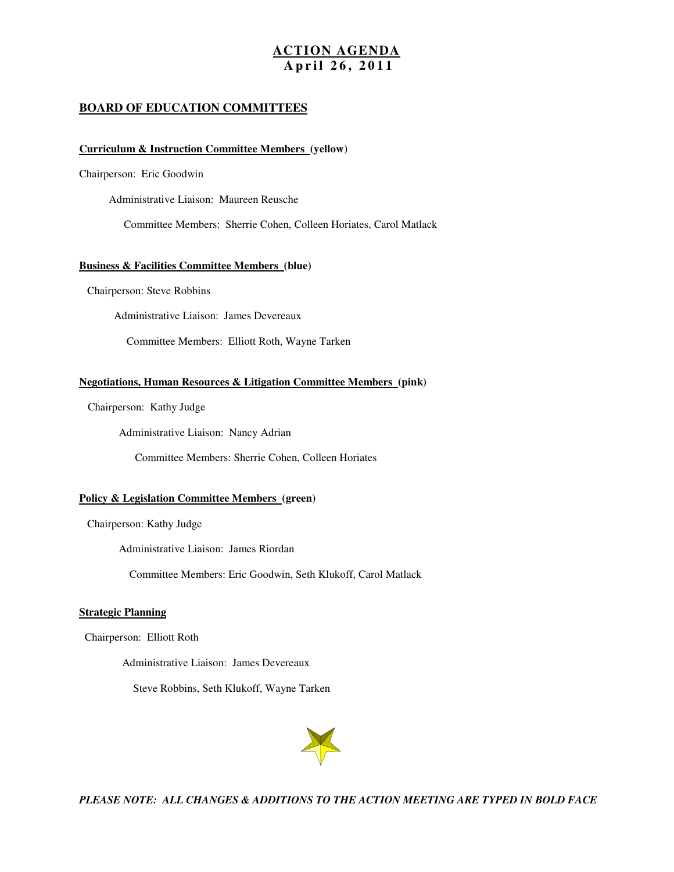#### **ACTION AGENDA A p r i l 2 6 , 2 0 1 1**

#### **BOARD OF EDUCATION COMMITTEES**

#### **Curriculum & Instruction Committee Members (yellow)**

Chairperson: Eric Goodwin

Administrative Liaison: Maureen Reusche

Committee Members: Sherrie Cohen, Colleen Horiates, Carol Matlack

#### **Business & Facilities Committee Members (blue)**

Chairperson: Steve Robbins

Administrative Liaison: James Devereaux

Committee Members: Elliott Roth, Wayne Tarken

#### **Negotiations, Human Resources & Litigation Committee Members (pink)**

Chairperson: Kathy Judge

Administrative Liaison: Nancy Adrian

Committee Members: Sherrie Cohen, Colleen Horiates

#### **Policy & Legislation Committee Members (green)**

Chairperson: Kathy Judge

Administrative Liaison: James Riordan

Committee Members: Eric Goodwin, Seth Klukoff, Carol Matlack

#### **Strategic Planning**

Chairperson: Elliott Roth

Administrative Liaison: James Devereaux

Steve Robbins, Seth Klukoff, Wayne Tarken



 *PLEASE NOTE: ALL CHANGES & ADDITIONS TO THE ACTION MEETING ARE TYPED IN BOLD FACE*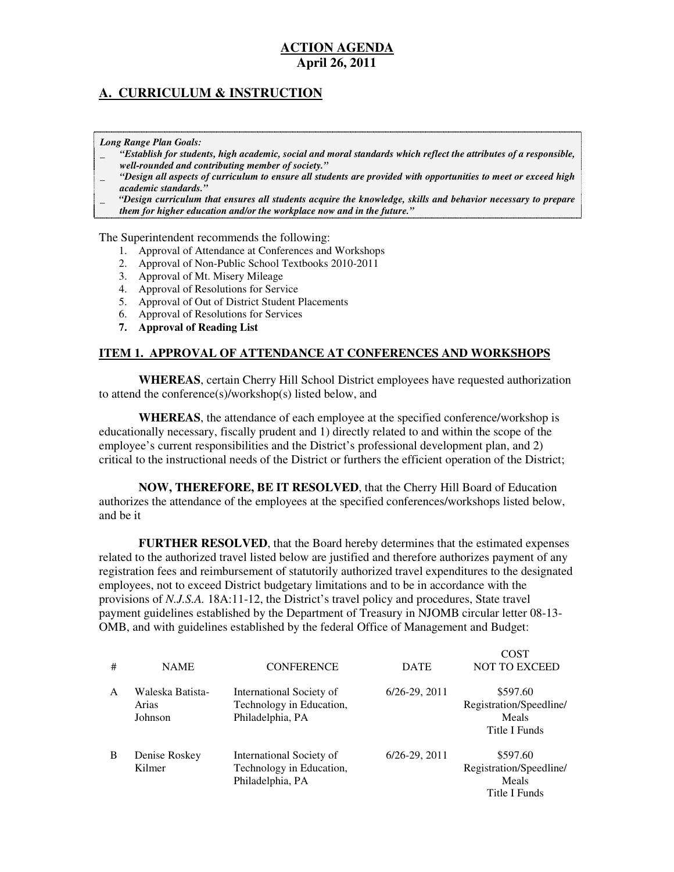### **A. CURRICULUM & INSTRUCTION**

 *Long Range Plan Goals:* 

- \_ *"Establish for students, high academic, social and moral standards which reflect the attributes of a responsible, well-rounded and contributing member of society."*
- \_ *"Design all aspects of curriculum to ensure all students are provided with opportunities to meet or exceed high academic standards."*
- \_ *"Design curriculum that ensures all students acquire the knowledge, skills and behavior necessary to prepare them for higher education and/or the workplace now and in the future."*

The Superintendent recommends the following:

- 1. Approval of Attendance at Conferences and Workshops
- 2. Approval of Non-Public School Textbooks 2010-2011
- 3. Approval of Mt. Misery Mileage
- 4. Approval of Resolutions for Service
- 5. Approval of Out of District Student Placements
- 6. Approval of Resolutions for Services
- **7. Approval of Reading List**

#### **ITEM 1. APPROVAL OF ATTENDANCE AT CONFERENCES AND WORKSHOPS**

 **WHEREAS**, certain Cherry Hill School District employees have requested authorization to attend the conference(s)/workshop(s) listed below, and

 **WHEREAS**, the attendance of each employee at the specified conference/workshop is educationally necessary, fiscally prudent and 1) directly related to and within the scope of the employee's current responsibilities and the District's professional development plan, and 2) critical to the instructional needs of the District or furthers the efficient operation of the District;

 **NOW, THEREFORE, BE IT RESOLVED**, that the Cherry Hill Board of Education authorizes the attendance of the employees at the specified conferences/workshops listed below, and be it

 **FURTHER RESOLVED**, that the Board hereby determines that the estimated expenses related to the authorized travel listed below are justified and therefore authorizes payment of any registration fees and reimbursement of statutorily authorized travel expenditures to the designated employees, not to exceed District budgetary limitations and to be in accordance with the provisions of *N.J.S.A.* 18A:11-12, the District's travel policy and procedures, State travel payment guidelines established by the Department of Treasury in NJOMB circular letter 08-13 OMB, and with guidelines established by the federal Office of Management and Budget:

Cost Cost

| # | <b>NAME</b>                          | <b>CONFERENCE</b>                                                        | <b>DATE</b>          | COST<br><b>NOT TO EXCEED</b>                                  |
|---|--------------------------------------|--------------------------------------------------------------------------|----------------------|---------------------------------------------------------------|
| A | Waleska Batista-<br>Arias<br>Johnson | International Society of<br>Technology in Education,<br>Philadelphia, PA | $6/26 - 29$ , $2011$ | \$597.60<br>Registration/Speedline/<br>Meals<br>Title I Funds |
| B | Denise Roskey<br>Kilmer              | International Society of<br>Technology in Education,<br>Philadelphia, PA | $6/26 - 29, 2011$    | \$597.60<br>Registration/Speedline/<br>Meals<br>Title I Funds |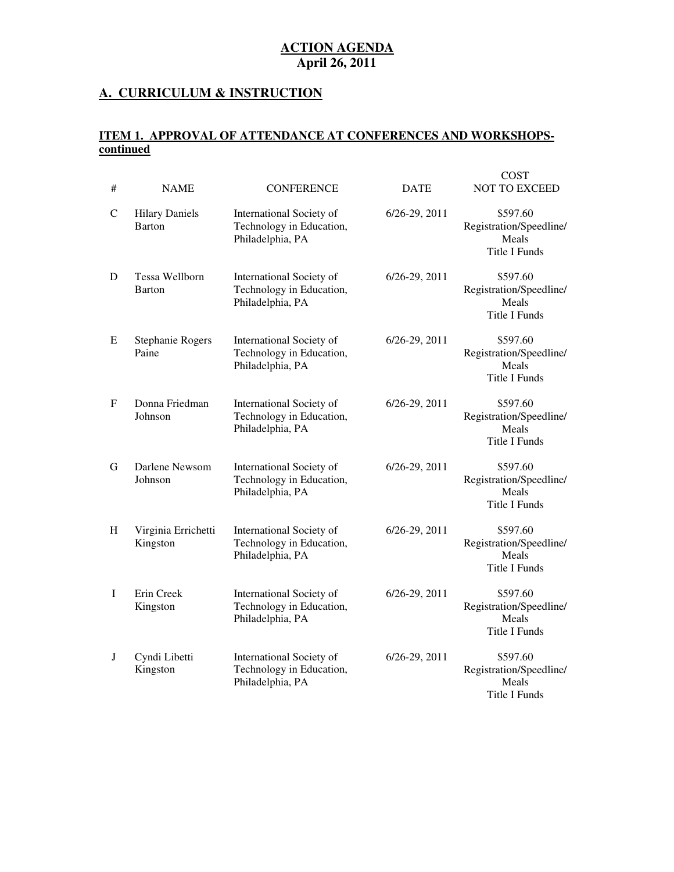#### **A. CURRICULUM & INSTRUCTION**

#### **ITEM 1. APPROVAL OF ATTENDANCE AT CONFERENCES AND WORKSHOPScontinued**

 $C$  $C$  $T$ 

| #            | <b>NAME</b>                            | <b>CONFERENCE</b>                                                        | <b>DATE</b>   | COST<br><b>NOT TO EXCEED</b>                                         |
|--------------|----------------------------------------|--------------------------------------------------------------------------|---------------|----------------------------------------------------------------------|
| $\mathsf{C}$ | <b>Hilary Daniels</b><br><b>Barton</b> | International Society of<br>Technology in Education,<br>Philadelphia, PA | 6/26-29, 2011 | \$597.60<br>Registration/Speedline/<br>Meals<br>Title I Funds        |
| D            | Tessa Wellborn<br>Barton               | International Society of<br>Technology in Education,<br>Philadelphia, PA | 6/26-29, 2011 | \$597.60<br>Registration/Speedline/<br>Meals<br>Title I Funds        |
| E            | Stephanie Rogers<br>Paine              | International Society of<br>Technology in Education,<br>Philadelphia, PA | 6/26-29, 2011 | \$597.60<br>Registration/Speedline/<br>Meals<br><b>Title I Funds</b> |
| $\mathbf F$  | Donna Friedman<br>Johnson              | International Society of<br>Technology in Education,<br>Philadelphia, PA | 6/26-29, 2011 | \$597.60<br>Registration/Speedline/<br>Meals<br><b>Title I Funds</b> |
| G            | Darlene Newsom<br>Johnson              | International Society of<br>Technology in Education,<br>Philadelphia, PA | 6/26-29, 2011 | \$597.60<br>Registration/Speedline/<br>Meals<br><b>Title I Funds</b> |
| H            | Virginia Errichetti<br>Kingston        | International Society of<br>Technology in Education,<br>Philadelphia, PA | 6/26-29, 2011 | \$597.60<br>Registration/Speedline/<br>Meals<br><b>Title I Funds</b> |
| I            | Erin Creek<br>Kingston                 | International Society of<br>Technology in Education,<br>Philadelphia, PA | 6/26-29, 2011 | \$597.60<br>Registration/Speedline/<br>Meals<br>Title I Funds        |
| J            | Cyndi Libetti<br>Kingston              | International Society of<br>Technology in Education,<br>Philadelphia, PA | 6/26-29, 2011 | \$597.60<br>Registration/Speedline/<br>Meals<br>Title I Funds        |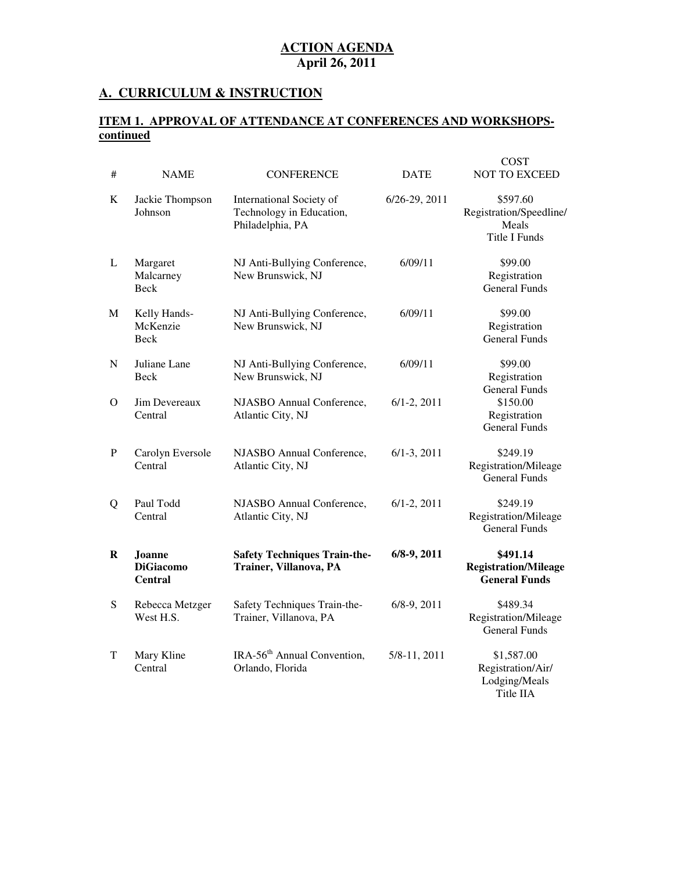#### **A. CURRICULUM & INSTRUCTION**

#### **ITEM 1. APPROVAL OF ATTENDANCE AT CONFERENCES AND WORKSHOPScontinued**

| #         | <b>NAME</b>                                         | <b>CONFERENCE</b>                                                        | <b>DATE</b>       | COST<br><b>NOT TO EXCEED</b>                                         |
|-----------|-----------------------------------------------------|--------------------------------------------------------------------------|-------------------|----------------------------------------------------------------------|
| K         | Jackie Thompson<br>Johnson                          | International Society of<br>Technology in Education,<br>Philadelphia, PA | $6/26 - 29, 2011$ | \$597.60<br>Registration/Speedline/<br>Meals<br><b>Title I Funds</b> |
| L         | Margaret<br>Malcarney<br><b>Beck</b>                | NJ Anti-Bullying Conference,<br>New Brunswick, NJ                        | 6/09/11           | \$99.00<br>Registration<br><b>General Funds</b>                      |
| M         | Kelly Hands-<br>McKenzie<br>Beck                    | NJ Anti-Bullying Conference,<br>New Brunswick, NJ                        | 6/09/11           | \$99.00<br>Registration<br><b>General Funds</b>                      |
| N         | Juliane Lane<br>Beck                                | NJ Anti-Bullying Conference,<br>New Brunswick, NJ                        | 6/09/11           | \$99.00<br>Registration<br><b>General Funds</b>                      |
| Ω         | Jim Devereaux<br>Central                            | NJASBO Annual Conference,<br>Atlantic City, NJ                           | $6/1 - 2$ , 2011  | \$150.00<br>Registration<br><b>General Funds</b>                     |
| P         | Carolyn Eversole<br>Central                         | NJASBO Annual Conference,<br>Atlantic City, NJ                           | $6/1 - 3$ , 2011  | \$249.19<br>Registration/Mileage<br><b>General Funds</b>             |
| Q         | Paul Todd<br>Central                                | NJASBO Annual Conference,<br>Atlantic City, NJ                           | $6/1 - 2$ , 2011  | \$249.19<br>Registration/Mileage<br><b>General Funds</b>             |
| R         | <b>Joanne</b><br><b>DiGiacomo</b><br><b>Central</b> | <b>Safety Techniques Train-the-</b><br>Trainer, Villanova, PA            | $6/8-9, 2011$     | \$491.14<br><b>Registration/Mileage</b><br><b>General Funds</b>      |
| ${\bf S}$ | Rebecca Metzger<br>West H.S.                        | Safety Techniques Train-the-<br>Trainer, Villanova, PA                   | $6/8-9, 2011$     | \$489.34<br>Registration/Mileage<br>General Funds                    |
| T         | Mary Kline<br>Central                               | IRA-56 <sup>th</sup> Annual Convention,<br>Orlando, Florida              | 5/8-11, 2011      | \$1,587.00<br>Registration/Air/<br>Lodging/Meals<br>Title IIA        |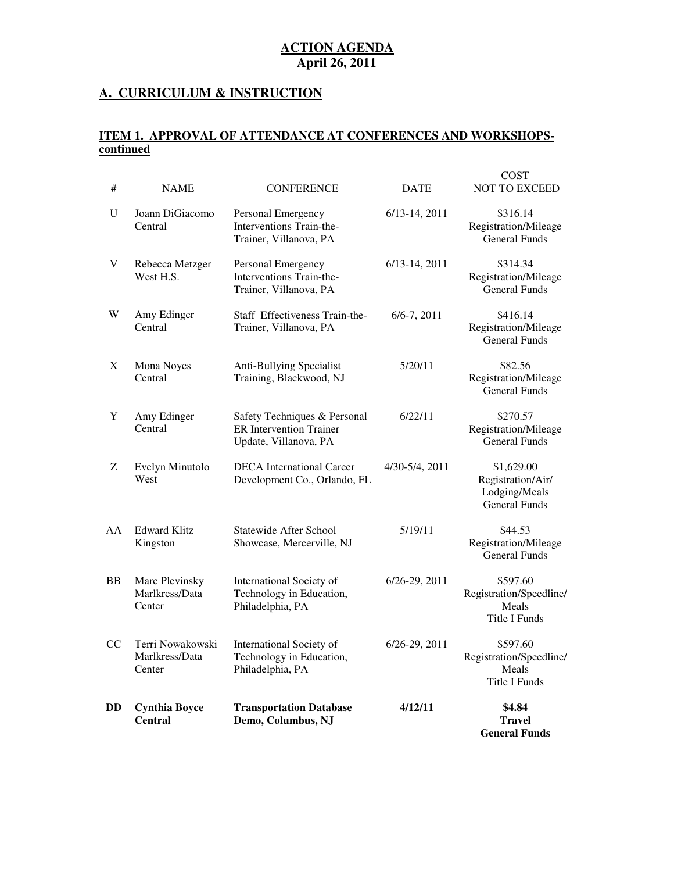#### **A. CURRICULUM & INSTRUCTION**

#### **ITEM 1. APPROVAL OF ATTENDANCE AT CONFERENCES AND WORKSHOPScontinued**

| DD        | <b>Cynthia Boyce</b><br><b>Central</b>       | <b>Transportation Database</b><br>Demo, Columbus, NJ                                    | 4/12/11            | \$4.84<br><b>Travel</b><br><b>General Funds</b>                          |
|-----------|----------------------------------------------|-----------------------------------------------------------------------------------------|--------------------|--------------------------------------------------------------------------|
| <b>CC</b> | Terri Nowakowski<br>Marlkress/Data<br>Center | International Society of<br>Technology in Education,<br>Philadelphia, PA                | 6/26-29, 2011      | \$597.60<br>Registration/Speedline/<br>Meals<br><b>Title I Funds</b>     |
| BB        | Marc Plevinsky<br>Marlkress/Data<br>Center   | International Society of<br>Technology in Education,<br>Philadelphia, PA                | 6/26-29, 2011      | \$597.60<br>Registration/Speedline/<br>Meals<br>Title I Funds            |
| AA        | <b>Edward Klitz</b><br>Kingston              | Statewide After School<br>Showcase, Mercerville, NJ                                     | 5/19/11            | \$44.53<br>Registration/Mileage<br><b>General Funds</b>                  |
| Z         | Evelyn Minutolo<br>West                      | <b>DECA</b> International Career<br>Development Co., Orlando, FL                        | 4/30-5/4, 2011     | \$1,629.00<br>Registration/Air/<br>Lodging/Meals<br><b>General Funds</b> |
| Y         | Amy Edinger<br>Central                       | Safety Techniques & Personal<br><b>ER</b> Intervention Trainer<br>Update, Villanova, PA | 6/22/11            | \$270.57<br>Registration/Mileage<br><b>General Funds</b>                 |
| X         | Mona Noyes<br>Central                        | Anti-Bullying Specialist<br>Training, Blackwood, NJ                                     | 5/20/11            | \$82.56<br>Registration/Mileage<br><b>General Funds</b>                  |
| W         | Amy Edinger<br>Central                       | Staff Effectiveness Train-the-<br>Trainer, Villanova, PA                                | $6/6 - 7, 2011$    | \$416.14<br>Registration/Mileage<br><b>General Funds</b>                 |
| V         | Rebecca Metzger<br>West H.S.                 | Personal Emergency<br>Interventions Train-the-<br>Trainer, Villanova, PA                | $6/13 - 14$ , 2011 | \$314.34<br>Registration/Mileage<br><b>General Funds</b>                 |
| U         | Joann DiGiacomo<br>Central                   | Personal Emergency<br>Interventions Train-the-<br>Trainer, Villanova, PA                | $6/13-14, 2011$    | \$316.14<br>Registration/Mileage<br><b>General Funds</b>                 |
| #         | <b>NAME</b>                                  | <b>CONFERENCE</b>                                                                       | <b>DATE</b>        | <b>COST</b><br><b>NOT TO EXCEED</b>                                      |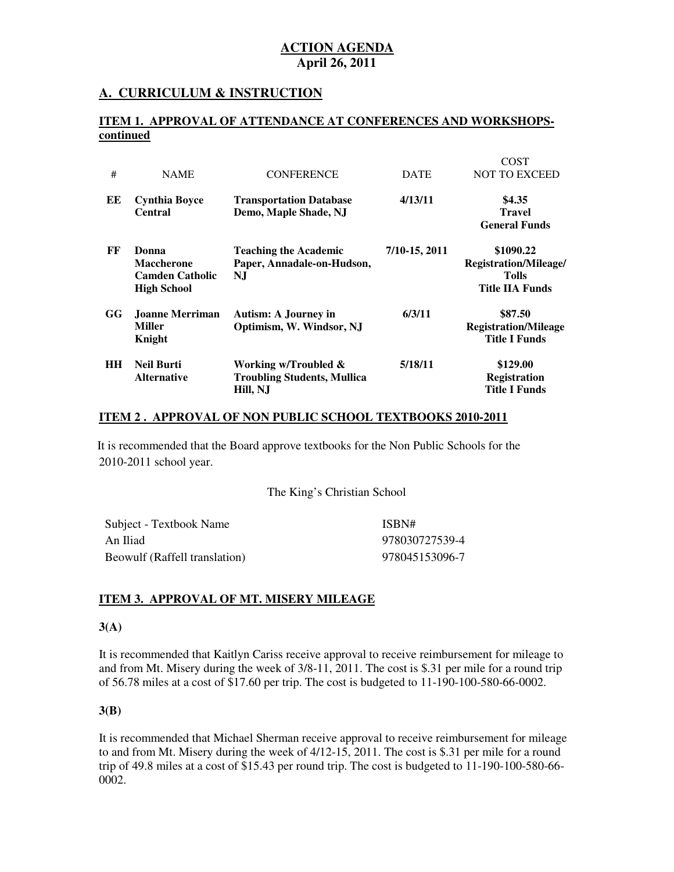#### **A. CURRICULUM & INSTRUCTION**

#### **ITEM 1. APPROVAL OF ATTENDANCE AT CONFERENCES AND WORKSHOPScontinued**

 $COP$ 

|           |                                                                            |                                                                            |               | COST                                                                         |
|-----------|----------------------------------------------------------------------------|----------------------------------------------------------------------------|---------------|------------------------------------------------------------------------------|
| #         | <b>NAME</b>                                                                | <b>CONFERENCE</b>                                                          | <b>DATE</b>   | <b>NOT TO EXCEED</b>                                                         |
| EЕ        | <b>Cynthia Boyce</b><br><b>Central</b>                                     | <b>Transportation Database</b><br>Demo, Maple Shade, NJ                    | 4/13/11       | \$4.35<br><b>Travel</b><br><b>General Funds</b>                              |
| FF        | Donna<br><b>Maccherone</b><br><b>Camden Catholic</b><br><b>High School</b> | <b>Teaching the Academic</b><br>Paper, Annadale-on-Hudson,<br>NJ           | 7/10-15, 2011 | \$1090.22<br>Registration/Mileage/<br><b>Tolls</b><br><b>Title IIA Funds</b> |
| GG        | Joanne Merriman<br><b>Miller</b><br>Knight                                 | <b>Autism: A Journey in</b><br>Optimism, W. Windsor, NJ                    | 6/3/11        | \$87.50<br><b>Registration/Mileage</b><br><b>Title I Funds</b>               |
| <b>HH</b> | <b>Neil Burti</b><br><b>Alternative</b>                                    | Working w/Troubled $\&$<br><b>Troubling Students, Mullica</b><br>Hill, N.J | 5/18/11       | \$129.00<br><b>Registration</b><br><b>Title I Funds</b>                      |

#### **ITEM 2 . APPROVAL OF NON PUBLIC SCHOOL TEXTBOOKS 2010-2011**

 2010-2011 school year. It is recommended that the Board approve textbooks for the Non Public Schools for the

#### The King's Christian School

| Subject - Textbook Name       | ISBN#          |
|-------------------------------|----------------|
| An Iliad                      | 978030727539-4 |
| Beowulf (Raffell translation) | 978045153096-7 |

#### **ITEM 3. APPROVAL OF MT. MISERY MILEAGE**

#### **3(A)**

 It is recommended that Kaitlyn Cariss receive approval to receive reimbursement for mileage to and from Mt. Misery during the week of 3/8-11, 2011. The cost is \$.31 per mile for a round trip of 56.78 miles at a cost of \$17.60 per trip. The cost is budgeted to 11-190-100-580-66-0002.

#### **3(B)**

 It is recommended that Michael Sherman receive approval to receive reimbursement for mileage to and from Mt. Misery during the week of 4/12-15, 2011. The cost is \$.31 per mile for a round trip of 49.8 miles at a cost of \$15.43 per round trip. The cost is budgeted to 11-190-100-580-66 0002.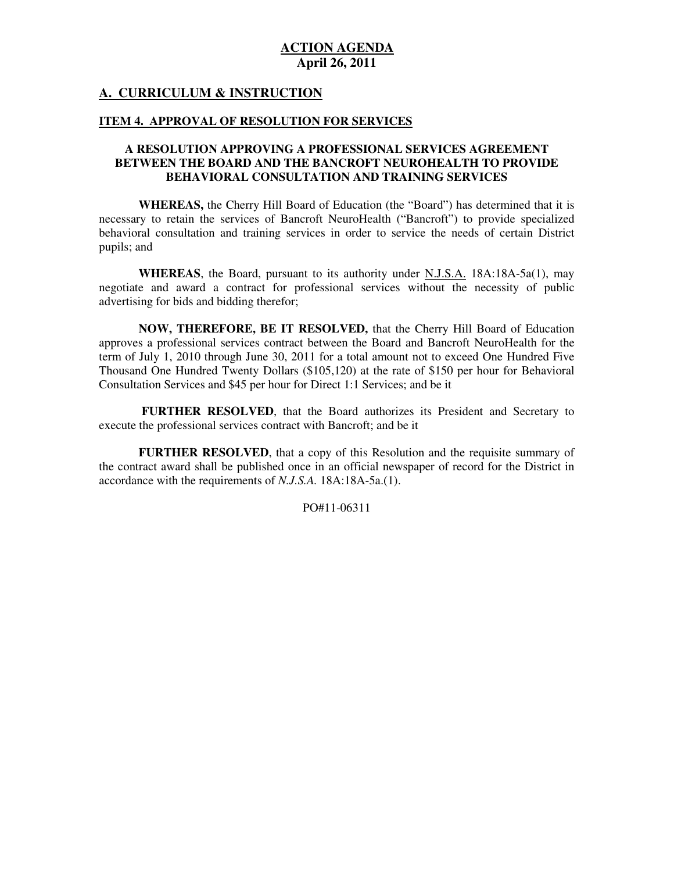#### **A. CURRICULUM & INSTRUCTION**

#### **ITEM 4. APPROVAL OF RESOLUTION FOR SERVICES**

#### **A RESOLUTION APPROVING A PROFESSIONAL SERVICES AGREEMENT BETWEEN THE BOARD AND THE BANCROFT NEUROHEALTH TO PROVIDE BEHAVIORAL CONSULTATION AND TRAINING SERVICES**

 **WHEREAS,** the Cherry Hill Board of Education (the "Board") has determined that it is necessary to retain the services of Bancroft NeuroHealth ("Bancroft") to provide specialized behavioral consultation and training services in order to service the needs of certain District pupils; and

 **WHEREAS**, the Board, pursuant to its authority under N.J.S.A. 18A:18A-5a(1), may negotiate and award a contract for professional services without the necessity of public advertising for bids and bidding therefor;

 **NOW, THEREFORE, BE IT RESOLVED,** that the Cherry Hill Board of Education approves a professional services contract between the Board and Bancroft NeuroHealth for the term of July 1, 2010 through June 30, 2011 for a total amount not to exceed One Hundred Five Thousand One Hundred Twenty Dollars (\$105,120) at the rate of \$150 per hour for Behavioral Consultation Services and \$45 per hour for Direct 1:1 Services; and be it

 **FURTHER RESOLVED**, that the Board authorizes its President and Secretary to execute the professional services contract with Bancroft; and be it

 **FURTHER RESOLVED**, that a copy of this Resolution and the requisite summary of the contract award shall be published once in an official newspaper of record for the District in accordance with the requirements of *N.J.S.A.* 18A:18A-5a.(1).

PO#11-06311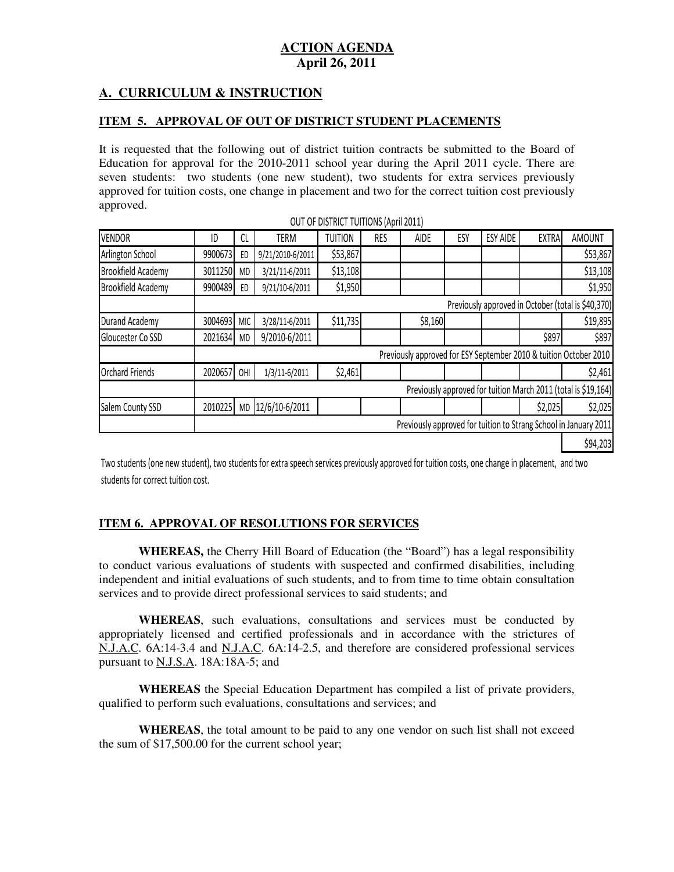# **A. CURRICULUM & INSTRUCTION**

#### **ITEM 5. APPROVAL OF OUT OF DISTRICT STUDENT PLACEMENTS**

 It is requested that the following out of district tuition contracts be submitted to the Board of Education for approval for the 2010-2011 school year during the April 2011 cycle. There are seven students: two students (one new student), two students for extra services previously approved for tuition costs, one change in placement and two for the correct tuition cost previously approved.

|                           |                                                                |            |                  | OUT OF DISTRICT TUITIONS (April 2011) |     |         |     |                 |              |                                                                   |
|---------------------------|----------------------------------------------------------------|------------|------------------|---------------------------------------|-----|---------|-----|-----------------|--------------|-------------------------------------------------------------------|
| <b>VENDOR</b>             | ID                                                             | CL         | TERM             | <b>TUITION</b>                        | RES | AIDE    | ESY | <b>ESY AIDE</b> | <b>EXTRA</b> | <b>AMOUNT</b>                                                     |
| Arlington School          | 9900673                                                        | ED         | 9/21/2010-6/2011 | \$53,867                              |     |         |     |                 |              | \$53,867                                                          |
| <b>Brookfield Academy</b> | 3011250                                                        | <b>MD</b>  | 3/21/11-6/2011   | \$13,108                              |     |         |     |                 |              | \$13,108                                                          |
| <b>Brookfield Academy</b> | 9900489                                                        | ED         | 9/21/10-6/2011   | \$1,950                               |     |         |     |                 |              | \$1,950                                                           |
|                           |                                                                |            |                  |                                       |     |         |     |                 |              | Previously approved in October (total is \$40,370)                |
| Durand Academy            | 3004693                                                        | <b>MIC</b> | 3/28/11-6/2011   | \$11,735                              |     | \$8,160 |     |                 |              | \$19,895                                                          |
| Gloucester Co SSD         | 2021634                                                        | <b>MD</b>  | 9/2010-6/2011    |                                       |     |         |     |                 | \$897        | \$897                                                             |
|                           |                                                                |            |                  |                                       |     |         |     |                 |              | Previously approved for ESY September 2010 & tuition October 2010 |
| <b>Orchard Friends</b>    | 2020657                                                        | OHI        | 1/3/11-6/2011    | \$2,461                               |     |         |     |                 |              | \$2,461                                                           |
|                           | Previously approved for tuition March 2011 (total is \$19,164) |            |                  |                                       |     |         |     |                 |              |                                                                   |
| Salem County SSD          | 2010225                                                        | <b>MD</b>  | 12/6/10-6/2011   |                                       |     |         |     |                 | \$2,025      | \$2,025                                                           |
|                           |                                                                |            |                  |                                       |     |         |     |                 |              | Previously approved for tuition to Strang School in January 2011  |
|                           |                                                                |            |                  |                                       |     |         |     |                 |              | \$94,203                                                          |

 Two students (one new student), two students for extra speech services previously approved for tuition costs, one change in placement, and two students for correct tuition cost.

#### **ITEM 6. APPROVAL OF RESOLUTIONS FOR SERVICES**

 **WHEREAS,** the Cherry Hill Board of Education (the "Board") has a legal responsibility to conduct various evaluations of students with suspected and confirmed disabilities, including independent and initial evaluations of such students, and to from time to time obtain consultation services and to provide direct professional services to said students; and

 **WHEREAS**, such evaluations, consultations and services must be conducted by appropriately licensed and certified professionals and in accordance with the strictures of N.J.A.C. 6A:14-3.4 and N.J.A.C. 6A:14-2.5, and therefore are considered professional services pursuant to **N.J.S.A**. 18A:18A-5; and

 **WHEREAS** the Special Education Department has compiled a list of private providers, qualified to perform such evaluations, consultations and services; and

 **WHEREAS**, the total amount to be paid to any one vendor on such list shall not exceed the sum of \$17,500.00 for the current school year;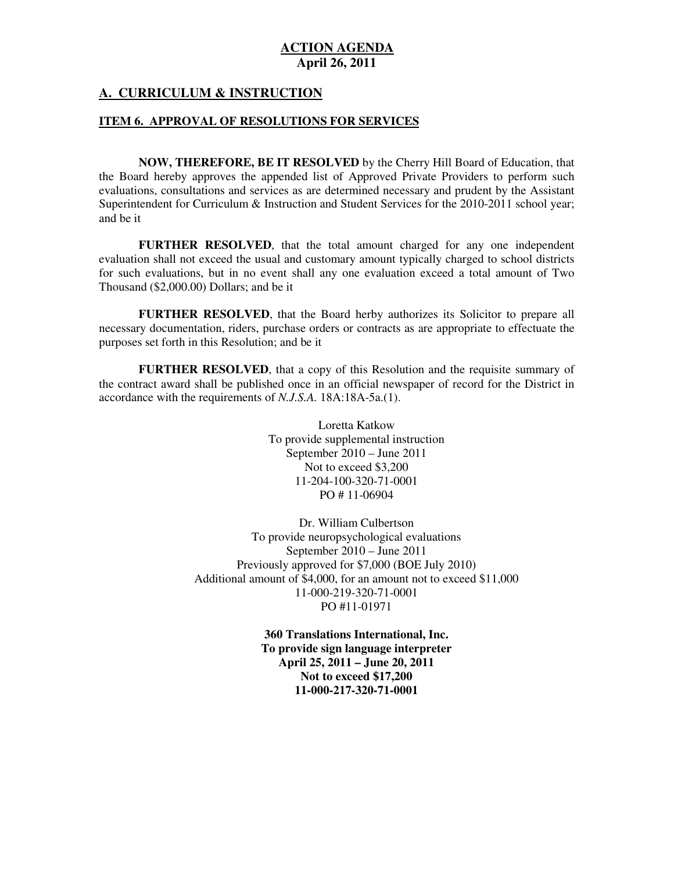#### **A. CURRICULUM & INSTRUCTION**

#### **ITEM 6. APPROVAL OF RESOLUTIONS FOR SERVICES**

 **NOW, THEREFORE, BE IT RESOLVED** by the Cherry Hill Board of Education, that the Board hereby approves the appended list of Approved Private Providers to perform such evaluations, consultations and services as are determined necessary and prudent by the Assistant Superintendent for Curriculum & Instruction and Student Services for the 2010-2011 school year; and be it

 **FURTHER RESOLVED**, that the total amount charged for any one independent evaluation shall not exceed the usual and customary amount typically charged to school districts for such evaluations, but in no event shall any one evaluation exceed a total amount of Two Thousand (\$2,000.00) Dollars; and be it

 **FURTHER RESOLVED**, that the Board herby authorizes its Solicitor to prepare all necessary documentation, riders, purchase orders or contracts as are appropriate to effectuate the purposes set forth in this Resolution; and be it

 **FURTHER RESOLVED**, that a copy of this Resolution and the requisite summary of the contract award shall be published once in an official newspaper of record for the District in accordance with the requirements of *N.J.S.A.* 18A:18A-5a.(1).

> Loretta Katkow To provide supplemental instruction September 2010 – June 2011 Not to exceed \$3,200 PO # 11-06904 11-204-100-320-71-0001

 Dr. William Culbertson To provide neuropsychological evaluations September 2010 – June 2011 Previously approved for \$7,000 (BOE July 2010) Additional amount of \$4,000, for an amount not to exceed \$11,000 PO #11-01971 11-000-219-320-71-0001

> **360 Translations International, Inc. To provide sign language interpreter April 25, 2011 – June 20, 2011 Not to exceed \$17,200 11-000-217-320-71-0001**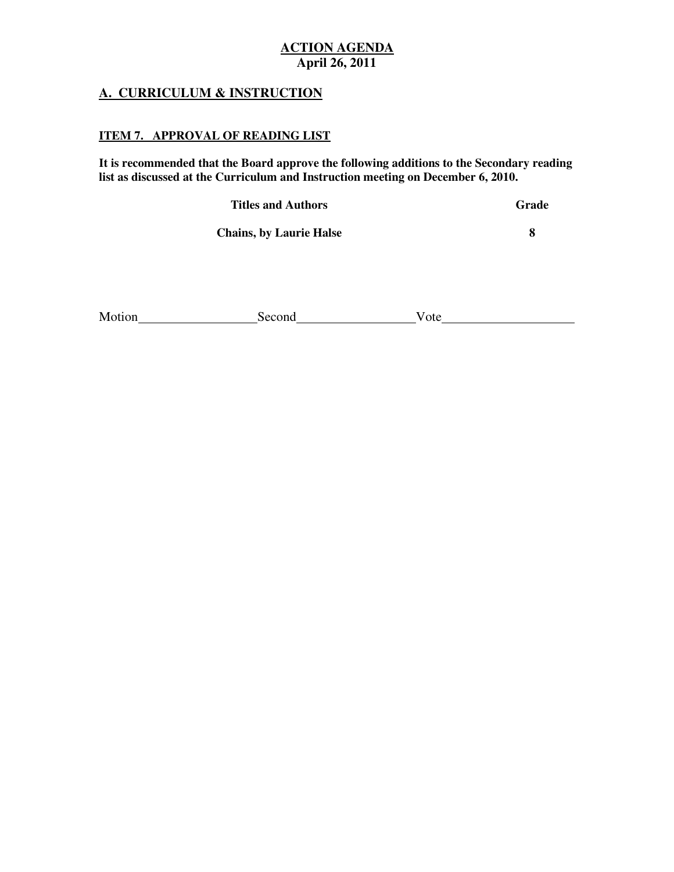### **A. CURRICULUM & INSTRUCTION**

#### **ITEM 7. APPROVAL OF READING LIST**

 **It is recommended that the Board approve the following additions to the Secondary reading list as discussed at the Curriculum and Instruction meeting on December 6, 2010.** 

**Titles and Authors** Grade **Grade** 

*S Chains, by Laurie Halse* **8 <b>8** 

| Motion | $n \alpha n$ | эtе |
|--------|--------------|-----|
|        |              |     |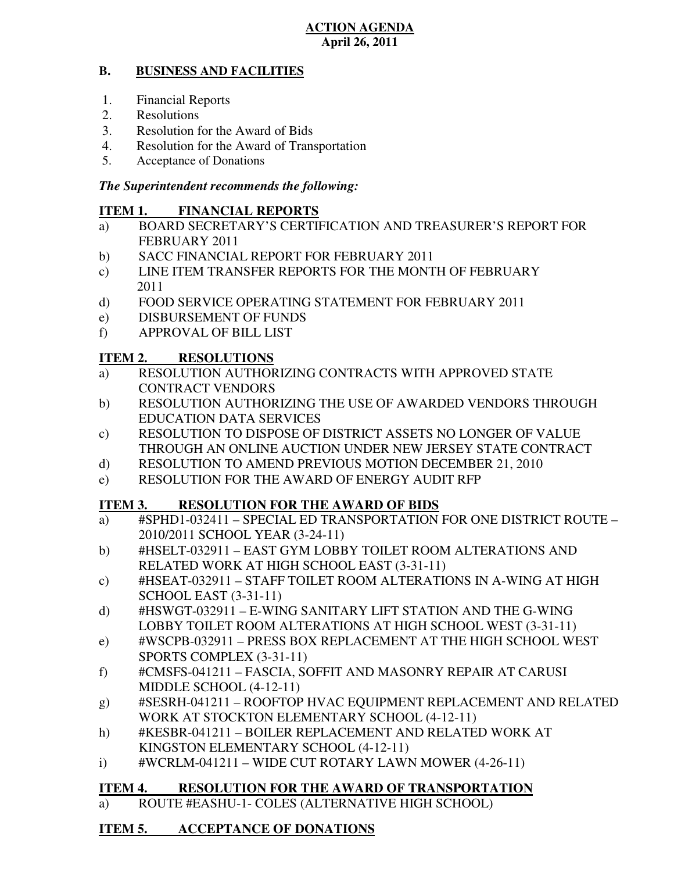#### **B. BUSINESS AND FACILITIES**

- 1. Financial Reports
- 2. Resolutions
- 3. Resolution for the Award of Bids
- 4. Resolution for the Award of Transportation
- 5. Acceptance of Donations

### *The Superintendent recommends the following:*

#### **ITEM 1. FINANCIAL REPORTS**

- a) BOARD SECRETARY'S CERTIFICATION AND TREASURER'S REPORT FOR FEBRUARY 2011
- $b)$ SACC FINANCIAL REPORT FOR FEBRUARY 2011
- c) LINE ITEM TRANSFER REPORTS FOR THE MONTH OF FEBRUARY 2011
- $\mathbf{d}$ FOOD SERVICE OPERATING STATEMENT FOR FEBRUARY 2011
- e) DISBURSEMENT OF FUNDS
- f) APPROVAL OF BILL LIST

#### **ITEM 2. RESOLUTIONS**

- a) RESOLUTION AUTHORIZING CONTRACTS WITH APPROVED STATE CONTRACT VENDORS
- b) RESOLUTION AUTHORIZING THE USE OF AWARDED VENDORS THROUGH EDUCATION DATA SERVICES
- c) RESOLUTION TO DISPOSE OF DISTRICT ASSETS NO LONGER OF VALUE THROUGH AN ONLINE AUCTION UNDER NEW JERSEY STATE CONTRACT
- d) RESOLUTION TO AMEND PREVIOUS MOTION DECEMBER 21, 2010
- e) RESOLUTION FOR THE AWARD OF ENERGY AUDIT RFP

#### **ITEM 3. RESOLUTION FOR THE AWARD OF BIDS**

- a) #SPHD1-032411 SPECIAL ED TRANSPORTATION FOR ONE DISTRICT ROUTE 2010/2011 SCHOOL YEAR (3-24-11)
- b) #HSELT-032911 EAST GYM LOBBY TOILET ROOM ALTERATIONS AND RELATED WORK AT HIGH SCHOOL EAST (3-31-11)
- c) #HSEAT-032911 STAFF TOILET ROOM ALTERATIONS IN A-WING AT HIGH SCHOOL EAST (3-31-11)
- d) #HSWGT-032911 E-WING SANITARY LIFT STATION AND THE G-WING LOBBY TOILET ROOM ALTERATIONS AT HIGH SCHOOL WEST (3-31-11)
- e) #WSCPB-032911 PRESS BOX REPLACEMENT AT THE HIGH SCHOOL WEST SPORTS COMPLEX (3-31-11)
- f) #CMSFS-041211 FASCIA, SOFFIT AND MASONRY REPAIR AT CARUSI MIDDLE SCHOOL (4-12-11)
- g) #SESRH-041211 ROOFTOP HVAC EQUIPMENT REPLACEMENT AND RELATED WORK AT STOCKTON ELEMENTARY SCHOOL (4-12-11)
- h) #KESBR-041211 BOILER REPLACEMENT AND RELATED WORK AT KINGSTON ELEMENTARY SCHOOL (4-12-11)
- i)  $\qquad$  #WCRLM-041211 WIDE CUT ROTARY LAWN MOWER (4-26-11)

#### **ITEM 4. RESOLUTION FOR THE AWARD OF TRANSPORTATION**

a) ROUTE #EASHU-1- COLES (ALTERNATIVE HIGH SCHOOL)

#### **ITEM 5. ACCEPTANCE OF DONATIONS**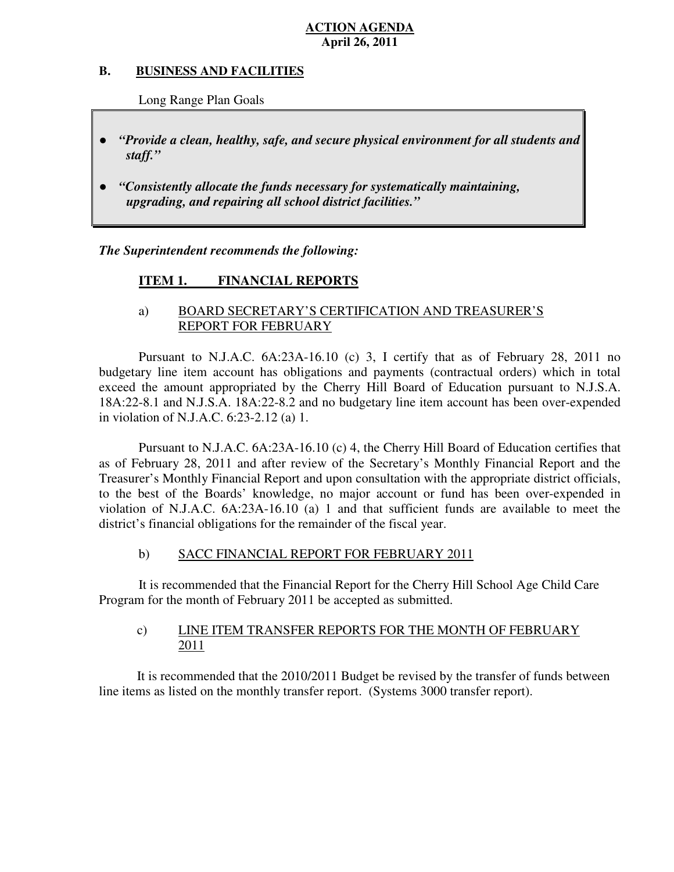#### **B. B. BUSINESS AND FACILITIES**

Long Range Plan Goals

- *"Provide a clean, healthy, safe, and secure physical environment for all students and staff."*
- *"Consistently allocate the funds necessary for systematically maintaining, upgrading, and repairing all school district facilities."*

 *The Superintendent recommends the following:* 

#### **ITEM 1. FINANCIAL REPORTS**

### a) BOARD SECRETARY'S CERTIFICATION AND TREASURER'S REPORT FOR FEBRUARY

 Pursuant to N.J.A.C. 6A:23A-16.10 (c) 3, I certify that as of February 28, 2011 no budgetary line item account has obligations and payments (contractual orders) which in total exceed the amount appropriated by the Cherry Hill Board of Education pursuant to N.J.S.A. 18A:22-8.1 and N.J.S.A. 18A:22-8.2 and no budgetary line item account has been over-expended in violation of N.J.A.C. 6:23-2.12 (a) 1.

 Pursuant to N.J.A.C. 6A:23A-16.10 (c) 4, the Cherry Hill Board of Education certifies that as of February 28, 2011 and after review of the Secretary's Monthly Financial Report and the Treasurer's Monthly Financial Report and upon consultation with the appropriate district officials, to the best of the Boards' knowledge, no major account or fund has been over-expended in violation of N.J.A.C. 6A:23A-16.10 (a) 1 and that sufficient funds are available to meet the district's financial obligations for the remainder of the fiscal year.

#### $b)$ SACC FINANCIAL REPORT FOR FEBRUARY 2011

 It is recommended that the Financial Report for the Cherry Hill School Age Child Care Program for the month of February 2011 be accepted as submitted.

#### $c)$ LINE ITEM TRANSFER REPORTS FOR THE MONTH OF FEBRUARY 2011

 It is recommended that the 2010/2011 Budget be revised by the transfer of funds between line items as listed on the monthly transfer report. (Systems 3000 transfer report).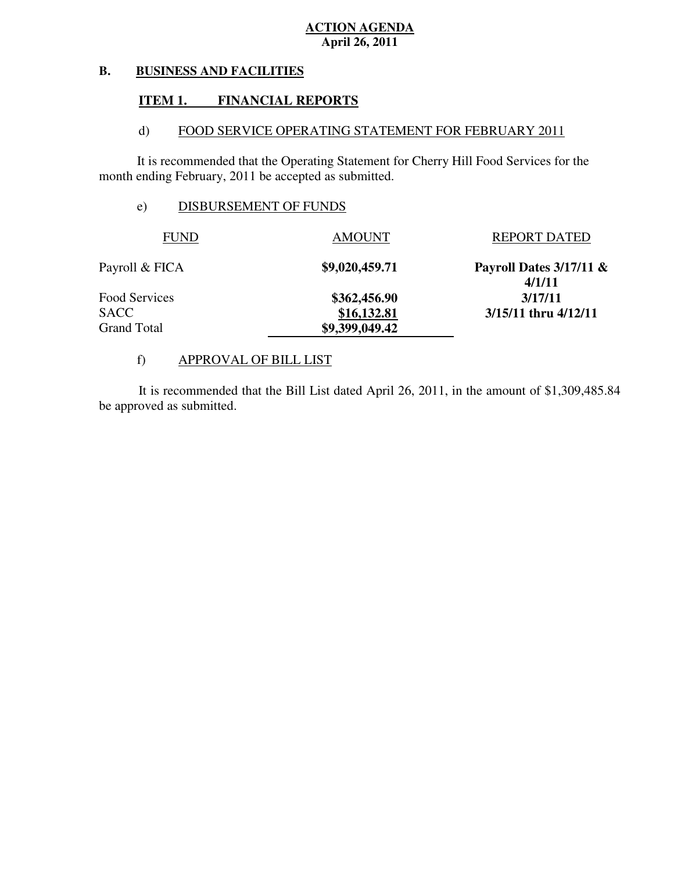#### **B. BUSINESS AND FACILITIES**

#### **ITEM 1. FINANCIAL REPORTS**

#### $\mathbf{d}$ FOOD SERVICE OPERATING STATEMENT FOR FEBRUARY 2011

 It is recommended that the Operating Statement for Cherry Hill Food Services for the month ending February, 2011 be accepted as submitted.

#### e) DISBURSEMENT OF FUNDS

| <b>FUND</b>        | <b>AMOUNT</b>  | <b>REPORT DATED</b>                 |
|--------------------|----------------|-------------------------------------|
| Payroll & FICA     | \$9,020,459.71 | Payroll Dates $3/17/11$ &<br>4/1/11 |
| Food Services      | \$362,456.90   | 3/17/11                             |
| <b>SACC</b>        | \$16,132.81    | $3/15/11$ thru $4/12/11$            |
| <b>Grand Total</b> | \$9,399,049.42 |                                     |

#### f) APPROVAL OF BILL LIST

 be approved as submitted. It is recommended that the Bill List dated April 26, 2011, in the amount of \$1,309,485.84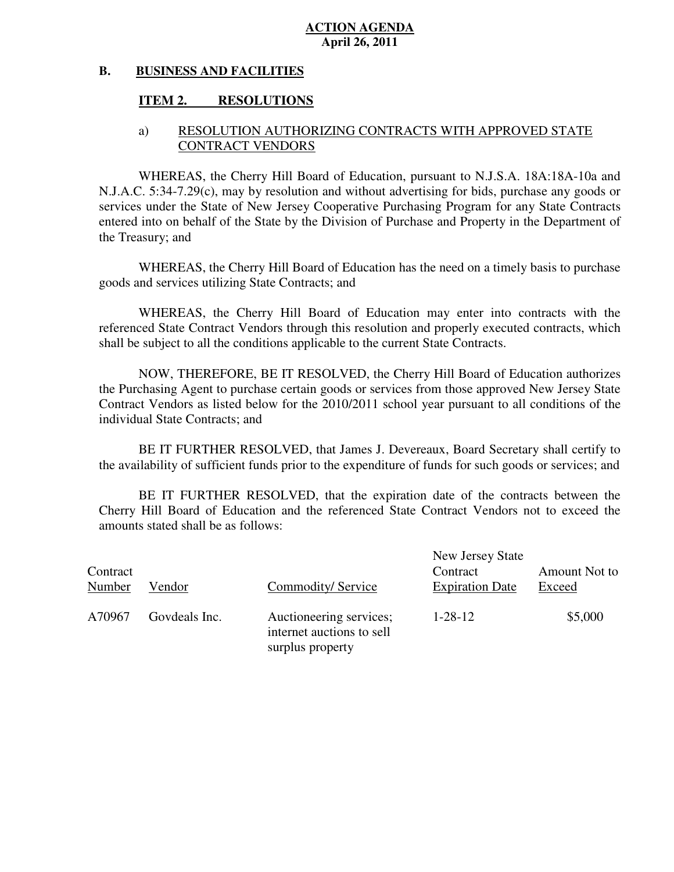#### **B. BUSINESS AND FACILITIES**

#### **ITEM 2. RESOLUTIONS**

### a) RESOLUTION AUTHORIZING CONTRACTS WITH APPROVED STATE CONTRACT VENDORS

 WHEREAS, the Cherry Hill Board of Education, pursuant to N.J.S.A. 18A:18A-10a and N.J.A.C. 5:34-7.29(c), may by resolution and without advertising for bids, purchase any goods or services under the State of New Jersey Cooperative Purchasing Program for any State Contracts entered into on behalf of the State by the Division of Purchase and Property in the Department of the Treasury; and

 WHEREAS, the Cherry Hill Board of Education has the need on a timely basis to purchase goods and services utilizing State Contracts; and

 WHEREAS, the Cherry Hill Board of Education may enter into contracts with the referenced State Contract Vendors through this resolution and properly executed contracts, which shall be subject to all the conditions applicable to the current State Contracts.

 NOW, THEREFORE, BE IT RESOLVED, the Cherry Hill Board of Education authorizes the Purchasing Agent to purchase certain goods or services from those approved New Jersey State Contract Vendors as listed below for the 2010/2011 school year pursuant to all conditions of the individual State Contracts; and

 the availability of sufficient funds prior to the expenditure of funds for such goods or services; and BE IT FURTHER RESOLVED, that James J. Devereaux, Board Secretary shall certify to

 Cherry Hill Board of Education and the referenced State Contract Vendors not to exceed the amounts stated shall be as follows: BE IT FURTHER RESOLVED, that the expiration date of the contracts between the

| Contract<br>Number | Vendor        | Commodity/Service                                                        | New Jersey State<br>Contract<br><b>Expiration Date</b> | Amount Not to<br>Exceed |
|--------------------|---------------|--------------------------------------------------------------------------|--------------------------------------------------------|-------------------------|
| A70967             | Govdeals Inc. | Auctioneering services;<br>internet auctions to sell<br>surplus property | $1 - 28 - 12$                                          | \$5,000                 |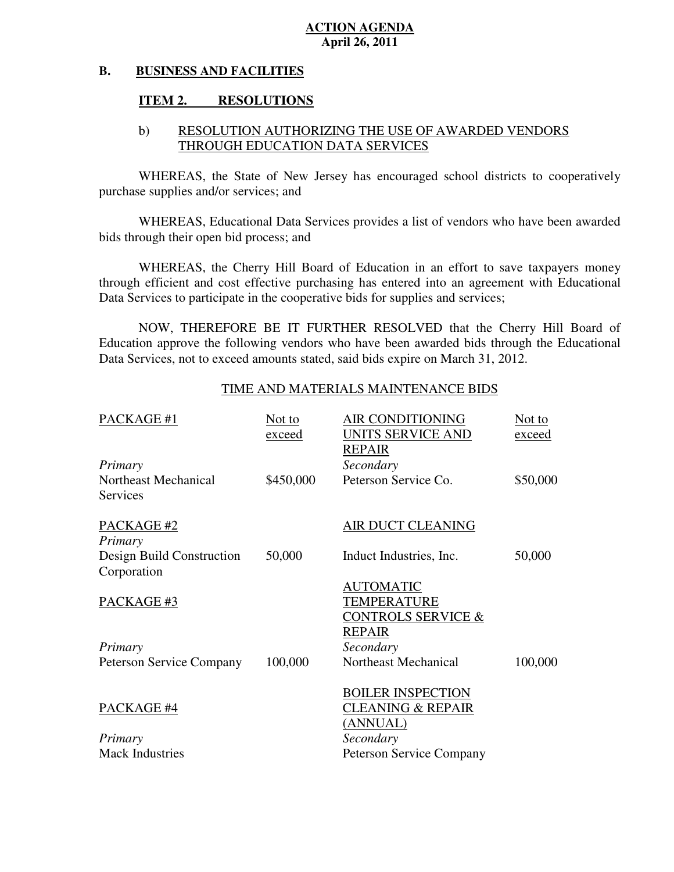#### **B. BUSINESS AND FACILITIES**

#### **ITEM 2. RESOLUTIONS**

### b) RESOLUTION AUTHORIZING THE USE OF AWARDED VENDORS THROUGH EDUCATION DATA SERVICES

 WHEREAS, the State of New Jersey has encouraged school districts to cooperatively purchase supplies and/or services; and

 WHEREAS, Educational Data Services provides a list of vendors who have been awarded bids through their open bid process; and

 WHEREAS, the Cherry Hill Board of Education in an effort to save taxpayers money through efficient and cost effective purchasing has entered into an agreement with Educational Data Services to participate in the cooperative bids for supplies and services;

 NOW, THEREFORE BE IT FURTHER RESOLVED that the Cherry Hill Board of Education approve the following vendors who have been awarded bids through the Educational Data Services, not to exceed amounts stated, said bids expire on March 31, 2012.

#### TIME AND MATERIALS MAINTENANCE BIDS

| PACKAGE #1                               | Not to<br>exceed | <b>AIR CONDITIONING</b><br>UNITS SERVICE AND<br><b>REPAIR</b>          | Not to<br>exceed |
|------------------------------------------|------------------|------------------------------------------------------------------------|------------------|
| Primary                                  |                  | Secondary                                                              |                  |
| Northeast Mechanical<br>Services         | \$450,000        | Peterson Service Co.                                                   | \$50,000         |
| PACKAGE #2<br>Primary                    |                  | AIR DUCT CLEANING                                                      |                  |
| Design Build Construction<br>Corporation | 50,000           | Induct Industries, Inc.                                                | 50,000           |
| PACKAGE #3                               |                  | <b>AUTOMATIC</b><br><b>TEMPERATURE</b><br>CONTROLS SERVICE &<br>REPAIR |                  |
| Primary                                  |                  | Secondary                                                              |                  |
| <b>Peterson Service Company</b>          | 100,000          | Northeast Mechanical                                                   | 100,000          |
| PACKAGE #4                               |                  | <b>BOILER INSPECTION</b><br><b>CLEANING &amp; REPAIR</b><br>(ANNUAL)   |                  |
| Primary                                  |                  | Secondary                                                              |                  |
| <b>Mack Industries</b>                   |                  | <b>Peterson Service Company</b>                                        |                  |
|                                          |                  |                                                                        |                  |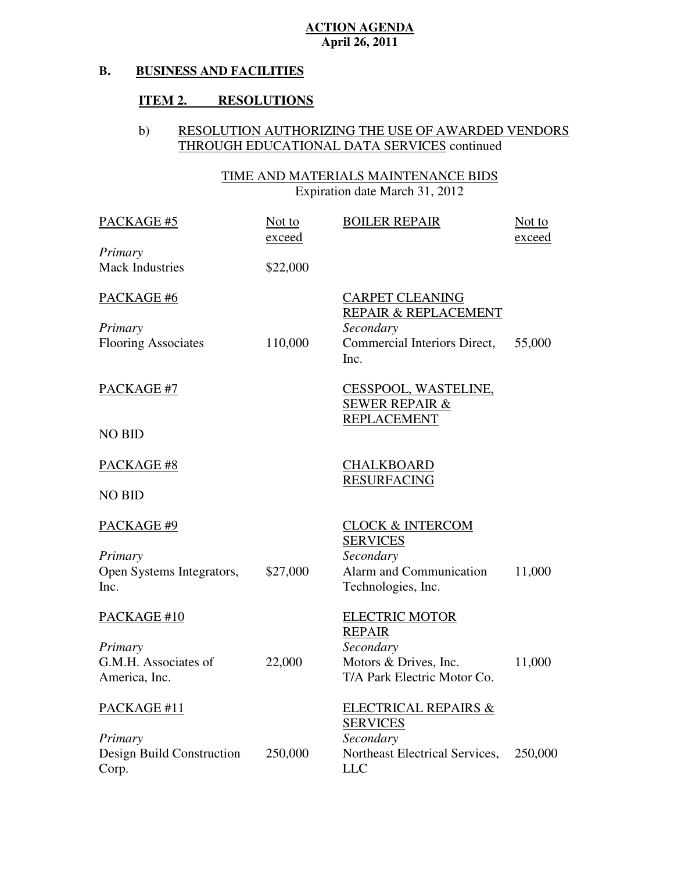#### **B. BUSINESS AND FACILITIES**

#### **ITEM 2. RESOLUTIONS**

#### b) RESOLUTION AUTHORIZING THE USE OF AWARDED VENDORS THROUGH EDUCATIONAL DATA SERVICES continued

 TIME AND MATERIALS MAINTENANCE BIDS Expiration date March 31, 2012

| PACKAGE #5                 | Not to<br>exceed | <b>BOILER REPAIR</b>                               | Not to<br>exceed |
|----------------------------|------------------|----------------------------------------------------|------------------|
| Primary                    |                  |                                                    |                  |
| <b>Mack Industries</b>     | \$22,000         |                                                    |                  |
| PACKAGE #6                 |                  | <b>CARPET CLEANING</b><br>REPAIR & REPLACEMENT     |                  |
| Primary                    |                  | Secondary                                          |                  |
| <b>Flooring Associates</b> | 110,000          | Commercial Interiors Direct,<br>Inc.               | 55,000           |
| PACKAGE #7                 |                  | CESSPOOL, WASTELINE,<br><b>SEWER REPAIR &amp;</b>  |                  |
| <b>NO BID</b>              |                  | <b>REPLACEMENT</b>                                 |                  |
| PACKAGE #8                 |                  | <b>CHALKBOARD</b><br><b>RESURFACING</b>            |                  |
| <b>NO BID</b>              |                  |                                                    |                  |
| PACKAGE #9                 |                  | <b>CLOCK &amp; INTERCOM</b><br><b>SERVICES</b>     |                  |
| Primary                    |                  | Secondary                                          |                  |
| Open Systems Integrators,  | \$27,000         | Alarm and Communication                            | 11,000           |
| Inc.                       |                  | Technologies, Inc.                                 |                  |
| PACKAGE #10                |                  | <b>ELECTRIC MOTOR</b><br><b>REPAIR</b>             |                  |
|                            |                  | Secondary                                          |                  |
| Primary                    |                  |                                                    |                  |
| G.M.H. Associates of       | 22,000           | Motors & Drives, Inc.                              | 11,000           |
| America, Inc.              |                  | T/A Park Electric Motor Co.                        |                  |
| PACKAGE #11                |                  | <b>ELECTRICAL REPAIRS &amp;</b><br><b>SERVICES</b> |                  |
| Primary                    |                  | Secondary                                          |                  |
| Design Build Construction  | 250,000          | Northeast Electrical Services,                     | 250,000          |
|                            |                  | <b>LLC</b>                                         |                  |
| Corp.                      |                  |                                                    |                  |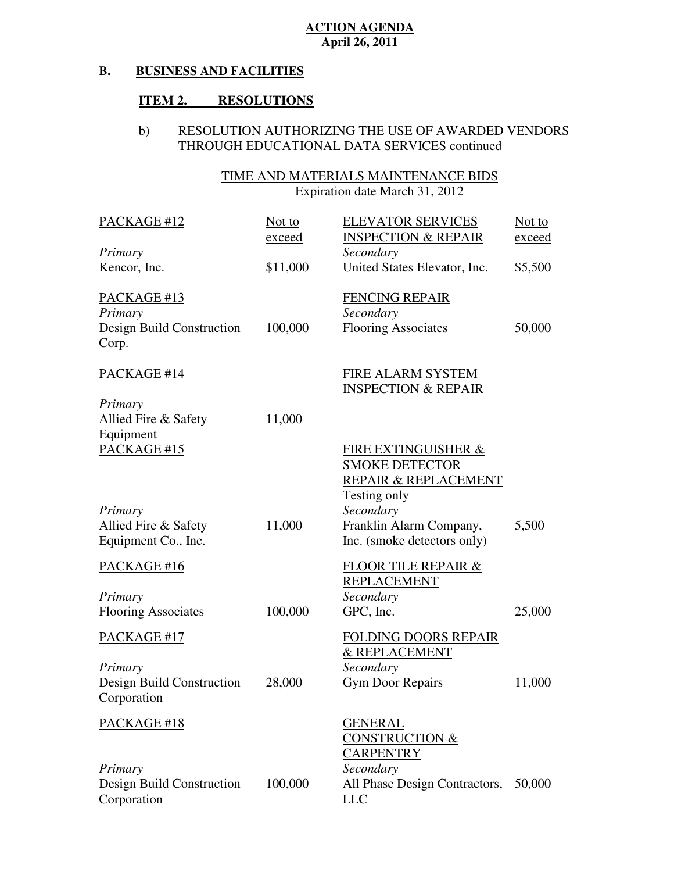#### **B. BUSINESS AND FACILITIES**

#### **ITEM 2. RESOLUTIONS**

#### b) RESOLUTION AUTHORIZING THE USE OF AWARDED VENDORS THROUGH EDUCATIONAL DATA SERVICES continued

#### TIME AND MATERIALS MAINTENANCE BIDS Expiration date March 31, 2012 PACKAGE #12 INSPECTION & REPAIR Not to Kencor, Inc. PACKAGE #13 Design Build Construction PACKAGE #14 INSPECTION & REPAIR Allied Fire & Safety PACKAGE #15 REPAIR & REPLACEMENT Testing only Allied Fire & Safety Equipment Co., Inc. Franklin Alarm Company, Inc. (smoke detectors only) PACKAGE #16 Flooring Associates 100,000 PACKAGE #17 Design Build Construction PACKAGE #18 CONSTRUCTION & *Primary*  Not to exceed \$11,000 ELEVATOR SERVICES *Secondary*  United States Elevator, Inc. exceed \$5,500 *Primary*  Corp. 100,000 FENCING REPAIR *Secondary*  Flooring Associates 50,000 *Primary*  Equipment *Primary*  11,000 11,000 FIRE ALARM SYSTEM FIRE EXTINGUISHER & SMOKE DETECTOR *Secondary*  5,500 *Primary*  FLOOR TILE REPAIR & REPLACEMENT *Secondary*  GPC, Inc. 25,000 *Primary*  Corporation 28,000 FOLDING DOORS REPAIR & REPLACEMENT *Secondary*  Gym Door Repairs 11,000 GENERAL **CARPENTRY**

*Secondary* 

LLC

All Phase Design Contractors, 50,000

 Design Build Construction *Primary*  Corporation 100,000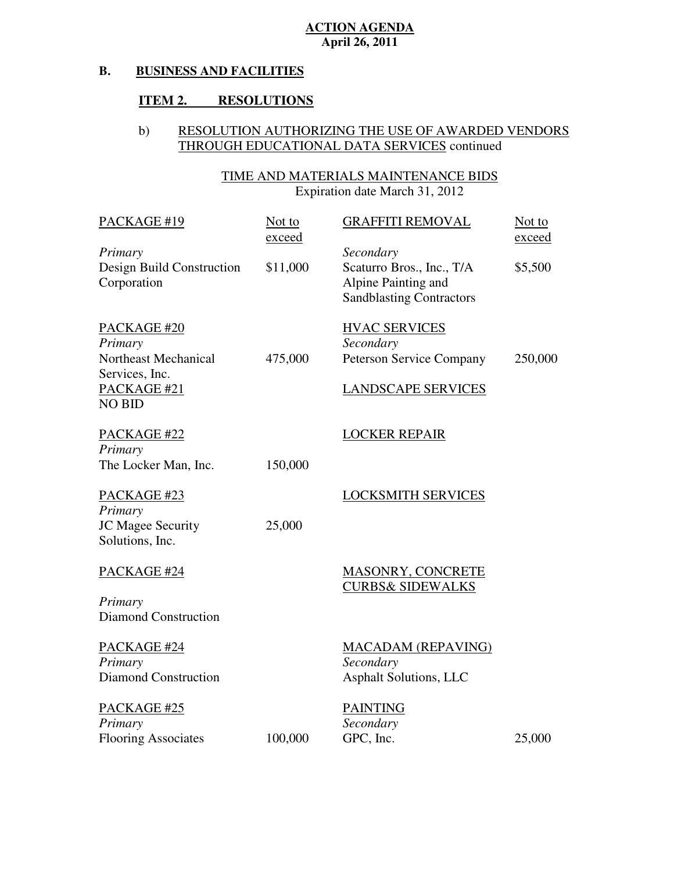#### **B. BUSINESS AND FACILITIES**

#### **ITEM 2. RESOLUTIONS**

#### b) RESOLUTION AUTHORIZING THE USE OF AWARDED VENDORS THROUGH EDUCATIONAL DATA SERVICES continued

#### TIME AND MATERIALS MAINTENANCE BIDS Expiration date March 31, 2012

| PACKAGE #19                                                                                      | Not to<br>exceed | <b>GRAFFITI REMOVAL</b>                                                                          | Not to<br>exceed |
|--------------------------------------------------------------------------------------------------|------------------|--------------------------------------------------------------------------------------------------|------------------|
| Primary<br>Design Build Construction<br>Corporation                                              | \$11,000         | Secondary<br>Scaturro Bros., Inc., T/A<br>Alpine Painting and<br><b>Sandblasting Contractors</b> | \$5,500          |
| PACKAGE #20<br>Primary<br>Northeast Mechanical<br>Services, Inc.<br>PACKAGE #21<br><b>NO BID</b> | 475,000          | <b>HVAC SERVICES</b><br>Secondary<br>Peterson Service Company<br><b>LANDSCAPE SERVICES</b>       | 250,000          |
| PACKAGE #22<br>Primary<br>The Locker Man, Inc.                                                   | 150,000          | <b>LOCKER REPAIR</b>                                                                             |                  |
| PACKAGE #23<br>Primary<br>JC Magee Security<br>Solutions, Inc.                                   | 25,000           | <b>LOCKSMITH SERVICES</b>                                                                        |                  |
| PACKAGE #24<br>Primary                                                                           |                  | <b>MASONRY, CONCRETE</b><br><b>CURBS&amp; SIDEWALKS</b>                                          |                  |
| <b>Diamond Construction</b>                                                                      |                  |                                                                                                  |                  |
| PACKAGE #24<br>Primary<br><b>Diamond Construction</b>                                            |                  | <b>MACADAM (REPAVING)</b><br>Secondary<br><b>Asphalt Solutions, LLC</b>                          |                  |
| PACKAGE #25<br>Primary<br><b>Flooring Associates</b>                                             | 100,000          | <b>PAINTING</b><br>Secondary<br>GPC, Inc.                                                        | 25,000           |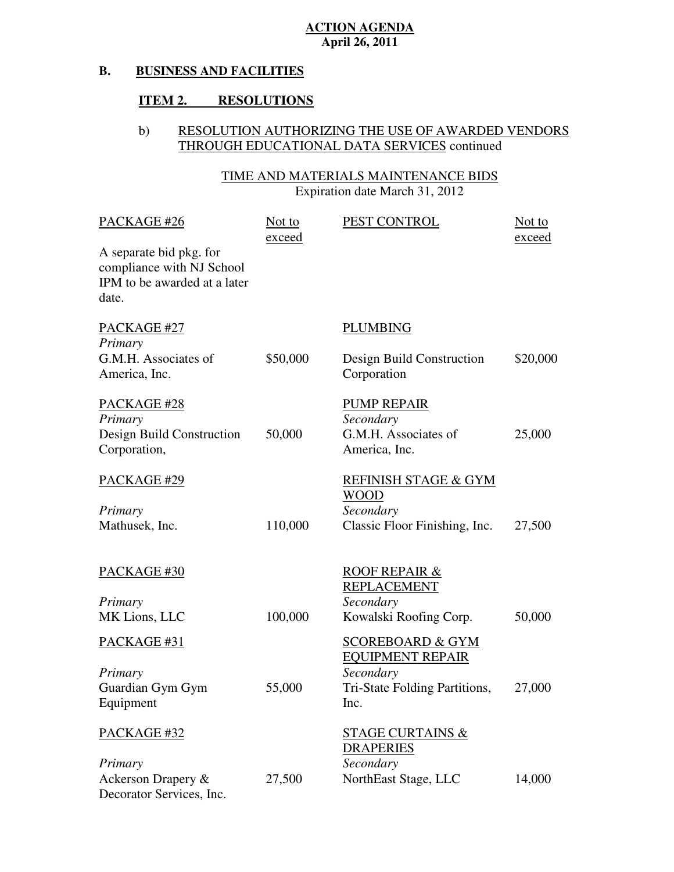#### **B. BUSINESS AND FACILITIES**

#### **ITEM 2. RESOLUTIONS**

#### b) RESOLUTION AUTHORIZING THE USE OF AWARDED VENDORS THROUGH EDUCATIONAL DATA SERVICES continued

#### TIME AND MATERIALS MAINTENANCE BIDS Expiration date March 31, 2012

| PACKAGE #26                                                                                   | Not to<br>exceed | PEST CONTROL                                           | Not to<br>exceed |
|-----------------------------------------------------------------------------------------------|------------------|--------------------------------------------------------|------------------|
| A separate bid pkg. for<br>compliance with NJ School<br>IPM to be awarded at a later<br>date. |                  |                                                        |                  |
| PACKAGE #27                                                                                   |                  | <b>PLUMBING</b>                                        |                  |
| Primary                                                                                       |                  |                                                        |                  |
| G.M.H. Associates of                                                                          | \$50,000         | Design Build Construction                              | \$20,000         |
| America, Inc.                                                                                 |                  | Corporation                                            |                  |
| PACKAGE #28                                                                                   |                  | <b>PUMP REPAIR</b>                                     |                  |
| Primary                                                                                       |                  | Secondary                                              |                  |
| Design Build Construction                                                                     | 50,000           | G.M.H. Associates of                                   | 25,000           |
| Corporation,                                                                                  |                  | America, Inc.                                          |                  |
| PACKAGE #29                                                                                   |                  | <b>REFINISH STAGE &amp; GYM</b>                        |                  |
|                                                                                               |                  | <b>WOOD</b>                                            |                  |
| Primary                                                                                       |                  | Secondary                                              |                  |
| Mathusek, Inc.                                                                                | 110,000          | Classic Floor Finishing, Inc.                          | 27,500           |
| PACKAGE #30                                                                                   |                  | <b>ROOF REPAIR &amp;</b><br><b>REPLACEMENT</b>         |                  |
| Primary                                                                                       |                  | Secondary                                              |                  |
| MK Lions, LLC                                                                                 | 100,000          | Kowalski Roofing Corp.                                 | 50,000           |
|                                                                                               |                  |                                                        |                  |
| PACKAGE #31                                                                                   |                  | <b>SCOREBOARD &amp; GYM</b><br><b>EQUIPMENT REPAIR</b> |                  |
| Primary                                                                                       |                  | Secondary                                              |                  |
| Guardian Gym Gym                                                                              | 55,000           | Tri-State Folding Partitions,                          | 27,000           |
| Equipment                                                                                     |                  | Inc.                                                   |                  |
|                                                                                               |                  |                                                        |                  |
| PACKAGE #32                                                                                   |                  | <b>STAGE CURTAINS &amp;</b><br><b>DRAPERIES</b>        |                  |
| Primary                                                                                       |                  | Secondary                                              |                  |
| Ackerson Drapery &                                                                            | 27,500           | NorthEast Stage, LLC                                   | 14,000           |
| Decorator Services, Inc.                                                                      |                  |                                                        |                  |
|                                                                                               |                  |                                                        |                  |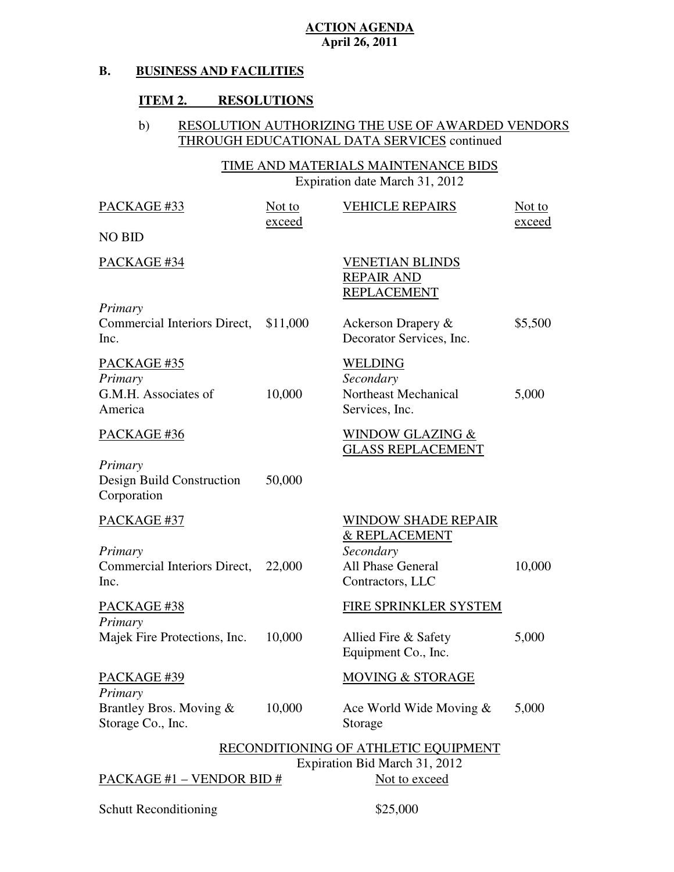#### **B. BUSINESS AND FACILITIES**

#### **ITEM 2. RESOLUTIONS**

#### b) RESOLUTION AUTHORIZING THE USE OF AWARDED VENDORS THROUGH EDUCATIONAL DATA SERVICES continued

### TIME AND MATERIALS MAINTENANCE BIDS Expiration date March 31, 2012

| PACKAGE #33                                                    | Not to<br><u>exceed</u> | <b>VEHICLE REPAIRS</b>                                                                            | Not to<br>exceed |
|----------------------------------------------------------------|-------------------------|---------------------------------------------------------------------------------------------------|------------------|
| <b>NO BID</b>                                                  |                         |                                                                                                   |                  |
| PACKAGE #34                                                    |                         | <b>VENETIAN BLINDS</b><br><b>REPAIR AND</b><br><b>REPLACEMENT</b>                                 |                  |
| Primary<br>Commercial Interiors Direct,<br>Inc.                | \$11,000                | Ackerson Drapery &<br>Decorator Services, Inc.                                                    | \$5,500          |
| PACKAGE #35<br>Primary<br>G.M.H. Associates of<br>America      | 10,000                  | <b>WELDING</b><br>Secondary<br>Northeast Mechanical<br>Services, Inc.                             | 5,000            |
| PACKAGE #36                                                    |                         | <b>WINDOW GLAZING &amp;</b><br><b>GLASS REPLACEMENT</b>                                           |                  |
| Primary<br>Design Build Construction<br>Corporation            | 50,000                  |                                                                                                   |                  |
| PACKAGE #37<br>Primary<br>Commercial Interiors Direct,<br>Inc. | 22,000                  | <b>WINDOW SHADE REPAIR</b><br>& REPLACEMENT<br>Secondary<br>All Phase General<br>Contractors, LLC | 10,000           |
| PACKAGE #38<br>Primary                                         |                         | FIRE SPRINKLER SYSTEM                                                                             |                  |
| Majek Fire Protections, Inc.                                   | 10,000                  | Allied Fire & Safety<br>Equipment Co., Inc.                                                       | 5,000            |
| PACKAGE #39<br>Primary                                         |                         | <b>MOVING &amp; STORAGE</b>                                                                       |                  |
| Brantley Bros. Moving &<br>Storage Co., Inc.                   | 10,000                  | Ace World Wide Moving $&$<br>Storage                                                              | 5,000            |
|                                                                |                         | RECONDITIONING OF ATHLETIC EQUIPMENT                                                              |                  |
| <b>PACKAGE #1 – VENDOR BID #</b>                               |                         | Expiration Bid March 31, 2012<br>Not to exceed                                                    |                  |

Schutt Reconditioning  $$25,000$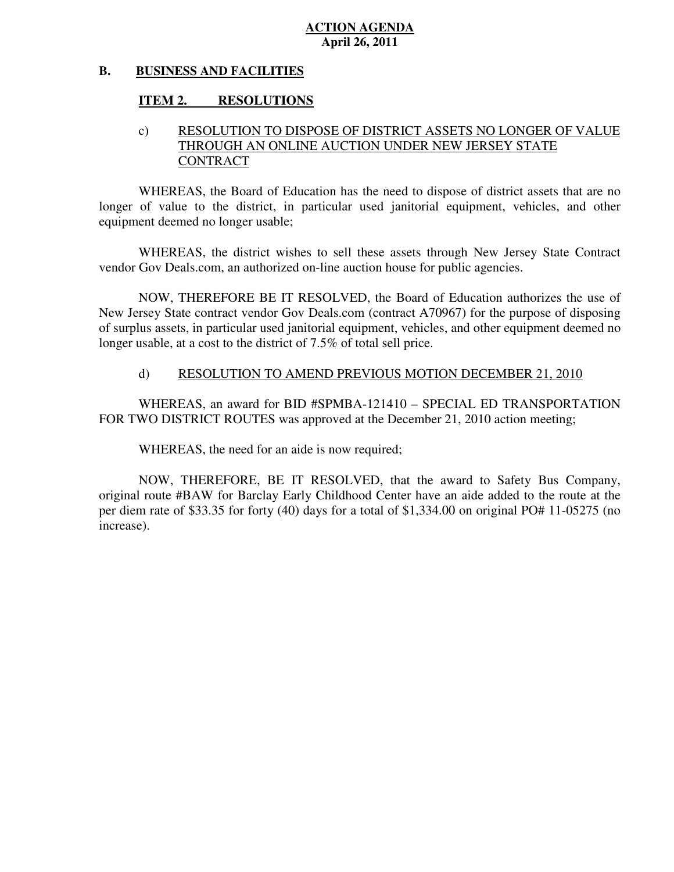#### **B. BUSINESS AND FACILITIES**

#### **ITEM 2. RESOLUTIONS**

#### c) RESOLUTION TO DISPOSE OF DISTRICT ASSETS NO LONGER OF VALUE THROUGH AN ONLINE AUCTION UNDER NEW JERSEY STATE **CONTRACT**

 WHEREAS, the Board of Education has the need to dispose of district assets that are no longer of value to the district, in particular used janitorial equipment, vehicles, and other equipment deemed no longer usable;

 WHEREAS, the district wishes to sell these assets through New Jersey State Contract vendor Gov Deals.com, an authorized on-line auction house for public agencies.

 NOW, THEREFORE BE IT RESOLVED, the Board of Education authorizes the use of New Jersey State contract vendor Gov Deals.com (contract A70967) for the purpose of disposing of surplus assets, in particular used janitorial equipment, vehicles, and other equipment deemed no longer usable, at a cost to the district of 7.5% of total sell price.

#### d) RESOLUTION TO AMEND PREVIOUS MOTION DECEMBER 21, 2010

 WHEREAS, an award for BID #SPMBA-121410 – SPECIAL ED TRANSPORTATION FOR TWO DISTRICT ROUTES was approved at the December 21, 2010 action meeting;

WHEREAS, the need for an aide is now required;

 NOW, THEREFORE, BE IT RESOLVED, that the award to Safety Bus Company, original route #BAW for Barclay Early Childhood Center have an aide added to the route at the per diem rate of \$33.35 for forty (40) days for a total of \$1,334.00 on original PO# 11-05275 (no increase).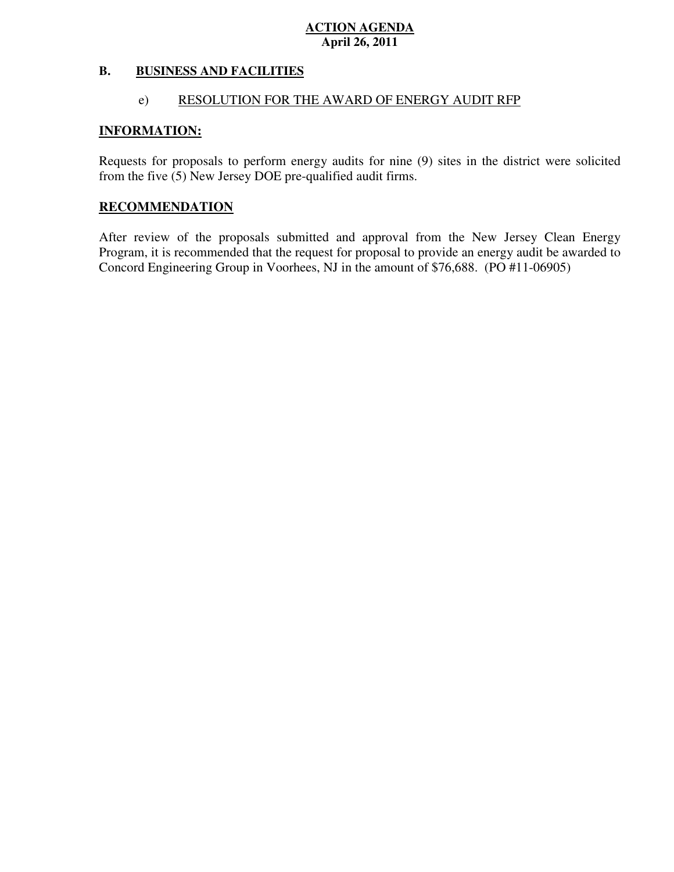#### **B. B. BUSINESS AND FACILITIES**

#### e) RESOLUTION FOR THE AWARD OF ENERGY AUDIT RFP

#### **INFORMATION:**

 Requests for proposals to perform energy audits for nine (9) sites in the district were solicited from the five (5) New Jersey DOE pre-qualified audit firms.

#### **RECOMMENDATION**

 After review of the proposals submitted and approval from the New Jersey Clean Energy Program, it is recommended that the request for proposal to provide an energy audit be awarded to Concord Engineering Group in Voorhees, NJ in the amount of \$76,688. (PO #11-06905)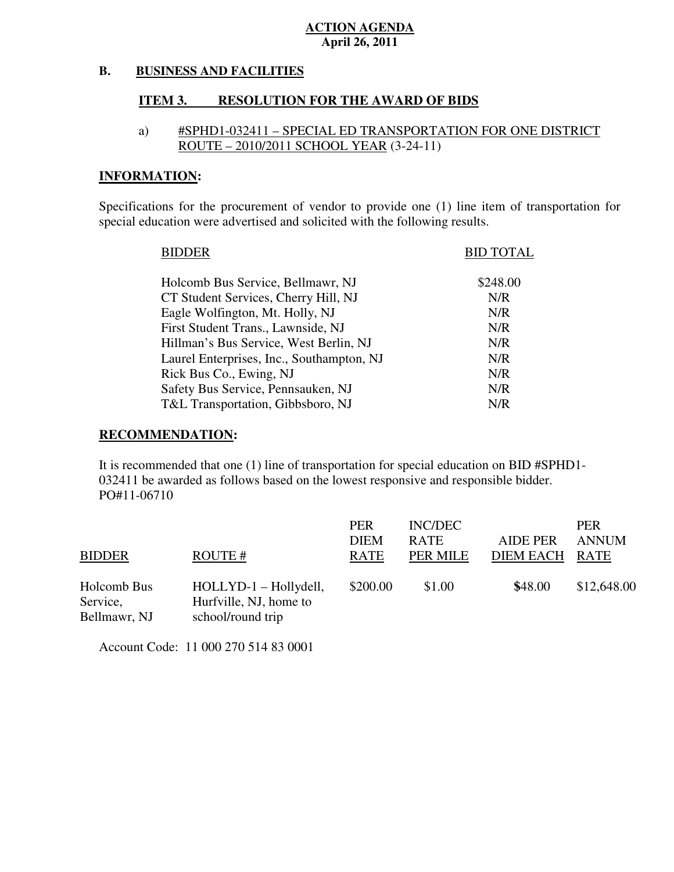#### **B. BUSINESS AND FACILITIES**

#### **ITEM 3. RESOLUTION FOR THE AWARD OF BIDS**

#### a) #SPHD1-032411 – SPECIAL ED TRANSPORTATION FOR ONE DISTRICT ROUTE – 2010/2011 SCHOOL YEAR (3-24-11)

### **INFORMATION:**

 Specifications for the procurement of vendor to provide one (1) line item of transportation for special education were advertised and solicited with the following results.

| <b>BIDDER</b>                             | <b>BID TOTAL</b> |
|-------------------------------------------|------------------|
| Holcomb Bus Service, Bellmawr, NJ         | \$248.00         |
| CT Student Services, Cherry Hill, NJ      | N/R              |
| Eagle Wolfington, Mt. Holly, NJ           | N/R              |
| First Student Trans., Lawnside, NJ        | N/R              |
| Hillman's Bus Service, West Berlin, NJ    | N/R              |
| Laurel Enterprises, Inc., Southampton, NJ | N/R              |
| Rick Bus Co., Ewing, NJ                   | N/R              |
| Safety Bus Service, Pennsauken, NJ        | N/R              |
| T&L Transportation, Gibbsboro, NJ         | N/R              |
|                                           |                  |

#### **RECOMMENDATION:**

 It is recommended that one (1) line of transportation for special education on BID #SPHD1 032411 be awarded as follows based on the lowest responsive and responsible bidder. PO#11-06710

|               |                        | <b>PER</b>  | <b>INC/DEC</b> |                  | <b>PER</b>   |
|---------------|------------------------|-------------|----------------|------------------|--------------|
|               |                        | <b>DIEM</b> | <b>RATE</b>    | <b>AIDE PER</b>  | <b>ANNUM</b> |
| <b>BIDDER</b> | ROUTE#                 | RATE        | PER MILE       | <b>DIEM EACH</b> | <b>RATE</b>  |
| Holcomb Bus   | HOLLYD-1 - Hollydell,  | \$200.00    | \$1.00         | \$48.00          | \$12,648.00  |
| Service,      | Hurfville, NJ, home to |             |                |                  |              |
| Bellmawr, NJ  | school/round trip      |             |                |                  |              |

Account Code: 11 000 270 514 83 0001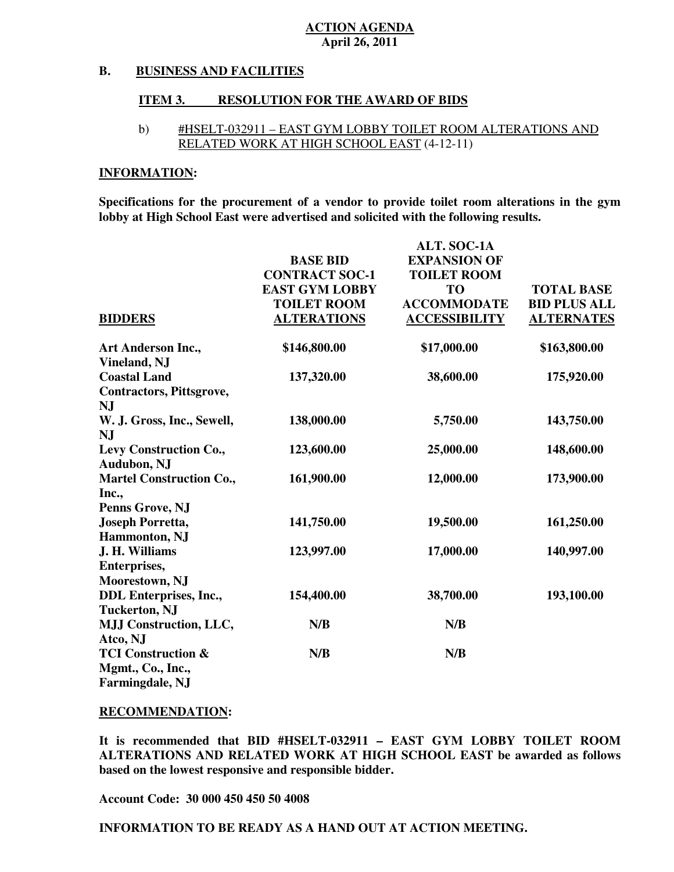#### **B. BUSINESS AND FACILITIES**

#### **ITEM 3. RESOLUTION FOR THE AWARD OF BIDS**

#### b) #HSELT-032911 – EAST GYM LOBBY TOILET ROOM ALTERATIONS AND RELATED WORK AT HIGH SCHOOL EAST (4-12-11)

#### **INFORMATION:**

 **Specifications for the procurement of a vendor to provide toilet room alterations in the gym lobby at High School East were advertised and solicited with the following results.** 

|                                              |                       | <b>ALT. SOC-1A</b>   |                     |
|----------------------------------------------|-----------------------|----------------------|---------------------|
|                                              | <b>BASE BID</b>       | <b>EXPANSION OF</b>  |                     |
|                                              | <b>CONTRACT SOC-1</b> | <b>TOILET ROOM</b>   |                     |
|                                              | <b>EAST GYM LOBBY</b> | <b>TO</b>            | <b>TOTAL BASE</b>   |
|                                              | <b>TOILET ROOM</b>    | <b>ACCOMMODATE</b>   | <b>BID PLUS ALL</b> |
| <b>BIDDERS</b>                               | <b>ALTERATIONS</b>    | <b>ACCESSIBILITY</b> | <b>ALTERNATES</b>   |
| <b>Art Anderson Inc.,</b>                    | \$146,800.00          | \$17,000.00          | \$163,800.00        |
| Vineland, NJ                                 |                       |                      |                     |
| <b>Coastal Land</b>                          | 137,320.00            | 38,600.00            | 175,920.00          |
| <b>Contractors, Pittsgrove,</b><br><b>NJ</b> |                       |                      |                     |
| W. J. Gross, Inc., Sewell,                   | 138,000.00            | 5,750.00             | 143,750.00          |
| NJ                                           |                       |                      |                     |
| Levy Construction Co.,<br><b>Audubon, NJ</b> | 123,600.00            | 25,000.00            | 148,600.00          |
| <b>Martel Construction Co.,</b>              | 161,900.00            | 12,000.00            | 173,900.00          |
| Inc.,                                        |                       |                      |                     |
| Penns Grove, NJ                              |                       |                      |                     |
| <b>Joseph Porretta,</b>                      | 141,750.00            | 19,500.00            | 161,250.00          |
| <b>Hammonton</b> , NJ                        |                       |                      |                     |
| J. H. Williams                               | 123,997.00            | 17,000.00            | 140,997.00          |
| <b>Enterprises,</b>                          |                       |                      |                     |
| Moorestown, NJ                               |                       |                      |                     |
| <b>DDL</b> Enterprises, Inc.,                | 154,400.00            | 38,700.00            | 193,100.00          |
| <b>Tuckerton, NJ</b>                         |                       |                      |                     |
| <b>MJJ Construction, LLC,</b>                | N/B                   | N/B                  |                     |
| Atco, NJ                                     |                       |                      |                     |
| <b>TCI Construction &amp;</b>                | N/B                   | N/B                  |                     |
| Mgmt., Co., Inc.,<br><b>Farmingdale, NJ</b>  |                       |                      |                     |
|                                              |                       |                      |                     |

#### **RECOMMENDATION:**

 **It is recommended that BID #HSELT-032911 – EAST GYM LOBBY TOILET ROOM ALTERATIONS AND RELATED WORK AT HIGH SCHOOL EAST be awarded as follows based on the lowest responsive and responsible bidder.** 

 **Account Code: 30 000 450 450 50 4008**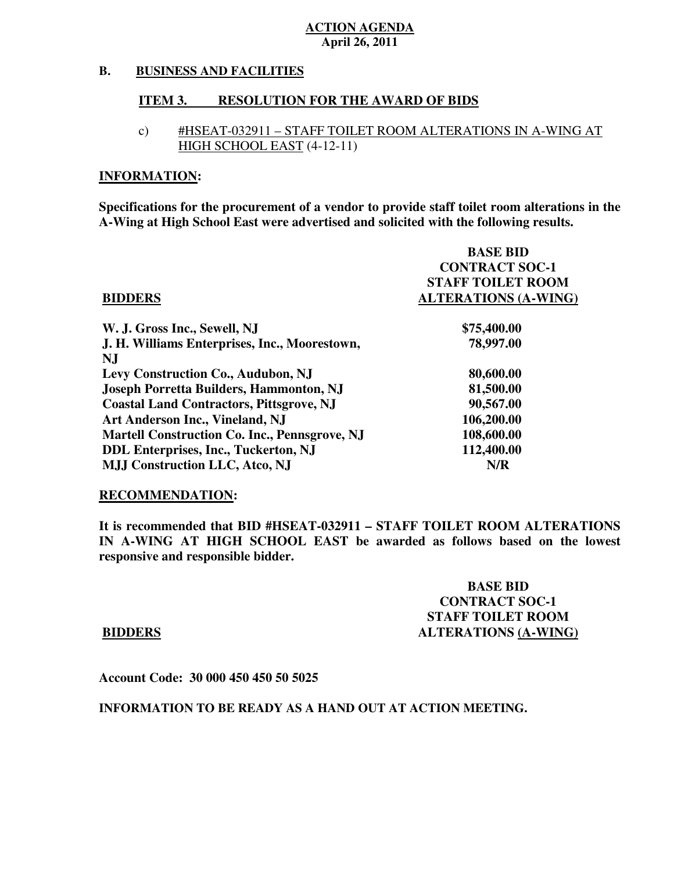#### **B. BUSINESS AND FACILITIES**

#### **ITEM 3. RESOLUTION FOR THE AWARD OF BIDS**

c) #HSEAT-032911 – STAFF TOILET ROOM ALTERATIONS IN A-WING AT HIGH SCHOOL EAST (4-12-11)

#### **INFORMATION:**

 **Specifications for the procurement of a vendor to provide staff toilet room alterations in the A-Wing at High School East were advertised and solicited with the following results.** 

|                                                      | <b>BASE BID</b>             |
|------------------------------------------------------|-----------------------------|
|                                                      | <b>CONTRACT SOC-1</b>       |
|                                                      | <b>STAFF TOILET ROOM</b>    |
| <b>BIDDERS</b>                                       | <b>ALTERATIONS (A-WING)</b> |
| W. J. Gross Inc., Sewell, NJ                         | \$75,400.00                 |
| J. H. Williams Enterprises, Inc., Moorestown,        | 78,997.00                   |
| NJ                                                   |                             |
| Levy Construction Co., Audubon, NJ                   | 80,600.00                   |
| <b>Joseph Porretta Builders, Hammonton, NJ</b>       | 81,500.00                   |
| <b>Coastal Land Contractors, Pittsgrove, NJ</b>      | 90,567.00                   |
| Art Anderson Inc., Vineland, NJ                      | 106,200.00                  |
| <b>Martell Construction Co. Inc., Pennsgrove, NJ</b> | 108,600.00                  |
| <b>DDL Enterprises, Inc., Tuckerton, NJ</b>          | 112,400.00                  |
| <b>MJJ Construction LLC, Atco, NJ</b>                | N/R                         |

#### **RECOMMENDATION:**

 **It is recommended that BID #HSEAT-032911 – STAFF TOILET ROOM ALTERATIONS IN A-WING AT HIGH SCHOOL EAST be awarded as follows based on the lowest responsive and responsible bidder.** 

### **BASE BID CONTRACT SOC-1 STAFF TOILET ROOM BIDDERS** ALTERATIONS (A-WING)

 **Account Code: 30 000 450 450 50 5025**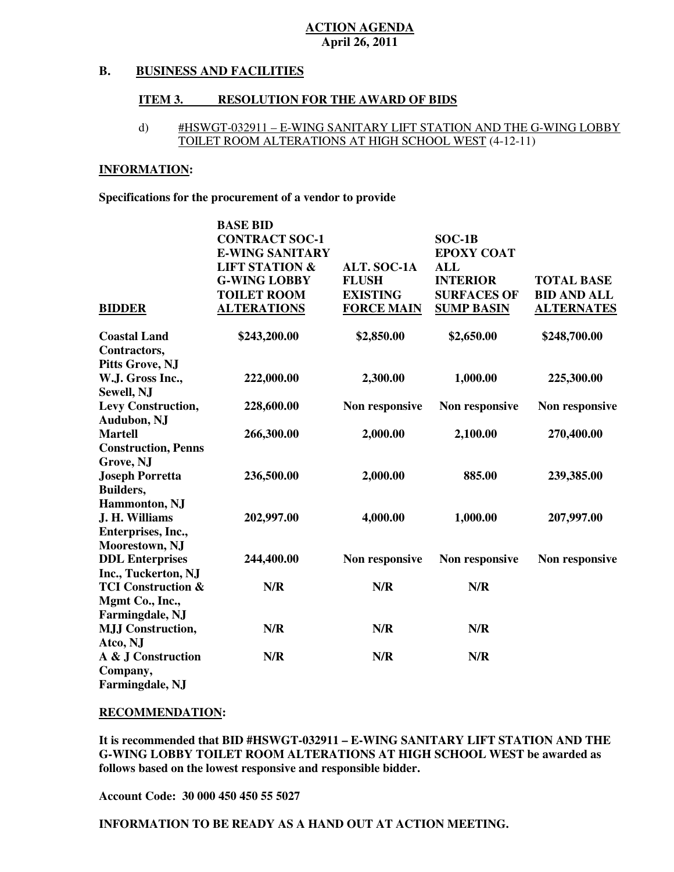#### **B. BUSINESS AND FACILITIES**

#### **ITEM 3. RESOLUTION FOR THE AWARD OF BIDS**

#### d) #HSWGT-032911 – E-WING SANITARY LIFT STATION AND THE G-WING LOBBY TOILET ROOM ALTERATIONS AT HIGH SCHOOL WEST (4-12-11)

#### **INFORMATION:**

 **Specifications for the procurement of a vendor to provide** 

|                                   | <b>BASE BID</b>           |                    |                    |                    |
|-----------------------------------|---------------------------|--------------------|--------------------|--------------------|
|                                   | <b>CONTRACT SOC-1</b>     |                    | $SOC-1B$           |                    |
|                                   | <b>E-WING SANITARY</b>    |                    | <b>EPOXY COAT</b>  |                    |
|                                   | <b>LIFT STATION &amp;</b> | <b>ALT. SOC-1A</b> | <b>ALL</b>         |                    |
|                                   | <b>G-WING LOBBY</b>       | <b>FLUSH</b>       | <b>INTERIOR</b>    | <b>TOTAL BASE</b>  |
|                                   | <b>TOILET ROOM</b>        | <b>EXISTING</b>    | <b>SURFACES OF</b> | <b>BID AND ALL</b> |
| <b>BIDDER</b>                     | <b>ALTERATIONS</b>        | <b>FORCE MAIN</b>  | <b>SUMP BASIN</b>  | <b>ALTERNATES</b>  |
| <b>Coastal Land</b>               | \$243,200.00              | \$2,850.00         | \$2,650.00         | \$248,700.00       |
| Contractors,                      |                           |                    |                    |                    |
| <b>Pitts Grove, NJ</b>            |                           |                    |                    |                    |
| W.J. Gross Inc.,<br>Sewell, NJ    | 222,000.00                | 2,300.00           | 1,000.00           | 225,300.00         |
| Levy Construction,<br>Audubon, NJ | 228,600.00                | Non responsive     | Non responsive     | Non responsive     |
| <b>Martell</b>                    | 266,300.00                | 2,000.00           | 2,100.00           | 270,400.00         |
| <b>Construction, Penns</b>        |                           |                    |                    |                    |
| Grove, NJ                         |                           |                    |                    |                    |
| <b>Joseph Porretta</b>            | 236,500.00                | 2,000.00           | 885.00             | 239,385.00         |
| Builders,                         |                           |                    |                    |                    |
| Hammonton, NJ                     |                           |                    |                    |                    |
| J. H. Williams                    | 202,997.00                | 4,000.00           | 1,000.00           | 207,997.00         |
| Enterprises, Inc.,                |                           |                    |                    |                    |
| Moorestown, NJ                    |                           |                    |                    |                    |
| <b>DDL</b> Enterprises            | 244,400.00                | Non responsive     | Non responsive     | Non responsive     |
| Inc., Tuckerton, NJ               |                           |                    |                    |                    |
| <b>TCI Construction &amp;</b>     | N/R                       | N/R                | N/R                |                    |
| Mgmt Co., Inc.,                   |                           |                    |                    |                    |
| Farmingdale, NJ                   |                           |                    |                    |                    |
| <b>MJJ Construction,</b>          | N/R                       | N/R                | N/R                |                    |
| Atco, NJ                          |                           |                    |                    |                    |
| A & J Construction                | N/R                       | N/R                | N/R                |                    |
| Company,                          |                           |                    |                    |                    |
| Farmingdale, NJ                   |                           |                    |                    |                    |

#### **RECOMMENDATION:**

 **It is recommended that BID #HSWGT-032911 – E-WING SANITARY LIFT STATION AND THE G-WING LOBBY TOILET ROOM ALTERATIONS AT HIGH SCHOOL WEST be awarded as follows based on the lowest responsive and responsible bidder.** 

 **Account Code: 30 000 450 450 55 5027**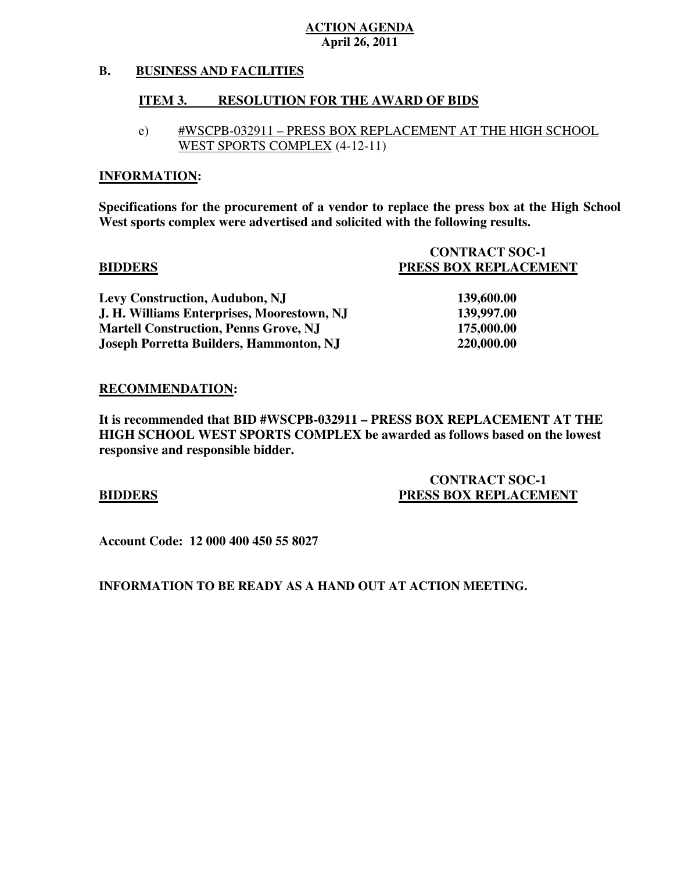#### **B. B. BUSINESS AND FACILITIES**

#### **ITEM 3. INCOLUTION FOR THE AWARD OF BIDS**

e) #WSCPB-032911 – PRESS BOX REPLACEMENT AT THE HIGH SCHOOL WEST SPORTS COMPLEX (4-12-11)

#### **INFORMATION:**

 **Specifications for the procurement of a vendor to replace the press box at the High School West sports complex were advertised and solicited with the following results.** 

|                                                | <b>CONTRACT SOC-1</b> |
|------------------------------------------------|-----------------------|
| <b>BIDDERS</b>                                 | PRESS BOX REPLACEMENT |
| <b>Levy Construction, Audubon, NJ</b>          | 139,600.00            |
| J. H. Williams Enterprises, Moorestown, NJ     | 139,997.00            |
| <b>Martell Construction, Penns Grove, NJ</b>   | 175,000.00            |
| <b>Joseph Porretta Builders, Hammonton, NJ</b> | 220,000.00            |

#### **RECOMMENDATION:**

 **It is recommended that BID #WSCPB-032911 – PRESS BOX REPLACEMENT AT THE HIGH SCHOOL WEST SPORTS COMPLEX be awarded as follows based on the lowest responsive and responsible bidder.** 

### **CONTRACT SOC-1 BIDDERS** PRESS BOX REPLACEMENT

 **Account Code: 12 000 400 450 55 8027**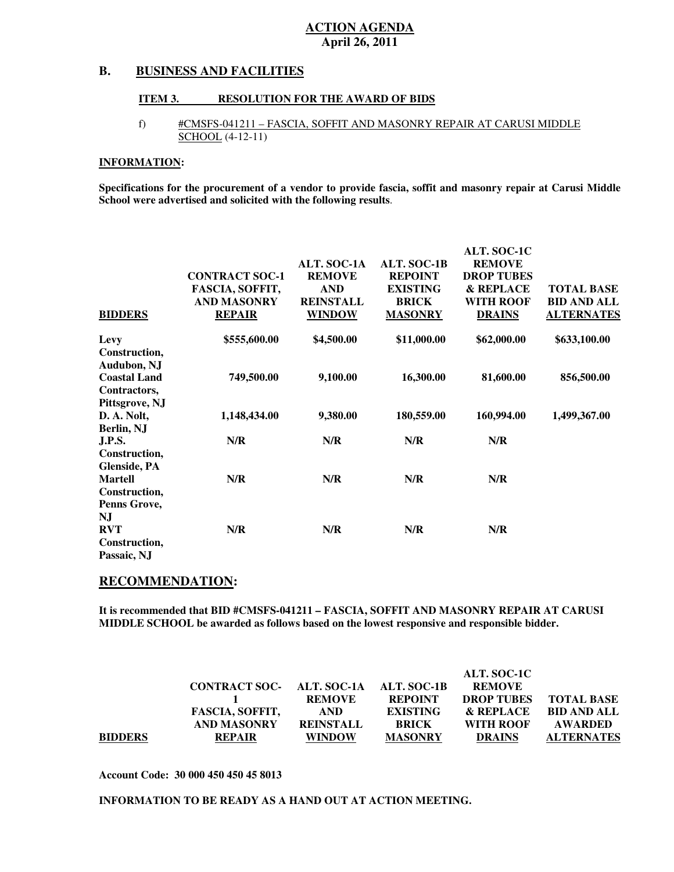#### **B. B. BUSINESS AND FACILITIES**

#### **ITEM 3. RESOLUTION FOR THE AWARD OF BIDS**

#### f) #CMSFS-041211 – FASCIA, SOFFIT AND MASONRY REPAIR AT CARUSI MIDDLE SCHOOL (4-12-11)

#### **INFORMATION:**

 **Specifications for the procurement of a vendor to provide fascia, soffit and masonry repair at Carusi Middle School were advertised and solicited with the following results**.

| <b>BIDDERS</b>                                        | <b>CONTRACT SOC-1</b><br>FASCIA, SOFFIT,<br><b>AND MASONRY</b><br><b>REPAIR</b> | <b>ALT. SOC-1A</b><br><b>REMOVE</b><br><b>AND</b><br><b>REINSTALL</b><br><b>WINDOW</b> | ALT. SOC-1B<br><b>REPOINT</b><br><b>EXISTING</b><br><b>BRICK</b><br><b>MASONRY</b> | <b>ALT. SOC-1C</b><br><b>REMOVE</b><br><b>DROP TUBES</b><br><b>&amp; REPLACE</b><br><b>WITH ROOF</b><br><b>DRAINS</b> | <b>TOTAL BASE</b><br><b>BID AND ALL</b><br><b>ALTERNATES</b> |
|-------------------------------------------------------|---------------------------------------------------------------------------------|----------------------------------------------------------------------------------------|------------------------------------------------------------------------------------|-----------------------------------------------------------------------------------------------------------------------|--------------------------------------------------------------|
| Levy<br>Construction,                                 | \$555,600.00                                                                    | \$4,500.00                                                                             | \$11,000.00                                                                        | \$62,000.00                                                                                                           | \$633,100.00                                                 |
| Audubon, NJ<br><b>Coastal Land</b><br>Contractors,    | 749,500.00                                                                      | 9,100.00                                                                               | 16,300.00                                                                          | 81,600.00                                                                                                             | 856,500.00                                                   |
| Pittsgrove, NJ<br>D. A. Nolt,<br>Berlin, NJ           | 1,148,434.00                                                                    | 9,380.00                                                                               | 180,559.00                                                                         | 160,994.00                                                                                                            | 1,499,367.00                                                 |
| <b>J.P.S.</b><br>Construction,<br><b>Glenside, PA</b> | N/R                                                                             | N/R                                                                                    | N/R                                                                                | N/R                                                                                                                   |                                                              |
| <b>Martell</b><br>Construction,<br>Penns Grove,       | N/R                                                                             | N/R                                                                                    | N/R                                                                                | N/R                                                                                                                   |                                                              |
| NJ<br><b>RVT</b><br>Construction,<br>Passaic, NJ      | N/R                                                                             | N/R                                                                                    | N/R                                                                                | N/R                                                                                                                   |                                                              |

#### **RECOMMENDATION:**

 **It is recommended that BID #CMSFS-041211 – FASCIA, SOFFIT AND MASONRY REPAIR AT CARUSI MIDDLE SCHOOL be awarded as follows based on the lowest responsive and responsible bidder.** 

|                |                                       |                  |                 | ALT. SOC-1C       |                    |
|----------------|---------------------------------------|------------------|-----------------|-------------------|--------------------|
|                | CONTRACT SOC- ALT. SOC-1A ALT. SOC-1B |                  |                 | <b>REMOVE</b>     |                    |
|                |                                       | REMOVE           | <b>REPOINT</b>  | <b>DROP TUBES</b> | <b>TOTAL BASE</b>  |
|                | <b>FASCIA, SOFFIT,</b>                | <b>AND</b>       | <b>EXISTING</b> | & REPLACE         | <b>BID AND ALL</b> |
|                | <b>AND MASONRY</b>                    | <b>REINSTALL</b> | <b>BRICK</b>    | WITH ROOF         | AWARDED            |
| <b>BIDDERS</b> | <b>REPAIR</b>                         | <b>WINDOW</b>    | <b>MASONRY</b>  | <b>DRAINS</b>     | <b>ALTERNATES</b>  |

 **Account Code: 30 000 450 450 45 8013**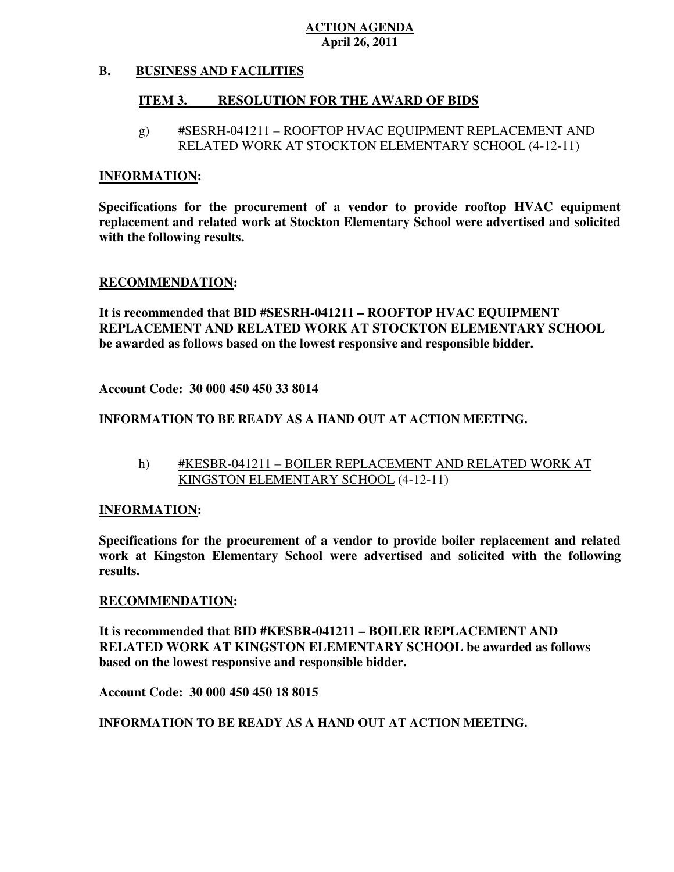#### **B. B. BUSINESS AND FACILITIES**

#### **ITEM 3. RESOLUTION FOR THE AWARD OF BIDS**

 g) #SESRH-041211 – ROOFTOP HVAC EQUIPMENT REPLACEMENT AND RELATED WORK AT STOCKTON ELEMENTARY SCHOOL (4-12-11)

#### **INFORMATION:**

 **Specifications for the procurement of a vendor to provide rooftop HVAC equipment replacement and related work at Stockton Elementary School were advertised and solicited with the following results.** 

#### **RECOMMENDATION:**

 **It is recommended that BID** #**SESRH-041211 – ROOFTOP HVAC EQUIPMENT REPLACEMENT AND RELATED WORK AT STOCKTON ELEMENTARY SCHOOL be awarded as follows based on the lowest responsive and responsible bidder.** 

 **Account Code: 30 000 450 450 33 8014** 

#### **INFORMATION TO BE READY AS A HAND OUT AT ACTION MEETING.**

h) #KESBR-041211 – BOILER REPLACEMENT AND RELATED WORK AT KINGSTON ELEMENTARY SCHOOL (4-12-11)

#### **INFORMATION:**

 **Specifications for the procurement of a vendor to provide boiler replacement and related work at Kingston Elementary School were advertised and solicited with the following results.** 

#### **RECOMMENDATION:**

 **It is recommended that BID #KESBR-041211 – BOILER REPLACEMENT AND RELATED WORK AT KINGSTON ELEMENTARY SCHOOL be awarded as follows based on the lowest responsive and responsible bidder.** 

 **Account Code: 30 000 450 450 18 8015**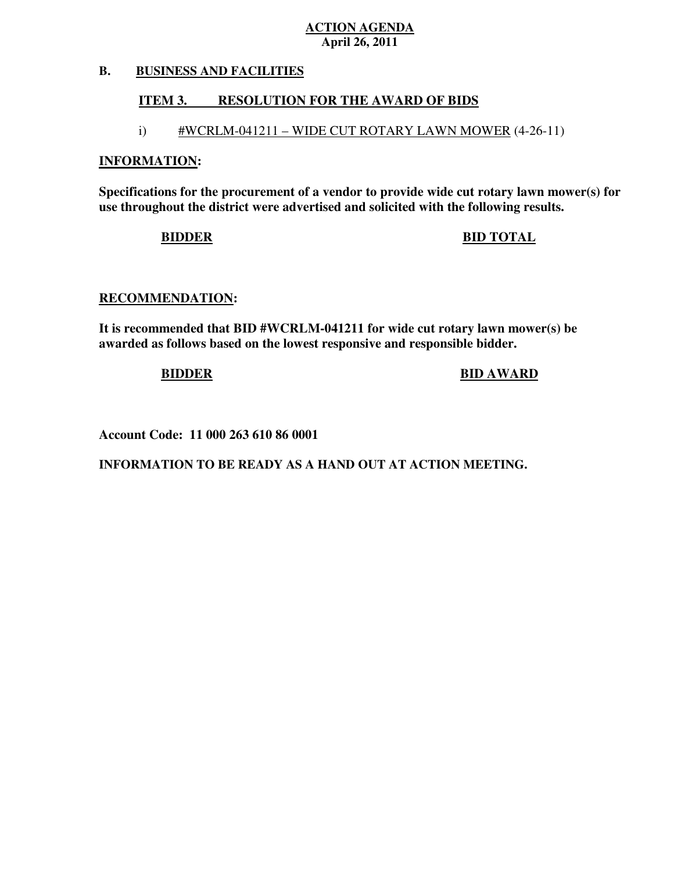#### **B. BUSINESS AND FACILITIES**

#### **ITEM 3. RESOLUTION FOR THE AWARD OF BIDS**

# i) #WCRLM-041211 – WIDE CUT ROTARY LAWN MOWER (4-26-11)

#### **INFORMATION:**

 **Specifications for the procurement of a vendor to provide wide cut rotary lawn mower(s) for use throughout the district were advertised and solicited with the following results.** 

### **BIDDER BID TOTAL**

#### **RECOMMENDATION:**

 **It is recommended that BID #WCRLM-041211 for wide cut rotary lawn mower(s) be awarded as follows based on the lowest responsive and responsible bidder.** 

#### **BIDDER BID AWARD**

 **Account Code: 11 000 263 610 86 0001**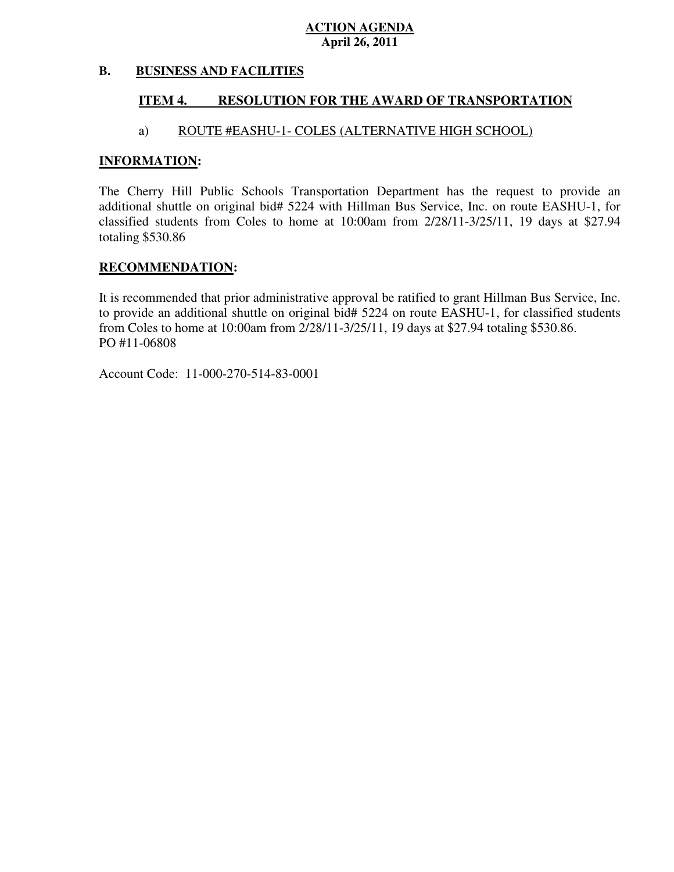#### **B. BUSINESS AND FACILITIES**

#### **ITEM 4. RESOLUTION FOR THE AWARD OF TRANSPORTATION**

#### a) ROUTE #EASHU-1- COLES (ALTERNATIVE HIGH SCHOOL)

#### **INFORMATION:**

 The Cherry Hill Public Schools Transportation Department has the request to provide an additional shuttle on original bid# 5224 with Hillman Bus Service, Inc. on route EASHU-1, for classified students from Coles to home at 10:00am from 2/28/11-3/25/11, 19 days at \$27.94 totaling \$530.86

#### **RECOMMENDATION:**

 It is recommended that prior administrative approval be ratified to grant Hillman Bus Service, Inc. to provide an additional shuttle on original bid# 5224 on route EASHU-1, for classified students from Coles to home at 10:00am from 2/28/11-3/25/11, 19 days at \$27.94 totaling \$530.86. PO #11-06808

Account Code: 11-000-270-514-83-0001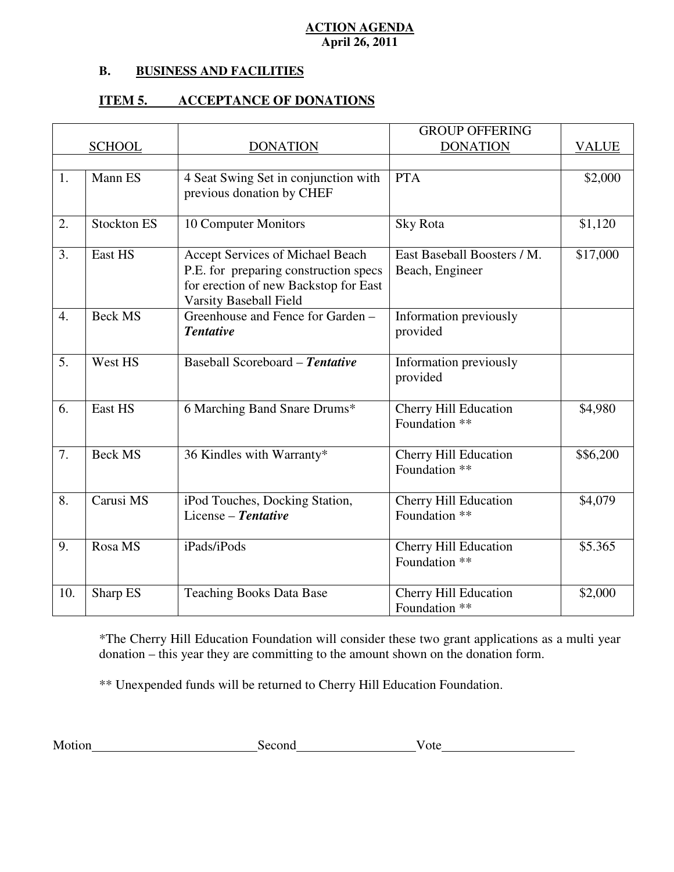#### **B. B. BUSINESS AND FACILITIES**

#### **ITEM 5. ITEM 5. ACCEPTANCE OF DONATIONS**

|     |                    |                                                                 | <b>GROUP OFFERING</b>                         |              |
|-----|--------------------|-----------------------------------------------------------------|-----------------------------------------------|--------------|
|     | <b>SCHOOL</b>      | <b>DONATION</b>                                                 | <b>DONATION</b>                               | <b>VALUE</b> |
|     |                    |                                                                 |                                               |              |
| 1.  | Mann ES            | 4 Seat Swing Set in conjunction with                            | <b>PTA</b>                                    | \$2,000      |
|     |                    | previous donation by CHEF                                       |                                               |              |
| 2.  | <b>Stockton ES</b> | 10 Computer Monitors                                            | Sky Rota                                      | \$1,120      |
|     |                    |                                                                 |                                               |              |
| 3.  | East HS            | Accept Services of Michael Beach                                | East Baseball Boosters / M.                   | \$17,000     |
|     |                    | P.E. for preparing construction specs                           | Beach, Engineer                               |              |
|     |                    | for erection of new Backstop for East<br>Varsity Baseball Field |                                               |              |
| 4.  | <b>Beck MS</b>     | Greenhouse and Fence for Garden -                               | Information previously                        |              |
|     |                    | <b>Tentative</b>                                                | provided                                      |              |
|     |                    |                                                                 |                                               |              |
| 5.  | West HS            | Baseball Scoreboard - Tentative                                 | Information previously                        |              |
|     |                    |                                                                 | provided                                      |              |
|     | East HS            |                                                                 |                                               |              |
| 6.  |                    | 6 Marching Band Snare Drums*                                    | <b>Cherry Hill Education</b><br>Foundation ** | \$4,980      |
|     |                    |                                                                 |                                               |              |
| 7.  | <b>Beck MS</b>     | 36 Kindles with Warranty*                                       | <b>Cherry Hill Education</b>                  | \$\$6,200    |
|     |                    |                                                                 | Foundation **                                 |              |
|     |                    |                                                                 |                                               |              |
| 8.  | Carusi MS          | iPod Touches, Docking Station,                                  | Cherry Hill Education                         | \$4,079      |
|     |                    | License - Tentative                                             | Foundation **                                 |              |
| 9.  | Rosa MS            | iPads/iPods                                                     | <b>Cherry Hill Education</b>                  | \$5.365      |
|     |                    |                                                                 | Foundation **                                 |              |
|     |                    |                                                                 |                                               |              |
| 10. | Sharp ES           | <b>Teaching Books Data Base</b>                                 | <b>Cherry Hill Education</b>                  | \$2,000      |
|     |                    |                                                                 | Foundation **                                 |              |

 \*The Cherry Hill Education Foundation will consider these two grant applications as a multi year donation – this year they are committing to the amount shown on the donation form.

\*\* Unexpended funds will be returned to Cherry Hill Education Foundation.

| M | $- -$ |       |
|---|-------|-------|
|   | .     | . 10F |
|   |       |       |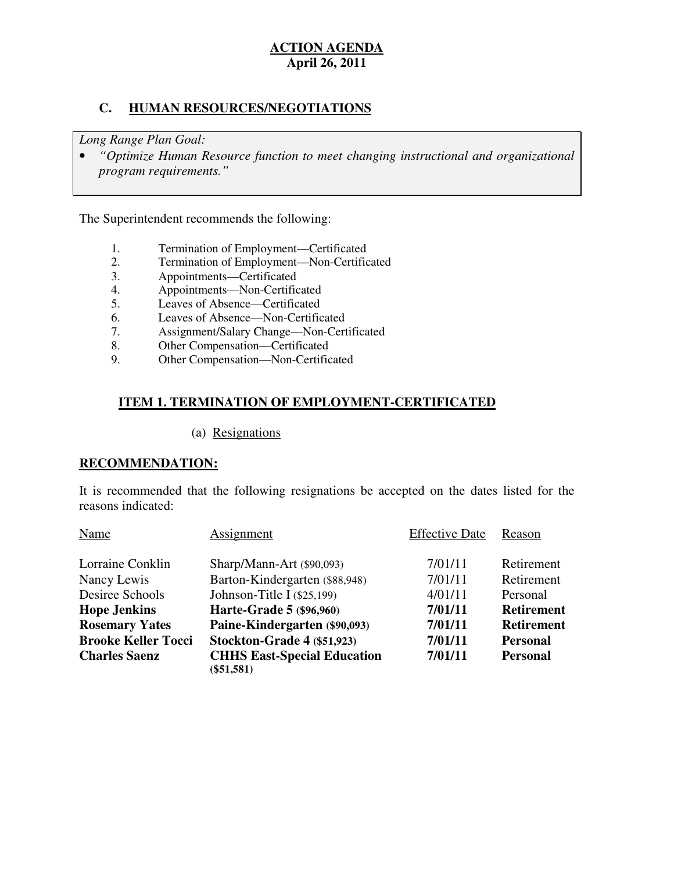### **C. HUMAN RESOURCES/NEGOTIATIONS**

 *Long Range Plan Goal:* 

**•** "Optimize Human Resource function to meet changing instructional and organizational *program requirements."* 

The Superintendent recommends the following:

- 1. Termination of Employment—Certificated<br>2. Termination of Employment—Non-Certific
- 2. Termination of Employment—Non-Certificated
- 3. Appointments—Certificated
- 4. Appointments—Non-Certificated
- 5. Leaves of Absence—Certificated
- 6. Leaves of Absence—Non-Certificated
- 7. Assignment/Salary Change—Non-Certificated
- 8. Other Compensation—Certificated<br>9. Other Compensation—Non-Certific
- Other Compensation—Non-Certificated

### **ITEM 1. TERMINATION OF EMPLOYMENT-CERTIFICATED**

#### (a) Resignations

#### **RECOMMENDATION:**

 It is recommended that the following resignations be accepted on the dates listed for the reasons indicated:

| Name                       | Assignment                                         | <b>Effective Date</b> | Reason            |
|----------------------------|----------------------------------------------------|-----------------------|-------------------|
| Lorraine Conklin           | Sharp/Mann-Art (\$90,093)                          | 7/01/11               | Retirement        |
| Nancy Lewis                | Barton-Kindergarten (\$88,948)                     | 7/01/11               | Retirement        |
| Desiree Schools            | Johnson-Title I $(\$25,199)$                       | 4/01/11               | Personal          |
| <b>Hope Jenkins</b>        | Harte-Grade 5 (\$96,960)                           | 7/01/11               | <b>Retirement</b> |
| <b>Rosemary Yates</b>      | Paine-Kindergarten (\$90,093)                      | 7/01/11               | <b>Retirement</b> |
| <b>Brooke Keller Tocci</b> | Stockton-Grade 4 (\$51,923)                        | 7/01/11               | <b>Personal</b>   |
| <b>Charles Saenz</b>       | <b>CHHS East-Special Education</b><br>$(\$51,581)$ | 7/01/11               | <b>Personal</b>   |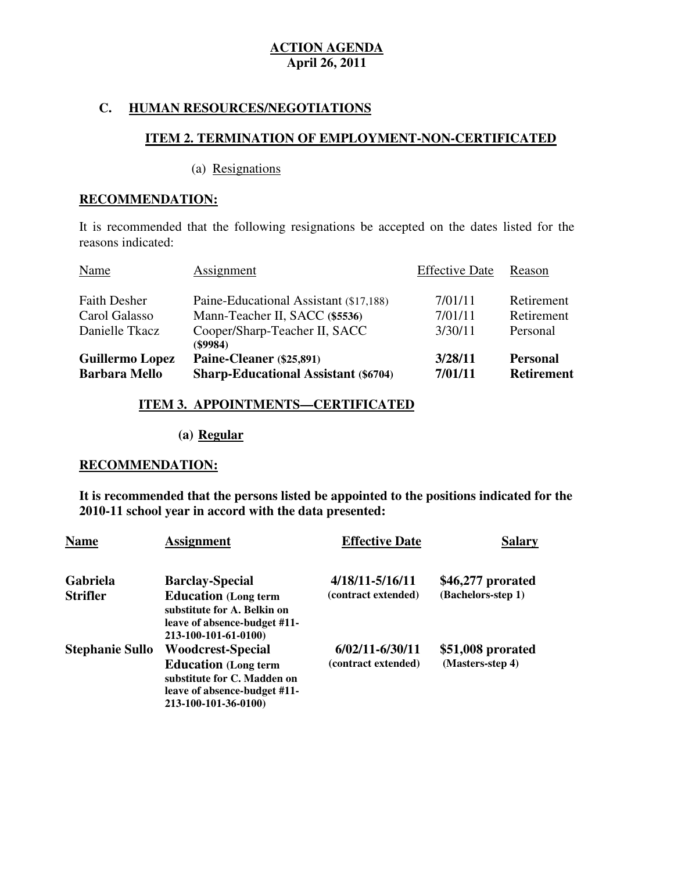#### **C. HUMAN RESOURCES/NEGOTIATIONS**

#### **ITEM 2. TERMINATION OF EMPLOYMENT-NON-CERTIFICATED**

(a) Resignations

#### **RECOMMENDATION:**

 It is recommended that the following resignations be accepted on the dates listed for the reasons indicated:

| <b>Barbara Mello</b>   | <b>Sharp-Educational Assistant (\$6704)</b> | 7/01/11               | <b>Retirement</b> |
|------------------------|---------------------------------------------|-----------------------|-------------------|
| <b>Guillermo Lopez</b> | Paine-Cleaner (\$25,891)                    | 3/28/11               | <b>Personal</b>   |
|                        | $($ \$9984)                                 |                       |                   |
| Danielle Tkacz         | Cooper/Sharp-Teacher II, SACC               | 3/30/11               | Personal          |
| Carol Galasso          | Mann-Teacher II, SACC (\$5536)              | 7/01/11               | Retirement        |
| <b>Faith Desher</b>    | Paine-Educational Assistant (\$17,188)      | 7/01/11               | Retirement        |
| Name                   | Assignment                                  | <b>Effective Date</b> | Reason            |

#### **ITEM 3. APPOINTMENTS—CERTIFICATED**

#### **(a) Regular**

#### **RECOMMENDATION:**

 **It is recommended that the persons listed be appointed to the positions indicated for the 2010-11 school year in accord with the data presented:** 

| <b>Name</b>            | <b>Assignment</b>                                                                                                                              | <b>Effective Date</b>                      | Salary                                |
|------------------------|------------------------------------------------------------------------------------------------------------------------------------------------|--------------------------------------------|---------------------------------------|
| Gabriela               | <b>Barclay-Special</b>                                                                                                                         | 4/18/11-5/16/11                            | \$46,277 prorated                     |
| <b>Strifler</b>        | <b>Education</b> (Long term<br>substitute for A. Belkin on<br>leave of absence-budget #11-<br>213-100-101-61-0100)                             | (contract extended)                        | (Bachelors-step 1)                    |
| <b>Stephanie Sullo</b> | <b>Woodcrest-Special</b><br><b>Education</b> (Long term<br>substitute for C. Madden on<br>leave of absence-budget #11-<br>213-100-101-36-0100) | $6/02/11 - 6/30/11$<br>(contract extended) | \$51,008 prorated<br>(Masters-step 4) |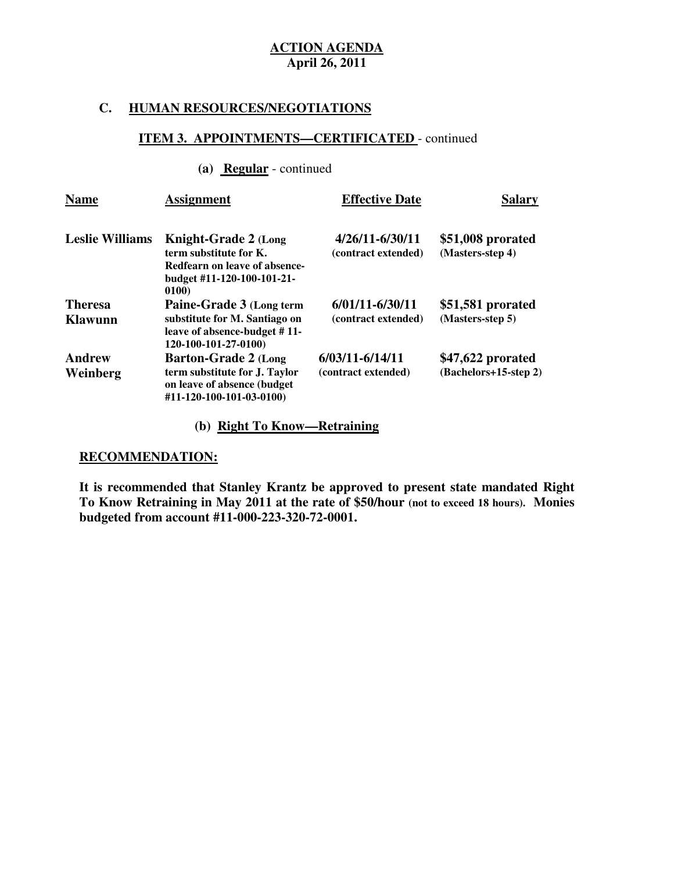#### **C. HUMAN RESOURCES/NEGOTIATIONS**

#### **ITEM 3. APPOINTMENTS—CERTIFICATED** - continued

#### **(a) Regular** - continued

| <b>Name</b>               | <b>Assignment</b>                                                                                                             | <b>Effective Date</b>                      | <b>Salary</b>                              |
|---------------------------|-------------------------------------------------------------------------------------------------------------------------------|--------------------------------------------|--------------------------------------------|
| <b>Leslie Williams</b>    | <b>Knight-Grade 2 (Long</b><br>term substitute for K.<br>Redfearn on leave of absence-<br>budget #11-120-100-101-21-<br>0100) | 4/26/11-6/30/11<br>(contract extended)     | \$51,008 prorated<br>(Masters-step 4)      |
| <b>Theresa</b><br>Klawunn | Paine-Grade 3 (Long term<br>substitute for M. Santiago on<br>leave of absence-budget #11-<br>120-100-101-27-0100)             | $6/01/11 - 6/30/11$<br>(contract extended) | \$51,581 prorated<br>(Masters-step 5)      |
| <b>Andrew</b><br>Weinberg | <b>Barton-Grade 2 (Long</b><br>term substitute for J. Taylor<br>on leave of absence (budget<br>#11-120-100-101-03-0100)       | $6/03/11 - 6/14/11$<br>(contract extended) | \$47,622 prorated<br>(Bachelors+15-step 2) |

# **(b) Right To Know—Retraining**

# **RECOMMENDATION:**

 **It is recommended that Stanley Krantz be approved to present state mandated Right To Know Retraining in May 2011 at the rate of \$50/hour (not to exceed 18 hours). Monies budgeted from account #11-000-223-320-72-0001.**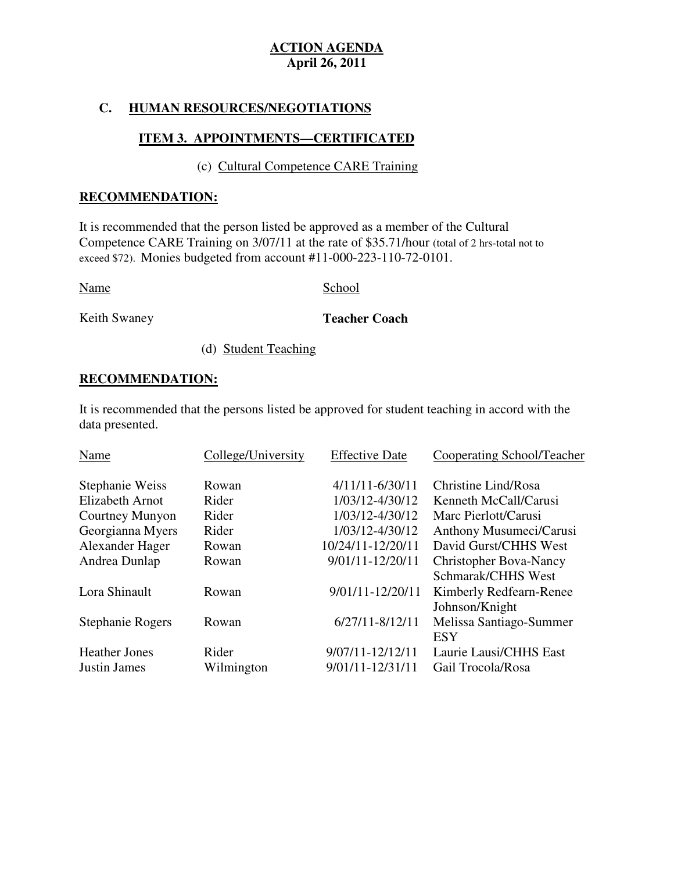#### **C. HUMAN RESOURCES/NEGOTIATIONS**

# **ITEM 3. APPOINTMENTS—CERTIFICATED**

## (c) Cultural Competence CARE Training

#### **RECOMMENDATION:**

 It is recommended that the person listed be approved as a member of the Cultural Competence CARE Training on 3/07/11 at the rate of \$35.71/hour (total of 2 hrs-total not to exceed \$72). Monies budgeted from account #11-000-223-110-72-0101.

Name School

Keith Swaney

**Teacher Coach** 

(d) Student Teaching

#### **RECOMMENDATION:**

 It is recommended that the persons listed be approved for student teaching in accord with the data presented.

| Name                 | College/University | <b>Effective Date</b> | Cooperating School/Teacher    |
|----------------------|--------------------|-----------------------|-------------------------------|
| Stephanie Weiss      | Rowan              | $4/11/11 - 6/30/11$   | Christine Lind/Rosa           |
| Elizabeth Arnot      | Rider              | 1/03/12-4/30/12       | Kenneth McCall/Carusi         |
| Courtney Munyon      | Rider              | 1/03/12-4/30/12       | Marc Pierlott/Carusi          |
| Georgianna Myers     | Rider              | 1/03/12-4/30/12       | Anthony Musumeci/Carusi       |
| Alexander Hager      | Rowan              | 10/24/11-12/20/11     | David Gurst/CHHS West         |
| Andrea Dunlap        | Rowan              | 9/01/11-12/20/11      | <b>Christopher Bova-Nancy</b> |
|                      |                    |                       | Schmarak/CHHS West            |
| Lora Shinault        | Rowan              | 9/01/11-12/20/11      | Kimberly Redfearn-Renee       |
|                      |                    |                       | Johnson/Knight                |
| Stephanie Rogers     | Rowan              | $6/27/11 - 8/12/11$   | Melissa Santiago-Summer       |
|                      |                    |                       | <b>ESY</b>                    |
| <b>Heather Jones</b> | Rider              | $9/07/11 - 12/12/11$  | Laurie Lausi/CHHS East        |
| <b>Justin James</b>  | Wilmington         | 9/01/11-12/31/11      | Gail Trocola/Rosa             |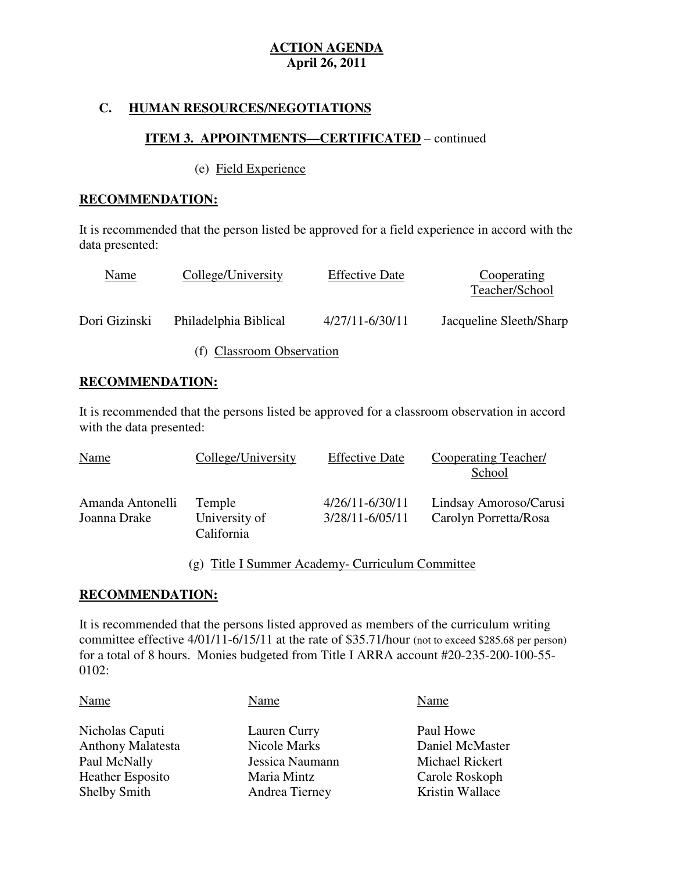### **C. HUMAN RESOURCES/NEGOTIATIONS**

### **ITEM 3. APPOINTMENTS—CERTIFICATED** – continued

#### (e) Field Experience

#### **RECOMMENDATION:**

 It is recommended that the person listed be approved for a field experience in accord with the data presented:

| Name          | College/University        | <b>Effective Date</b> | Cooperating<br>Teacher/School |
|---------------|---------------------------|-----------------------|-------------------------------|
| Dori Gizinski | Philadelphia Biblical     | $4/27/11 - 6/30/11$   | Jacqueline Sleeth/Sharp       |
|               | (f) Classroom Observation |                       |                               |

### **RECOMMENDATION:**

 It is recommended that the persons listed be approved for a classroom observation in accord with the data presented:

| <b>Name</b>                      | College/University                    | <b>Effective Date</b>                  | Cooperating Teacher/<br>School                  |
|----------------------------------|---------------------------------------|----------------------------------------|-------------------------------------------------|
| Amanda Antonelli<br>Joanna Drake | Temple<br>University of<br>California | 4/26/11-6/30/11<br>$3/28/11 - 6/05/11$ | Lindsay Amoroso/Carusi<br>Carolyn Porretta/Rosa |

### (g) Title I Summer Academy- Curriculum Committee

#### **RECOMMENDATION:**

 It is recommended that the persons listed approved as members of the curriculum writing committee effective 4/01/11-6/15/11 at the rate of \$35.71/hour (not to exceed \$285.68 per person) for a total of 8 hours. Monies budgeted from Title I ARRA account #20-235-200-100-55 0102:

| Name                                                                                                          | Name                                                                             | Name                                                                                 |
|---------------------------------------------------------------------------------------------------------------|----------------------------------------------------------------------------------|--------------------------------------------------------------------------------------|
| Nicholas Caputi<br><b>Anthony Malatesta</b><br>Paul McNally<br><b>Heather Esposito</b><br><b>Shelby Smith</b> | Lauren Curry<br>Nicole Marks<br>Jessica Naumann<br>Maria Mintz<br>Andrea Tierney | Paul Howe<br>Daniel McMaster<br>Michael Rickert<br>Carole Roskoph<br>Kristin Wallace |
|                                                                                                               |                                                                                  |                                                                                      |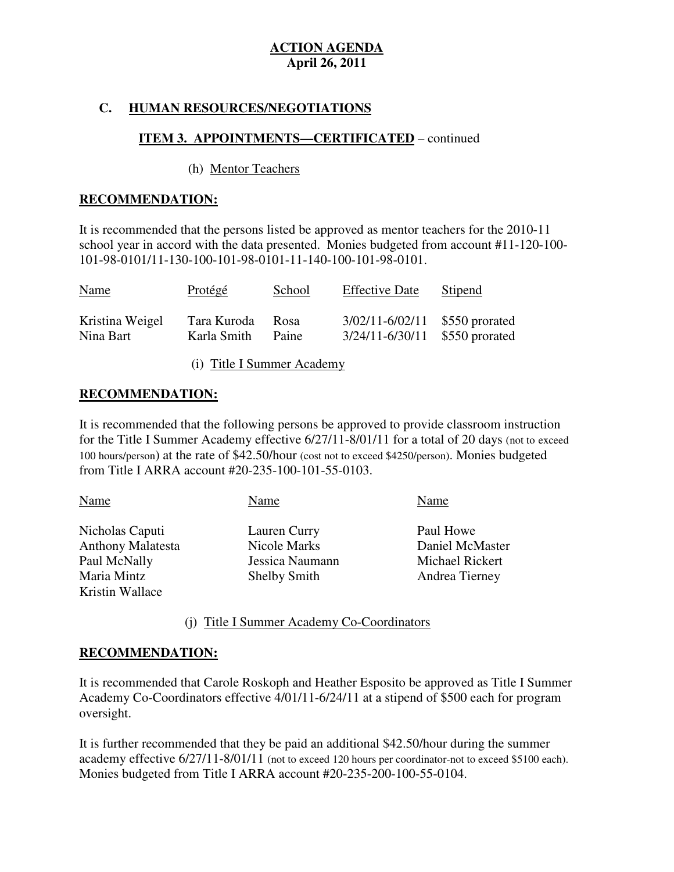# **C. HUMAN RESOURCES/NEGOTIATIONS**

## **ITEM 3. APPOINTMENTS—CERTIFICATED** – continued

#### (h) Mentor Teachers

#### **RECOMMENDATION:**

 It is recommended that the persons listed be approved as mentor teachers for the 2010-11 school year in accord with the data presented. Monies budgeted from account #11-120-100 101-98-0101/11-130-100-101-98-0101-11-140-100-101-98-0101.

| <b>Name</b>     | <b>Protégé</b> | School | <b>Effective Date</b>          | <b>Stipend</b> |
|-----------------|----------------|--------|--------------------------------|----------------|
| Kristina Weigel | Tara Kuroda    | Rosa   | $3/02/11 - 6/02/11$            | \$550 prorated |
| Nina Bart       | Karla Smith    | Paine  | 3/24/11-6/30/11 \$550 prorated |                |

(i) Title I Summer Academy

#### **RECOMMENDATION:**

 It is recommended that the following persons be approved to provide classroom instruction for the Title I Summer Academy effective 6/27/11-8/01/11 for a total of 20 days (not to exceed 100 hours/person) at the rate of \$42.50/hour (cost not to exceed \$4250/person). Monies budgeted from Title I ARRA account #20-235-100-101-55-0103.

| Name                     | Name                | Name            |
|--------------------------|---------------------|-----------------|
| Nicholas Caputi          | Lauren Curry        | Paul Howe       |
| <b>Anthony Malatesta</b> | Nicole Marks        | Daniel McMaster |
| Paul McNally             | Jessica Naumann     | Michael Rickert |
| Maria Mintz              | <b>Shelby Smith</b> | Andrea Tierney  |
| Kristin Wallace          |                     |                 |

(j) Title I Summer Academy Co-Coordinators

#### **RECOMMENDATION:**

 It is recommended that Carole Roskoph and Heather Esposito be approved as Title I Summer Academy Co-Coordinators effective 4/01/11-6/24/11 at a stipend of \$500 each for program oversight.

oversight.<br>It is further recommended that they be paid an additional \$42.50/hour during the summer academy effective 6/27/11-8/01/11 (not to exceed 120 hours per coordinator-not to exceed \$5100 each). Monies budgeted from Title I ARRA account #20-235-200-100-55-0104.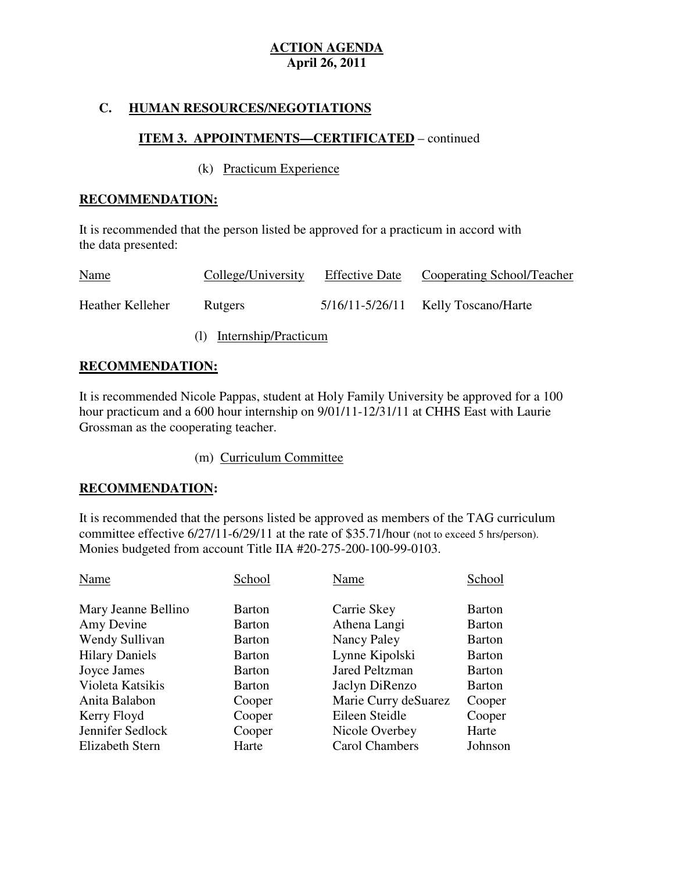## **C. HUMAN RESOURCES/NEGOTIATIONS**

### **ITEM 3. APPOINTMENTS—CERTIFICATED** – continued

#### (k) Practicum Experience

#### **RECOMMENDATION:**

 It is recommended that the person listed be approved for a practicum in accord with the data presented:

| Name             | College/University | <b>Effective Date</b> | Cooperating School/Teacher              |
|------------------|--------------------|-----------------------|-----------------------------------------|
| Heather Kelleher | Rutgers            |                       | $5/16/11 - 5/26/11$ Kelly Toscano/Harte |

(l) Internship/Practicum

#### **RECOMMENDATION:**

 It is recommended Nicole Pappas, student at Holy Family University be approved for a 100 hour practicum and a 600 hour internship on 9/01/11-12/31/11 at CHHS East with Laurie Grossman as the cooperating teacher.

#### (m) Curriculum Committee

#### **RECOMMENDATION:**

 It is recommended that the persons listed be approved as members of the TAG curriculum committee effective 6/27/11-6/29/11 at the rate of \$35.71/hour (not to exceed 5 hrs/person). Monies budgeted from account Title IIA #20-275-200-100-99-0103.

| Name                  | School        | Name                  | School        |
|-----------------------|---------------|-----------------------|---------------|
| Mary Jeanne Bellino   | <b>Barton</b> | Carrie Skey           | <b>Barton</b> |
| Amy Devine            | Barton        | Athena Langi          | <b>Barton</b> |
| Wendy Sullivan        | Barton        | Nancy Paley           | <b>Barton</b> |
| <b>Hilary Daniels</b> | Barton        | Lynne Kipolski        | <b>Barton</b> |
| Joyce James           | Barton        | <b>Jared Peltzman</b> | <b>Barton</b> |
| Violeta Katsikis      | <b>Barton</b> | Jaclyn DiRenzo        | <b>Barton</b> |
| Anita Balabon         | Cooper        | Marie Curry deSuarez  | Cooper        |
| Kerry Floyd           | Cooper        | Eileen Steidle        | Cooper        |
| Jennifer Sedlock      | Cooper        | Nicole Overbey        | Harte         |
| Elizabeth Stern       | Harte         | Carol Chambers        | Johnson       |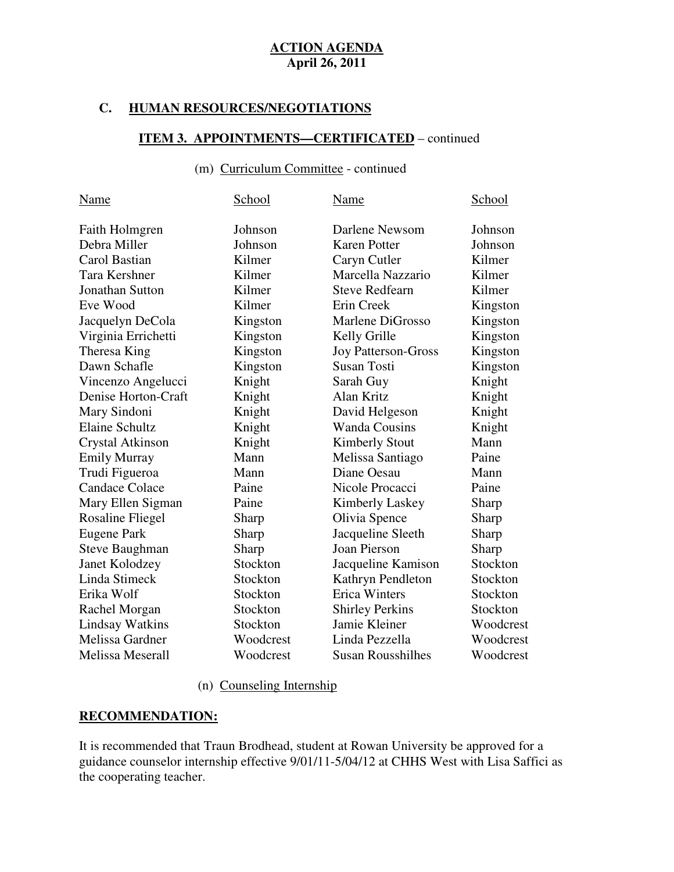# **C. HUMAN RESOURCES/NEGOTIATIONS**

#### **ITEM 3. APPOINTMENTS—CERTIFICATED** – continued

### (m) Curriculum Committee - continued

| School    | Name                       | School    |
|-----------|----------------------------|-----------|
| Johnson   | Darlene Newsom             | Johnson   |
| Johnson   | <b>Karen Potter</b>        | Johnson   |
| Kilmer    | Caryn Cutler               | Kilmer    |
| Kilmer    | Marcella Nazzario          | Kilmer    |
| Kilmer    | <b>Steve Redfearn</b>      | Kilmer    |
| Kilmer    | Erin Creek                 | Kingston  |
| Kingston  | Marlene DiGrosso           | Kingston  |
| Kingston  | Kelly Grille               | Kingston  |
| Kingston  | <b>Joy Patterson-Gross</b> | Kingston  |
| Kingston  | <b>Susan Tosti</b>         | Kingston  |
| Knight    | Sarah Guy                  | Knight    |
| Knight    | Alan Kritz                 | Knight    |
| Knight    | David Helgeson             | Knight    |
| Knight    | <b>Wanda Cousins</b>       | Knight    |
| Knight    | <b>Kimberly Stout</b>      | Mann      |
| Mann      | Melissa Santiago           | Paine     |
| Mann      | Diane Oesau                | Mann      |
| Paine     | Nicole Procacci            | Paine     |
| Paine     | <b>Kimberly Laskey</b>     | Sharp     |
| Sharp     | Olivia Spence              | Sharp     |
| Sharp     | Jacqueline Sleeth          | Sharp     |
| Sharp     | Joan Pierson               | Sharp     |
| Stockton  | Jacqueline Kamison         | Stockton  |
| Stockton  | Kathryn Pendleton          | Stockton  |
| Stockton  | <b>Erica Winters</b>       | Stockton  |
| Stockton  | <b>Shirley Perkins</b>     | Stockton  |
| Stockton  | Jamie Kleiner              | Woodcrest |
| Woodcrest | Linda Pezzella             | Woodcrest |
| Woodcrest | <b>Susan Rousshilhes</b>   | Woodcrest |
|           |                            |           |

#### (n) Counseling Internship

#### **RECOMMENDATION:**

 It is recommended that Traun Brodhead, student at Rowan University be approved for a guidance counselor internship effective 9/01/11-5/04/12 at CHHS West with Lisa Saffici as the cooperating teacher.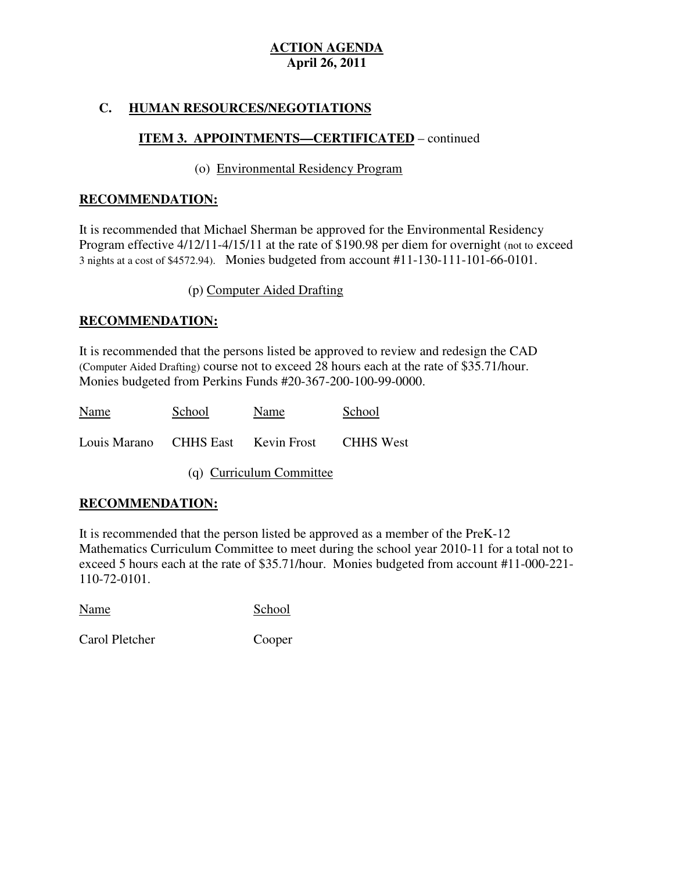# **C. HUMAN RESOURCES/NEGOTIATIONS**

# **ITEM 3. APPOINTMENTS—CERTIFICATED** – continued

### (o) Environmental Residency Program

### **RECOMMENDATION:**

 It is recommended that Michael Sherman be approved for the Environmental Residency Program effective 4/12/11-4/15/11 at the rate of \$190.98 per diem for overnight (not to exceed 3 nights at a cost of \$4572.94). Monies budgeted from account #11-130-111-101-66-0101.

(p) Computer Aided Drafting

# **RECOMMENDATION:**

 It is recommended that the persons listed be approved to review and redesign the CAD (Computer Aided Drafting) course not to exceed 28 hours each at the rate of \$35.71/hour. Monies budgeted from Perkins Funds #20-367-200-100-99-0000.

| Name                     | School | Name                                         | School |  |
|--------------------------|--------|----------------------------------------------|--------|--|
|                          |        | Louis Marano CHHS East Kevin Frost CHHS West |        |  |
| (q) Curriculum Committee |        |                                              |        |  |

# **RECOMMENDATION:**

 It is recommended that the person listed be approved as a member of the PreK-12 Mathematics Curriculum Committee to meet during the school year 2010-11 for a total not to exceed 5 hours each at the rate of \$35.71/hour. Monies budgeted from account #11-000-221 110-72-0101.

Name School

Carol Pletcher Cooper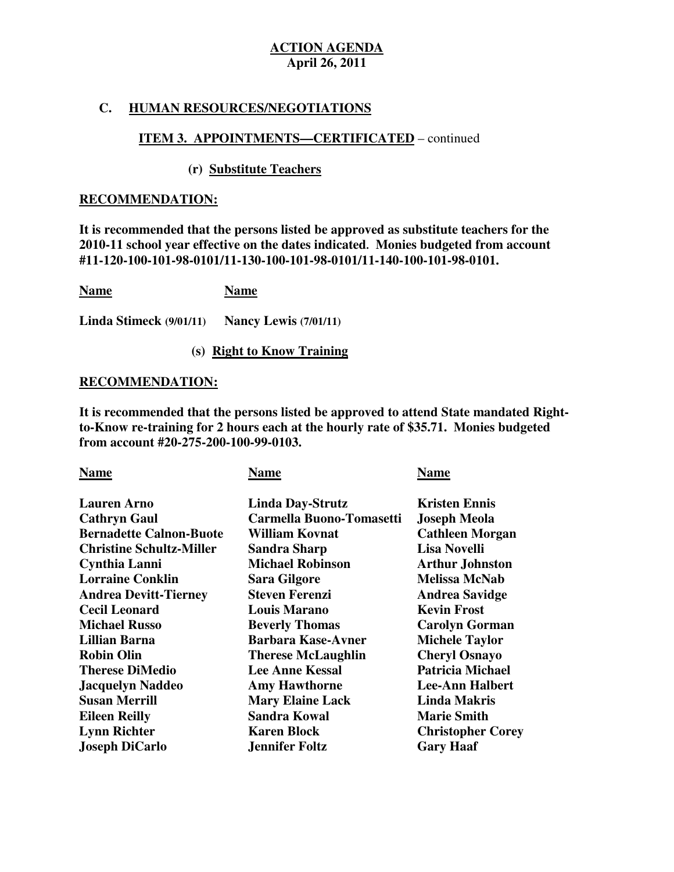#### **C. HUMAN RESOURCES/NEGOTIATIONS**

### **ITEM 3. APPOINTMENTS—CERTIFICATED** – continued

#### **(r) Substitute Teachers**

#### **RECOMMENDATION:**

 **It is recommended that the persons listed be approved as substitute teachers for the 2010-11 school year effective on the dates indicated. Monies budgeted from account #11-120-100-101-98-0101/11-130-100-101-98-0101/11-140-100-101-98-0101.** 

| <b>Name</b> |  | <b>Name</b> |  |   |              |  |  |                          |
|-------------|--|-------------|--|---|--------------|--|--|--------------------------|
| .           |  | $\sim$      |  | . | $\mathbf{r}$ |  |  | $\overline{\phantom{a}}$ |

 **Linda Stimeck (9/01/11) Nancy Lewis (7/01/11)** 

#### **(s) Right to Know Training**

#### **RECOMMENDATION:**

It is recommended that the persons listed be approved to attend State mandated Right- **to-Know re-training for 2 hours each at the hourly rate of \$35.71. Monies budgeted from account #20-275-200-100-99-0103.** 

| <b>Name</b>                     | <b>Name</b>               | <b>Name</b>              |
|---------------------------------|---------------------------|--------------------------|
| <b>Lauren Arno</b>              | <b>Linda Day-Strutz</b>   | <b>Kristen Ennis</b>     |
| <b>Cathryn Gaul</b>             | Carmella Buono-Tomasetti  | <b>Joseph Meola</b>      |
| <b>Bernadette Calnon-Buote</b>  | William Kovnat            | <b>Cathleen Morgan</b>   |
| <b>Christine Schultz-Miller</b> | <b>Sandra Sharp</b>       | <b>Lisa Novelli</b>      |
| Cynthia Lanni                   | <b>Michael Robinson</b>   | <b>Arthur Johnston</b>   |
| <b>Lorraine Conklin</b>         | <b>Sara Gilgore</b>       | <b>Melissa McNab</b>     |
| <b>Andrea Devitt-Tierney</b>    | <b>Steven Ferenzi</b>     | <b>Andrea Savidge</b>    |
| <b>Cecil Leonard</b>            | <b>Louis Marano</b>       | <b>Kevin Frost</b>       |
| <b>Michael Russo</b>            | <b>Beverly Thomas</b>     | <b>Carolyn Gorman</b>    |
| <b>Lillian Barna</b>            | <b>Barbara Kase-Avner</b> | <b>Michele Taylor</b>    |
| <b>Robin Olin</b>               | <b>Therese McLaughlin</b> | <b>Cheryl Osnayo</b>     |
| <b>Therese DiMedio</b>          | <b>Lee Anne Kessal</b>    | <b>Patricia Michael</b>  |
| <b>Jacquelyn Naddeo</b>         | <b>Amy Hawthorne</b>      | <b>Lee-Ann Halbert</b>   |
| <b>Susan Merrill</b>            | <b>Mary Elaine Lack</b>   | <b>Linda Makris</b>      |
| <b>Eileen Reilly</b>            | <b>Sandra Kowal</b>       | <b>Marie Smith</b>       |
| <b>Lynn Richter</b>             | <b>Karen Block</b>        | <b>Christopher Corey</b> |
| <b>Joseph DiCarlo</b>           | <b>Jennifer Foltz</b>     | <b>Gary Haaf</b>         |
|                                 |                           |                          |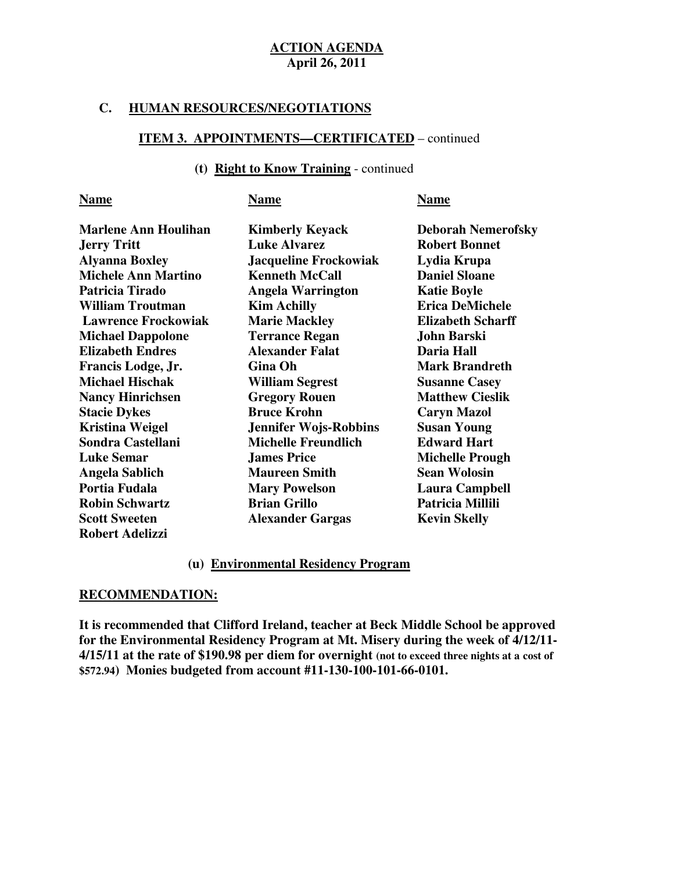#### **C. HUMAN RESOURCES/NEGOTIATIONS**

#### **ITEM 3. APPOINTMENTS—CERTIFICATED** – continued

#### **(t) Right to Know Training** - continued

| <b>Name</b>                 | Name                         | <b>Name</b>               |
|-----------------------------|------------------------------|---------------------------|
| <b>Marlene Ann Houlihan</b> | <b>Kimberly Keyack</b>       | <b>Deborah Nemerofsky</b> |
| <b>Jerry Tritt</b>          | <b>Luke Alvarez</b>          | <b>Robert Bonnet</b>      |
| <b>Alyanna Boxley</b>       | <b>Jacqueline Frockowiak</b> | Lydia Krupa               |
| <b>Michele Ann Martino</b>  | <b>Kenneth McCall</b>        | <b>Daniel Sloane</b>      |
| Patricia Tirado             | <b>Angela Warrington</b>     | <b>Katie Boyle</b>        |
| <b>William Troutman</b>     | <b>Kim Achilly</b>           | <b>Erica DeMichele</b>    |
| <b>Lawrence Frockowiak</b>  | <b>Marie Mackley</b>         | <b>Elizabeth Scharff</b>  |
| <b>Michael Dappolone</b>    | <b>Terrance Regan</b>        | <b>John Barski</b>        |
| <b>Elizabeth Endres</b>     | <b>Alexander Falat</b>       | Daria Hall                |
| Francis Lodge, Jr.          | Gina Oh                      | <b>Mark Brandreth</b>     |
| <b>Michael Hischak</b>      | <b>William Segrest</b>       | <b>Susanne Casey</b>      |
| <b>Nancy Hinrichsen</b>     | <b>Gregory Rouen</b>         | <b>Matthew Cieslik</b>    |
| <b>Stacie Dykes</b>         | <b>Bruce Krohn</b>           | <b>Caryn Mazol</b>        |
| <b>Kristina Weigel</b>      | <b>Jennifer Wojs-Robbins</b> | <b>Susan Young</b>        |
| Sondra Castellani           | <b>Michelle Freundlich</b>   | <b>Edward Hart</b>        |
| <b>Luke Semar</b>           | <b>James Price</b>           | <b>Michelle Prough</b>    |
| <b>Angela Sablich</b>       | <b>Maureen Smith</b>         | <b>Sean Wolosin</b>       |
| Portia Fudala               | <b>Mary Powelson</b>         | <b>Laura Campbell</b>     |
| <b>Robin Schwartz</b>       | <b>Brian Grillo</b>          | Patricia Millili          |
| <b>Scott Sweeten</b>        | <b>Alexander Gargas</b>      | <b>Kevin Skelly</b>       |
| <b>Robert Adelizzi</b>      |                              |                           |

#### **(u) Environmental Residency Program**

### **RECOMMENDATION:**

 **It is recommended that Clifford Ireland, teacher at Beck Middle School be approved for the Environmental Residency Program at Mt. Misery during the week of 4/12/11 4/15/11 at the rate of \$190.98 per diem for overnight (not to exceed three nights at a cost of \$572.94) Monies budgeted from account #11-130-100-101-66-0101.**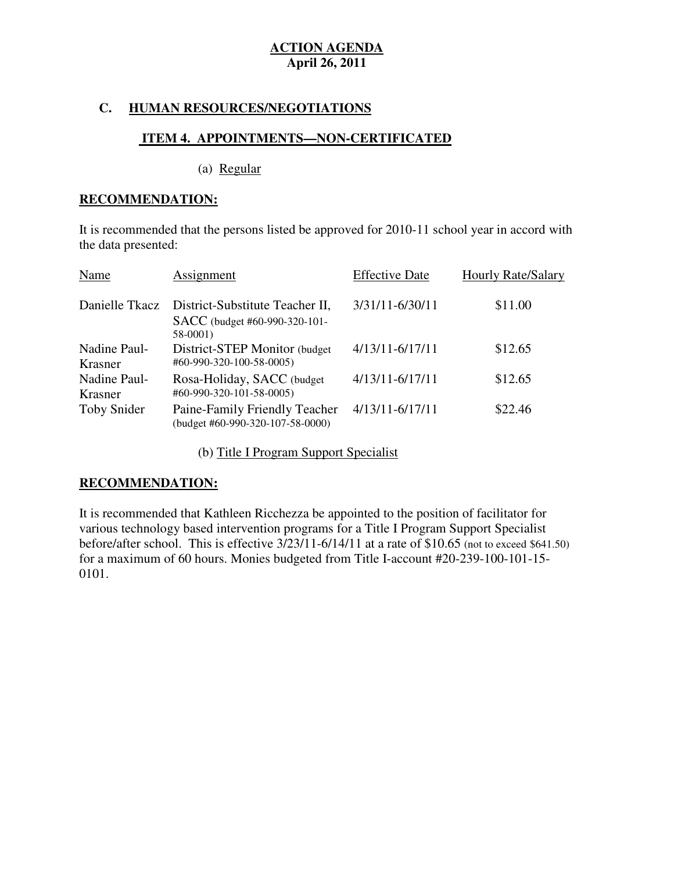#### **C. HUMAN RESOURCES/NEGOTIATIONS**

# **ITEM 4. APPOINTMENTS—NON-CERTIFICATED**

(a) Regular

#### **RECOMMENDATION:**

 It is recommended that the persons listed be approved for 2010-11 school year in accord with the data presented:

| Name                    | <b>Assignment</b>                                                             | <b>Effective Date</b> | <b>Hourly Rate/Salary</b> |
|-------------------------|-------------------------------------------------------------------------------|-----------------------|---------------------------|
| Danielle Tkacz          | District-Substitute Teacher II,<br>SACC (budget #60-990-320-101-<br>$58-0001$ | 3/31/11-6/30/11       | \$11.00                   |
| Nadine Paul-<br>Krasner | District-STEP Monitor (budget<br>#60-990-320-100-58-0005)                     | $4/13/11 - 6/17/11$   | \$12.65                   |
| Nadine Paul-<br>Krasner | Rosa-Holiday, SACC (budget<br>#60-990-320-101-58-0005)                        | $4/13/11 - 6/17/11$   | \$12.65                   |
| Toby Snider             | Paine-Family Friendly Teacher<br>$(budget #60-990-320-107-58-0000)$           | $4/13/11 - 6/17/11$   | \$22.46                   |

(b) Title I Program Support Specialist

### **RECOMMENDATION:**

 It is recommended that Kathleen Ricchezza be appointed to the position of facilitator for various technology based intervention programs for a Title I Program Support Specialist before/after school. This is effective 3/23/11-6/14/11 at a rate of \$10.65 (not to exceed \$641.50) for a maximum of 60 hours. Monies budgeted from Title I-account #20-239-100-101-15 0101.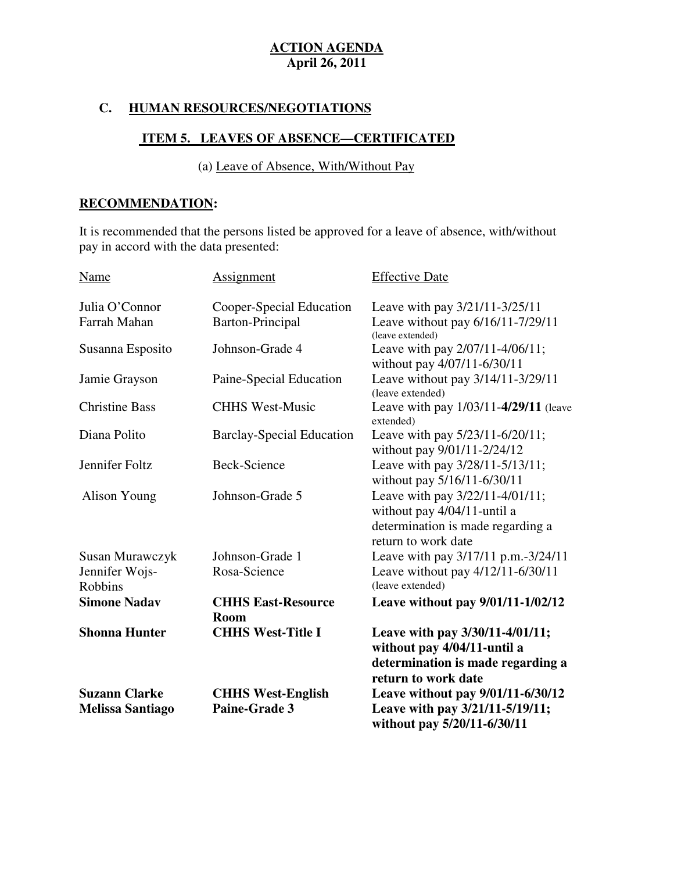## **C. HUMAN RESOURCES/NEGOTIATIONS**

### **ITEM 5. LEAVES OF ABSENCE—CERTIFICATED**

(a) Leave of Absence, With/Without Pay

### **RECOMMENDATION:**

 It is recommended that the persons listed be approved for a leave of absence, with/without pay in accord with the data presented:

| <b>Melissa Santiago</b> | Paine-Grade 3                            | Leave with pay 3/21/11-5/19/11;<br>without pay 5/20/11-6/30/11                                                               |
|-------------------------|------------------------------------------|------------------------------------------------------------------------------------------------------------------------------|
| <b>Suzann Clarke</b>    | <b>CHHS West-English</b>                 | without pay 4/04/11-until a<br>determination is made regarding a<br>return to work date<br>Leave without pay 9/01/11-6/30/12 |
| <b>Shonna Hunter</b>    | <b>CHHS West-Title I</b>                 | Leave with pay 3/30/11-4/01/11;                                                                                              |
| <b>Simone Nadav</b>     | <b>CHHS East-Resource</b><br><b>Room</b> | Leave without pay $9/01/11 - 1/02/12$                                                                                        |
| <b>Robbins</b>          |                                          | (leave extended)                                                                                                             |
| Jennifer Wojs-          | Rosa-Science                             | Leave without pay 4/12/11-6/30/11                                                                                            |
| Susan Murawczyk         | Johnson-Grade 1                          | determination is made regarding a<br>return to work date<br>Leave with pay 3/17/11 p.m.-3/24/11                              |
| Alison Young            | Johnson-Grade 5                          | Leave with pay 3/22/11-4/01/11;<br>without pay 4/04/11-until a                                                               |
| Jennifer Foltz          | Beck-Science                             | Leave with pay 3/28/11-5/13/11;<br>without pay 5/16/11-6/30/11                                                               |
| Diana Polito            | <b>Barclay-Special Education</b>         | Leave with pay 5/23/11-6/20/11;<br>without pay 9/01/11-2/24/12                                                               |
| <b>Christine Bass</b>   | <b>CHHS West-Music</b>                   | Leave with pay 1/03/11-4/29/11 (leave<br>extended)                                                                           |
| Jamie Grayson           | Paine-Special Education                  | without pay 4/07/11-6/30/11<br>Leave without pay 3/14/11-3/29/11<br>(leave extended)                                         |
| Susanna Esposito        | Johnson-Grade 4                          | Leave with pay 2/07/11-4/06/11;                                                                                              |
| Farrah Mahan            | Barton-Principal                         | Leave without pay 6/16/11-7/29/11<br>(leave extended)                                                                        |
| Julia O'Connor          | Cooper-Special Education                 | Leave with pay 3/21/11-3/25/11                                                                                               |
| Name                    | Assignment                               | <b>Effective Date</b>                                                                                                        |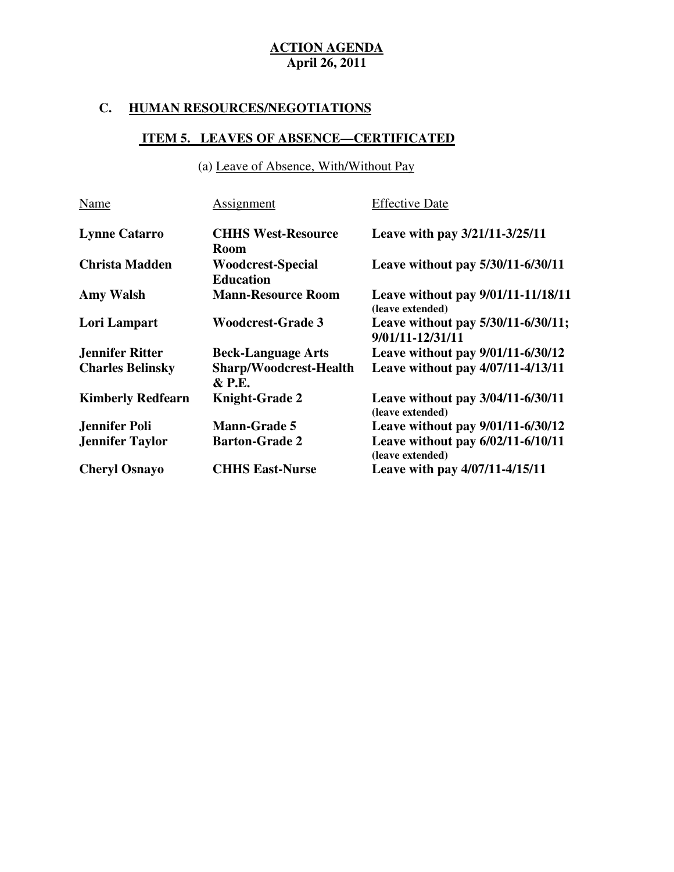# **C. HUMAN RESOURCES/NEGOTIATIONS**

# **ITEM 5. LEAVES OF ABSENCE—CERTIFICATED**

(a) Leave of Absence, With/Without Pay

| Name                     | Assignment                                   | <b>Effective Date</b>                                  |
|--------------------------|----------------------------------------------|--------------------------------------------------------|
| <b>Lynne Catarro</b>     | <b>CHHS West-Resource</b><br><b>Room</b>     | Leave with pay 3/21/11-3/25/11                         |
| <b>Christa Madden</b>    | <b>Woodcrest-Special</b><br><b>Education</b> | Leave without pay 5/30/11-6/30/11                      |
| <b>Amy Walsh</b>         | <b>Mann-Resource Room</b>                    | Leave without pay 9/01/11-11/18/11<br>(leave extended) |
| Lori Lampart             | <b>Woodcrest-Grade 3</b>                     | Leave without pay 5/30/11-6/30/11;<br>9/01/11-12/31/11 |
| <b>Jennifer Ritter</b>   | <b>Beck-Language Arts</b>                    | Leave without pay 9/01/11-6/30/12                      |
| <b>Charles Belinsky</b>  | Sharp/Woodcrest-Health<br>& P.E.             | Leave without pay 4/07/11-4/13/11                      |
| <b>Kimberly Redfearn</b> | <b>Knight-Grade 2</b>                        | Leave without pay 3/04/11-6/30/11<br>(leave extended)  |
| <b>Jennifer Poli</b>     | <b>Mann-Grade 5</b>                          | Leave without pay 9/01/11-6/30/12                      |
| <b>Jennifer Taylor</b>   | <b>Barton-Grade 2</b>                        | Leave without pay 6/02/11-6/10/11<br>(leave extended)  |
| <b>Cheryl Osnayo</b>     | <b>CHHS East-Nurse</b>                       | Leave with pay 4/07/11-4/15/11                         |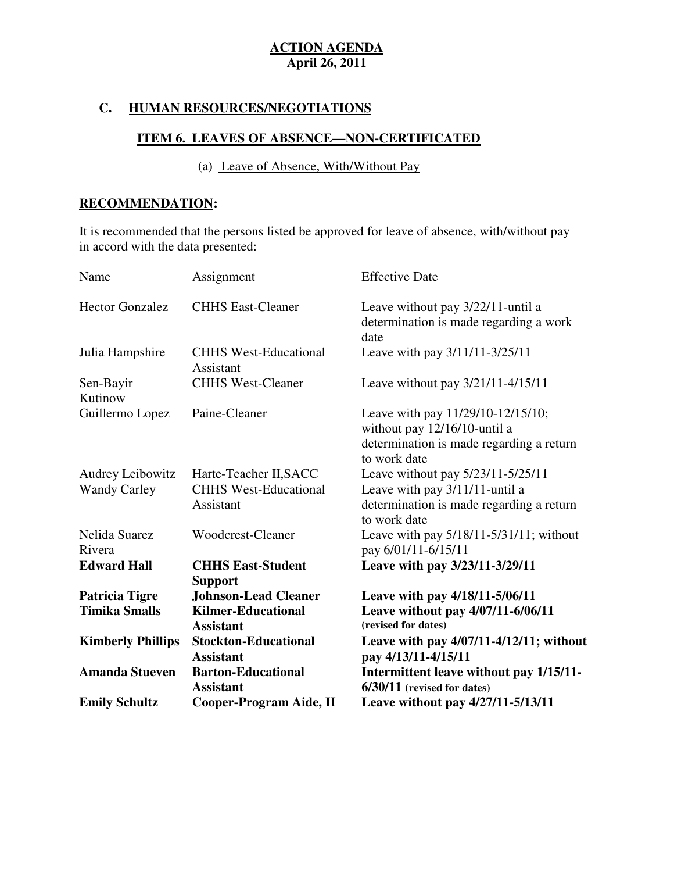# **C. HUMAN RESOURCES/NEGOTIATIONS**

### **ITEM 6. LEAVES OF ABSENCE—NON-CERTIFICATED**

(a) Leave of Absence, With/Without Pay

# **RECOMMENDATION:**

 It is recommended that the persons listed be approved for leave of absence, with/without pay in accord with the data presented:

| <b>Name</b>                                    | <b>Assignment</b>                                                            | <b>Effective Date</b>                                                                                                           |
|------------------------------------------------|------------------------------------------------------------------------------|---------------------------------------------------------------------------------------------------------------------------------|
| <b>Hector Gonzalez</b>                         | <b>CHHS East-Cleaner</b>                                                     | Leave without pay 3/22/11-until a<br>determination is made regarding a work<br>date                                             |
| Julia Hampshire                                | <b>CHHS West-Educational</b><br>Assistant                                    | Leave with pay 3/11/11-3/25/11                                                                                                  |
| Sen-Bayir<br>Kutinow                           | <b>CHHS West-Cleaner</b>                                                     | Leave without pay 3/21/11-4/15/11                                                                                               |
| Guillermo Lopez                                | Paine-Cleaner                                                                | Leave with pay 11/29/10-12/15/10;<br>without pay 12/16/10-until a<br>determination is made regarding a return<br>to work date   |
| <b>Audrey Leibowitz</b><br><b>Wandy Carley</b> | Harte-Teacher II, SACC<br><b>CHHS West-Educational</b><br>Assistant          | Leave without pay 5/23/11-5/25/11<br>Leave with pay 3/11/11-until a<br>determination is made regarding a return<br>to work date |
| Nelida Suarez<br>Rivera                        | Woodcrest-Cleaner                                                            | Leave with pay $5/18/11 - 5/31/11$ ; without<br>pay 6/01/11-6/15/11                                                             |
| <b>Edward Hall</b>                             | <b>CHHS East-Student</b><br><b>Support</b>                                   | Leave with pay 3/23/11-3/29/11                                                                                                  |
| Patricia Tigre<br><b>Timika Smalls</b>         | <b>Johnson-Lead Cleaner</b><br><b>Kilmer-Educational</b><br><b>Assistant</b> | Leave with pay 4/18/11-5/06/11<br>Leave without pay 4/07/11-6/06/11<br>(revised for dates)                                      |
| <b>Kimberly Phillips</b>                       | <b>Stockton-Educational</b><br><b>Assistant</b>                              | Leave with pay $4/07/11-4/12/11$ ; without<br>pay 4/13/11-4/15/11                                                               |
| <b>Amanda Stueven</b>                          | <b>Barton-Educational</b><br><b>Assistant</b>                                | Intermittent leave without pay 1/15/11-<br>$6/30/11$ (revised for dates)                                                        |
| <b>Emily Schultz</b>                           | Cooper-Program Aide, II                                                      | Leave without pay 4/27/11-5/13/11                                                                                               |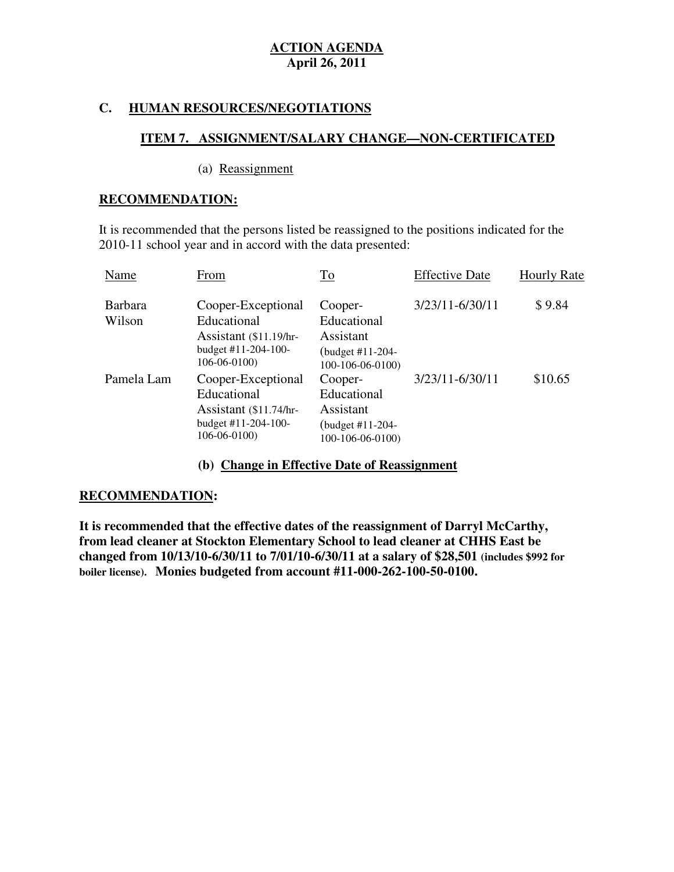#### **C. HUMAN RESOURCES/NEGOTIATIONS**

### **ITEM 7. ASSIGNMENT/SALARY CHANGE—NON-CERTIFICATED**

#### (a) Reassignment

#### **RECOMMENDATION:**

 It is recommended that the persons listed be reassigned to the positions indicated for the 2010-11 school year and in accord with the data presented:

| Name                     | From                                                                                                    | <b>To</b>                                                                    | <b>Effective Date</b> | <b>Hourly Rate</b> |
|--------------------------|---------------------------------------------------------------------------------------------------------|------------------------------------------------------------------------------|-----------------------|--------------------|
| <b>Barbara</b><br>Wilson | Cooper-Exceptional<br>Educational<br>Assistant $($11.19/hr$<br>budget #11-204-100-<br>$106 - 06 - 0100$ | Cooper-<br>Educational<br>Assistant<br>(budget #11-204-<br>$100-106-06-0100$ | 3/23/11-6/30/11       | \$9.84             |
| Pamela Lam               | Cooper-Exceptional<br>Educational<br>Assistant $($11.74/hr$<br>budget #11-204-100-<br>$106 - 06 - 0100$ | Cooper-<br>Educational<br>Assistant<br>(budget #11-204-<br>100-106-06-0100)  | 3/23/11-6/30/11       | \$10.65            |

#### **(b) Change in Effective Date of Reassignment**

#### **RECOMMENDATION:**

 **It is recommended that the effective dates of the reassignment of Darryl McCarthy, from lead cleaner at Stockton Elementary School to lead cleaner at CHHS East be changed from 10/13/10-6/30/11 to 7/01/10-6/30/11 at a salary of \$28,501 (includes \$992 for boiler license). Monies budgeted from account #11-000-262-100-50-0100.**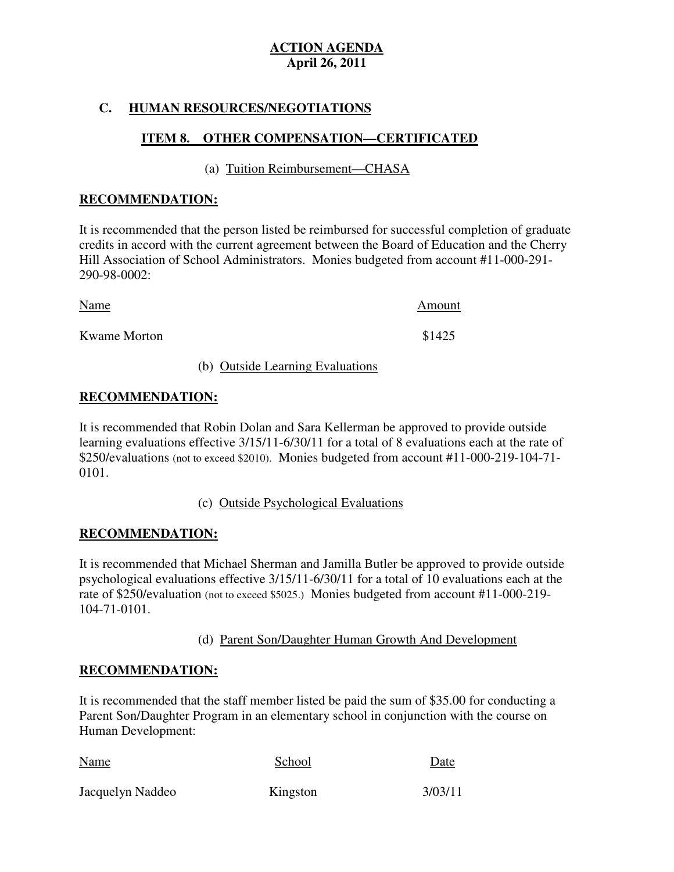## **C. HUMAN RESOURCES/NEGOTIATIONS**

# **ITEM 8. OTHER COMPENSATION—CERTIFICATED**

(a) Tuition Reimbursement—CHASA

#### **RECOMMENDATION:**

 It is recommended that the person listed be reimbursed for successful completion of graduate credits in accord with the current agreement between the Board of Education and the Cherry Hill Association of School Administrators. Monies budgeted from account #11-000-291 290-98-0002:

| Name                | Amount |
|---------------------|--------|
| <b>Kwame Morton</b> | \$1425 |

#### (b) Outside Learning Evaluations

### **RECOMMENDATION:**

 It is recommended that Robin Dolan and Sara Kellerman be approved to provide outside learning evaluations effective 3/15/11-6/30/11 for a total of 8 evaluations each at the rate of \$250/evaluations (not to exceed \$2010). Monies budgeted from account #11-000-219-104-71 0101.

#### 0101. (c) Outside Psychological Evaluations

#### **RECOMMENDATION:**

 It is recommended that Michael Sherman and Jamilla Butler be approved to provide outside psychological evaluations effective 3/15/11-6/30/11 for a total of 10 evaluations each at the rate of \$250/evaluation (not to exceed \$5025.) Monies budgeted from account #11-000-219 104-71-0101.

### (d) Parent Son/Daughter Human Growth And Development

#### **RECOMMENDATION:**

 It is recommended that the staff member listed be paid the sum of \$35.00 for conducting a Parent Son/Daughter Program in an elementary school in conjunction with the course on Human Development:

| Name             | School   | Date<br>3/03/11 |
|------------------|----------|-----------------|
| Jacquelyn Naddeo | Kingston |                 |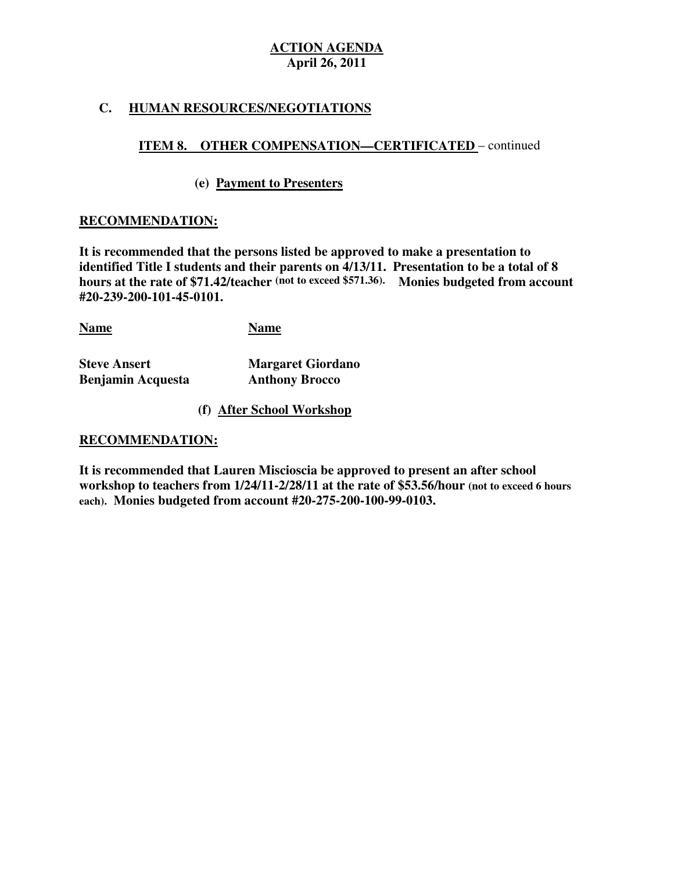# **C. HUMAN RESOURCES/NEGOTIATIONS**

# **ITEM 8. OTHER COMPENSATION—CERTIFICATED** – continued

#### **(e) Payment to Presenters**

#### **RECOMMENDATION:**

 **It is recommended that the persons listed be approved to make a presentation to identified Title I students and their parents on 4/13/11. Presentation to be a total of 8 hours at the rate of \$71.42/teacher (not to exceed \$571.36). Monies budgeted from account #20-239-200-101-45-0101.** 

**Name Name** 

**Steve Ansert Benjamin Acquesta Anthony Brocco** 

**Margaret Giordano** 

**(f) After School Workshop** 

#### **RECOMMENDATION:**

 **It is recommended that Lauren Miscioscia be approved to present an after school workshop to teachers from 1/24/11-2/28/11 at the rate of \$53.56/hour (not to exceed 6 hours each). Monies budgeted from account #20-275-200-100-99-0103.**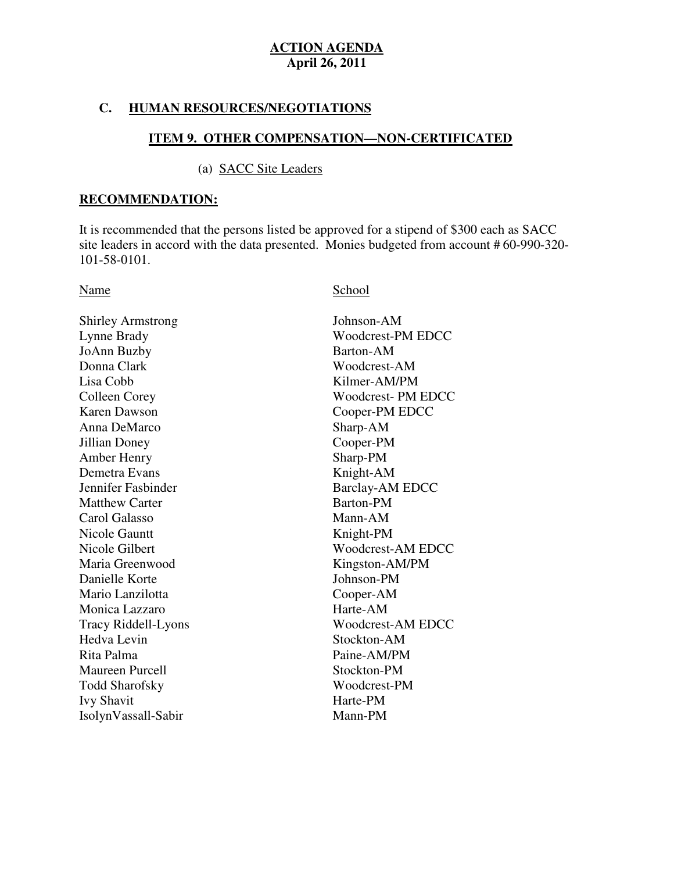#### **C. HUMAN RESOURCES/NEGOTIATIONS**

#### **ITEM 9. OTHER COMPENSATION—NON-CERTIFICATED**

#### (a) SACC Site Leaders

#### **RECOMMENDATION:**

 It is recommended that the persons listed be approved for a stipend of \$300 each as SACC site leaders in accord with the data presented. Monies budgeted from account # 60-990-320 101-58-0101.

Shirley Armstrong Johnson-AM Lynne Brady JoAnn Buzby Barton-AM Donna Clark Lisa Cobb **Colleen Corey Karen Dawson**  Anna DeMarco Sharp-AM Jillian Doney Cooper-PM Amber Henry Sharp-PM Demetra Evans Knight-AM Jennifer Fashinder Matthew Carter **Barton-PM**  Carol Galasso Mann-AM Nicole Gauntt **Knight-PM** Nicole Gilbert Maria Greenwood Danielle Korte Johnson-PM Mario Lanzilotta Cooper-AM Monica Lazzaro **Harte-AM** Hedva Levin Rita Palma Maureen Purcell Stockton-PM Todd Sharofsky Woodcrest-PM Ivy Shavit Harte-PM Tracy Riddell-Lyons IsolynVassall-Sabir Mann-PM

#### Name School

Woodcrest-AM EDCC Woodcrest-PM EDCC Woodcrest-AM Kilmer-AM/PM Woodcrest- PM EDCC Cooper-PM EDCC Barclay-AM EDCC Woodcrest-AM EDCC Kingston-AM/PM Stockton-AM Paine-AM/PM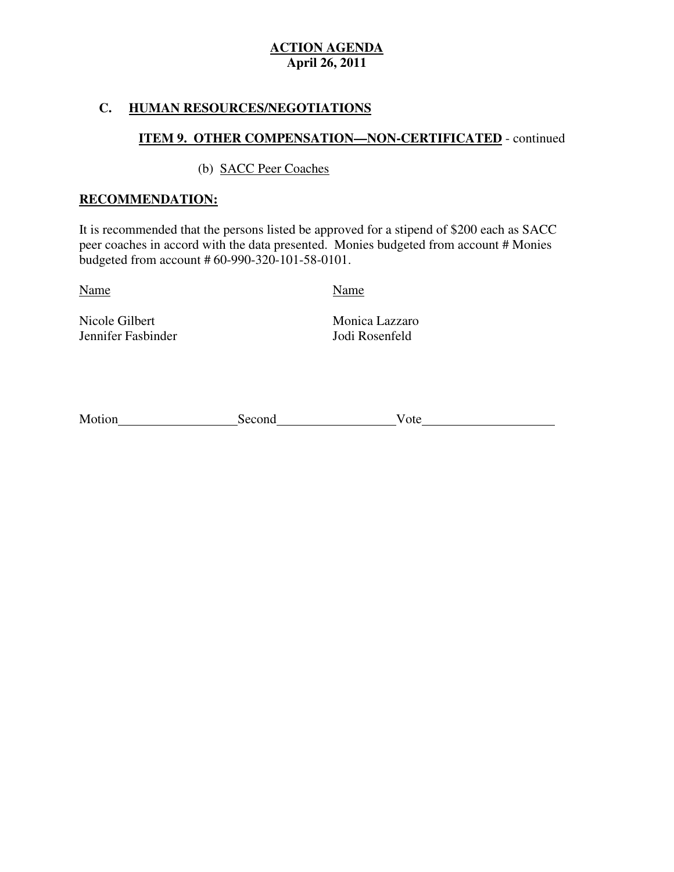# **C. HUMAN RESOURCES/NEGOTIATIONS**

# **ITEM 9. OTHER COMPENSATION—NON-CERTIFICATED** - continued

### (b) SACC Peer Coaches

### **RECOMMENDATION:**

 It is recommended that the persons listed be approved for a stipend of \$200 each as SACC peer coaches in accord with the data presented. Monies budgeted from account # Monies budgeted from account # 60-990-320-101-58-0101.

Name Name

Nicole Gilbert Jennifer Fasbinder Jodi Rosenfeld

Monica Lazzaro

| Motion | Second | 'ote |
|--------|--------|------|
|        |        |      |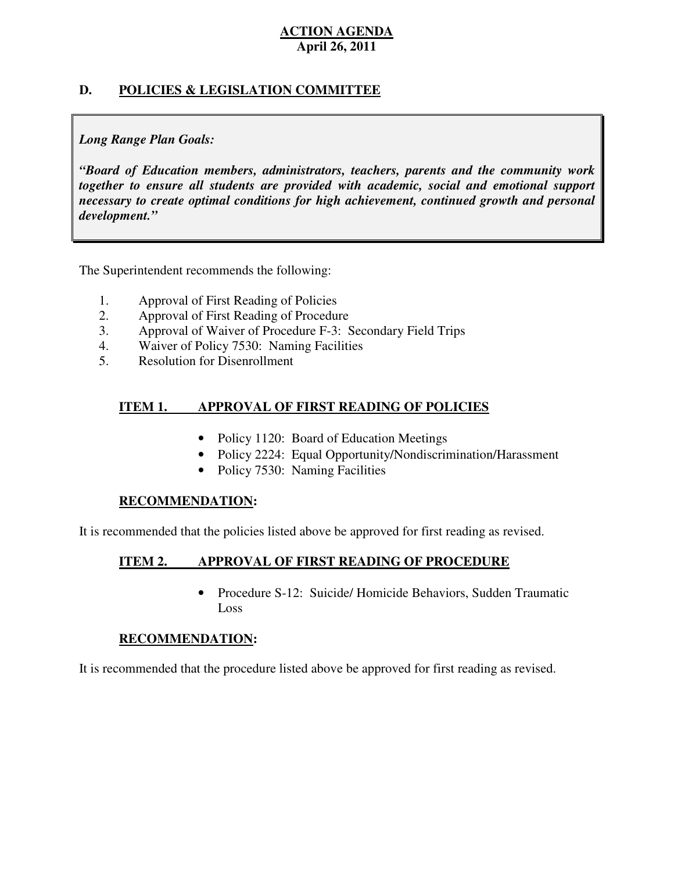### **D. POLICIES & LEGISLATION COMMITTEE**

#### *Long Range Plan Goals:*

 *"Board of Education members, administrators, teachers, parents and the community work together to ensure all students are provided with academic, social and emotional support necessary to create optimal conditions for high achievement, continued growth and personal development."* 

The Superintendent recommends the following:

- 1. Approval of First Reading of Policies
- 2. Approval of First Reading of Procedure
- 3. Approval of Waiver of Procedure F-3: Secondary Field Trips
- 4. Waiver of Policy 7530: Naming Facilities
- 5. Resolution for Disenrollment

#### **ITEM 1. APPROVAL OF FIRST READING OF POLICIES**

- Policy 1120: Board of Education Meetings
- Policy 2224: Equal Opportunity/Nondiscrimination/Harassment
- Policy 7530: Naming Facilities

#### **RECOMMENDATION:**

It is recommended that the policies listed above be approved for first reading as revised.

#### **ITEM 2. APPROVAL OF FIRST READING OF PROCEDURE**

 • Procedure S-12: Suicide/ Homicide Behaviors, Sudden Traumatic Loss

#### **RECOMMENDATION:**

It is recommended that the procedure listed above be approved for first reading as revised.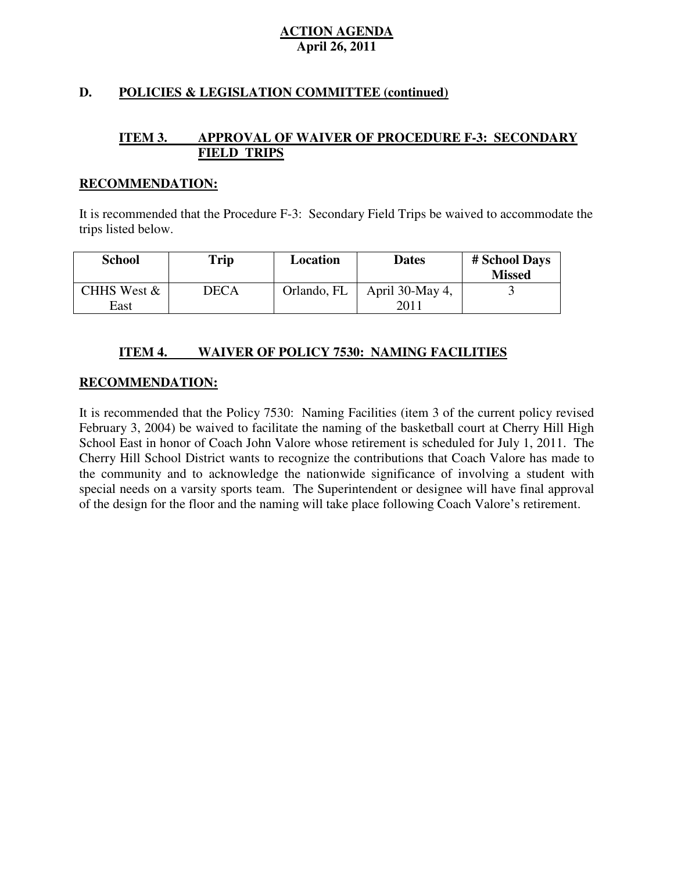# **D. POLICIES & LEGISLATION COMMITTEE (continued)**

#### **ITEM 3. FIELD TRIPS APPROVAL OF WAIVER OF PROCEDURE F-3: SECONDARY**

#### **RECOMMENDATION:**

 It is recommended that the Procedure F-3: Secondary Field Trips be waived to accommodate the trips listed below.

| <b>School</b>       | Trip        | <b>Location</b> | <b>Dates</b>           | # School Days<br><b>Missed</b> |
|---------------------|-------------|-----------------|------------------------|--------------------------------|
| CHHS West &<br>East | <b>DECA</b> | Orlando, FL     | April 30-May 4,<br>201 |                                |

#### **ITEM 4. INAIVER OF POLICY 7530: NAMING FACILITIES**

#### **RECOMMENDATION:**

 It is recommended that the Policy 7530: Naming Facilities (item 3 of the current policy revised February 3, 2004) be waived to facilitate the naming of the basketball court at Cherry Hill High School East in honor of Coach John Valore whose retirement is scheduled for July 1, 2011. The Cherry Hill School District wants to recognize the contributions that Coach Valore has made to the community and to acknowledge the nationwide significance of involving a student with special needs on a varsity sports team. The Superintendent or designee will have final approval of the design for the floor and the naming will take place following Coach Valore's retirement.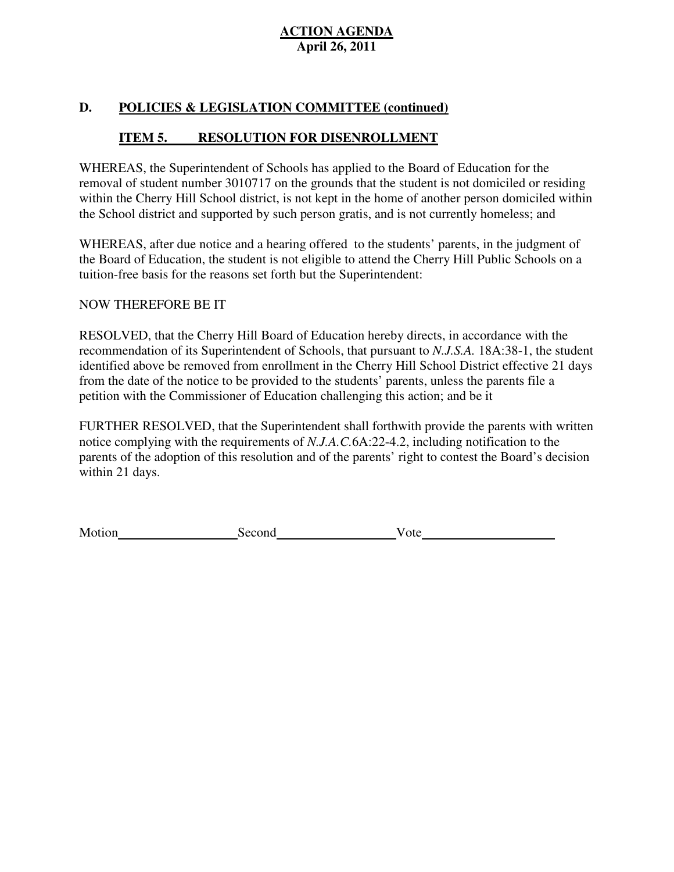### **D. POLICIES & LEGISLATION COMMITTEE (continued)**

#### **ITEM 5. RESOLUTION FOR DISENROLLMENT**

 WHEREAS, the Superintendent of Schools has applied to the Board of Education for the removal of student number 3010717 on the grounds that the student is not domiciled or residing within the Cherry Hill School district, is not kept in the home of another person domiciled within the School district and supported by such person gratis, and is not currently homeless; and

 WHEREAS, after due notice and a hearing offered to the students' parents, in the judgment of the Board of Education, the student is not eligible to attend the Cherry Hill Public Schools on a tuition-free basis for the reasons set forth but the Superintendent:

# NOW THEREFORE BE IT

 RESOLVED, that the Cherry Hill Board of Education hereby directs, in accordance with the recommendation of its Superintendent of Schools, that pursuant to *N.J.S.A.* 18A:38-1, the student identified above be removed from enrollment in the Cherry Hill School District effective 21 days from the date of the notice to be provided to the students' parents, unless the parents file a petition with the Commissioner of Education challenging this action; and be it

 FURTHER RESOLVED, that the Superintendent shall forthwith provide the parents with written notice complying with the requirements of *N.J.A.C.*6A:22-4.2, including notification to the parents of the adoption of this resolution and of the parents' right to contest the Board's decision within 21 days.

Motion Second Vote